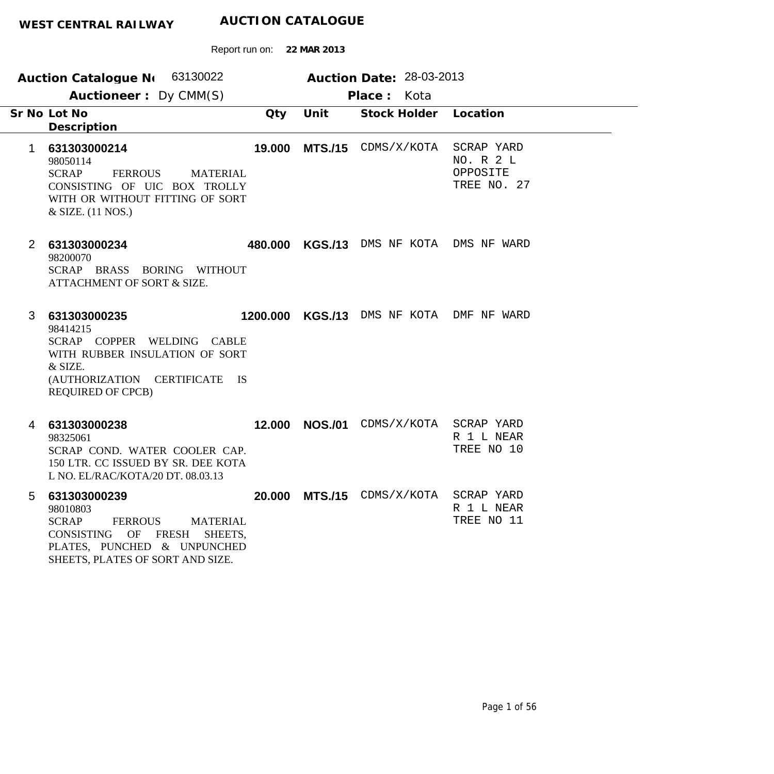|                | Auction Catalogue N 63130022                                                                                                                                                                    |          |                | Auction Date: 28-03-2013        |                                                    |  |
|----------------|-------------------------------------------------------------------------------------------------------------------------------------------------------------------------------------------------|----------|----------------|---------------------------------|----------------------------------------------------|--|
|                | Auctioneer: Dy CMM(S)                                                                                                                                                                           |          |                | Place: Kota                     |                                                    |  |
|                | Sr No Lot No<br>Description                                                                                                                                                                     | Qty      | Unit           | Stock Holder Location           |                                                    |  |
| 1              | 631303000214<br>98050114<br><b>SCRAP</b><br><b>FERROUS</b><br><b>MATERIAL</b><br>CONSISTING OF UIC BOX TROLLY<br>WITH OR WITHOUT FITTING OF SORT<br>& SIZE. (11 NOS.)                           | 19.000   |                | MTS./15 CDMS/X/KOTA             | SCRAP YARD<br>NO. R 2 L<br>OPPOSITE<br>TREE NO. 27 |  |
| $\overline{2}$ | 631303000234<br>98200070<br>SCRAP BRASS BORING WITHOUT<br>ATTACHMENT OF SORT & SIZE.                                                                                                            | 480.000  |                | KGS./13 DMS NF KOTA DMS NF WARD |                                                    |  |
| 3              | 631303000235<br>98414215<br>SCRAP COPPER WELDING CABLE<br>WITH RUBBER INSULATION OF SORT<br>& SIZE.<br>(AUTHORIZATION CERTIFICATE<br>- IS<br><b>REQUIRED OF CPCB)</b>                           | 1200.000 |                | KGS./13 DMS NF KOTA DMF NF WARD |                                                    |  |
| 4              | 631303000238<br>98325061<br>SCRAP COND. WATER COOLER CAP.<br>150 LTR. CC ISSUED BY SR. DEE KOTA<br>L NO. EL/RAC/KOTA/20 DT. 08.03.13                                                            | 12,000   | <b>NOS./01</b> | CDMS/X/KOTA                     | SCRAP YARD<br>R 1 L NEAR<br>TREE NO 10             |  |
| 5              | 631303000239<br>98010803<br><b>SCRAP</b><br><b>FERROUS</b><br><b>MATERIAL</b><br>CONSISTING<br>OF<br><b>FRESH</b><br>SHEETS,<br>PLATES, PUNCHED & UNPUNCHED<br>SHEETS, PLATES OF SORT AND SIZE. | 20,000   |                | MTS./15 CDMS/X/KOTA             | SCRAP YARD<br>R 1 L NEAR<br>TREE NO 11             |  |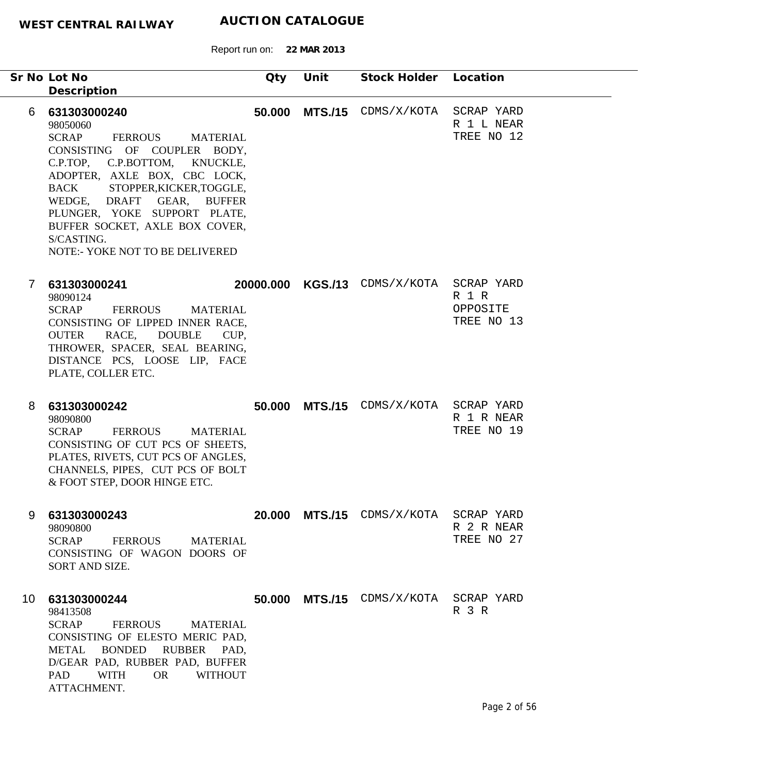Report run on: **22 MAR 2013**

|              | Sr No Lot No<br>Description                                                                                                                                                                                                                                                                                                                                             | Qty | Unit | Stock Holder Location                    |                                        |
|--------------|-------------------------------------------------------------------------------------------------------------------------------------------------------------------------------------------------------------------------------------------------------------------------------------------------------------------------------------------------------------------------|-----|------|------------------------------------------|----------------------------------------|
| 6            | 631303000240<br>98050060<br><b>SCRAP</b><br>FERROUS<br><b>MATERIAL</b><br>CONSISTING OF COUPLER BODY,<br>C.P.BOTTOM,<br>C.P.TOP,<br>KNUCKLE,<br>ADOPTER, AXLE BOX, CBC LOCK,<br>STOPPER, KICKER, TOGGLE,<br>BACK<br>WEDGE, DRAFT GEAR, BUFFER<br>PLUNGER, YOKE SUPPORT PLATE,<br>BUFFER SOCKET, AXLE BOX COVER,<br>S/CASTING.<br><b>NOTE:- YOKE NOT TO BE DELIVERED</b> |     |      | <b>50.000 MTS./15</b> CDMS/X/KOTA        | SCRAP YARD<br>R 1 L NEAR<br>TREE NO 12 |
| $\mathbf{7}$ | 631303000241<br>98090124<br><b>SCRAP</b><br>FERROUS<br>MATERIAL<br>CONSISTING OF LIPPED INNER RACE,<br>RACE, DOUBLE<br><b>OUTER</b><br>CUP,<br>THROWER, SPACER, SEAL BEARING,<br>DISTANCE PCS, LOOSE LIP, FACE<br>PLATE, COLLER ETC.                                                                                                                                    |     |      | 20000.000 KGS./13 CDMS/X/KOTA SCRAP YARD | R 1 R<br>OPPOSITE<br>TREE NO 13        |
| 8            | 631303000242<br>98090800<br><b>SCRAP</b><br><b>FERROUS</b><br><b>MATERIAL</b><br>CONSISTING OF CUT PCS OF SHEETS,<br>PLATES, RIVETS, CUT PCS OF ANGLES,<br>CHANNELS, PIPES, CUT PCS OF BOLT<br>& FOOT STEP, DOOR HINGE ETC.                                                                                                                                             |     |      | 50.000 MTS./15 CDMS/X/KOTA SCRAP YARD    | R 1 R NEAR<br>TREE NO 19               |
| 9            | 631303000243<br>98090800<br>SCRAP FERROUS<br><b>MATERIAL</b><br>CONSISTING OF WAGON DOORS OF<br>SORT AND SIZE.                                                                                                                                                                                                                                                          |     |      | 20.000 MTS./15 CDMS/X/KOTA SCRAP YARD    | R 2 R NEAR<br>TREE NO 27               |
|              | 10 631303000244<br>98413508<br>SCRAP<br>FERROUS<br><b>MATERIAL</b><br>CONSISTING OF ELESTO MERIC PAD,<br><b>BONDED</b><br><b>RUBBER</b><br>METAL<br>PAD,<br>D/GEAR PAD, RUBBER PAD, BUFFER<br>PAD<br>WITH<br><b>OR</b><br><b>WITHOUT</b><br>ATTACHMENT.                                                                                                                 |     |      | 50.000 MTS./15 CDMS/X/KOTA SCRAP YARD    | R 3 R                                  |

۰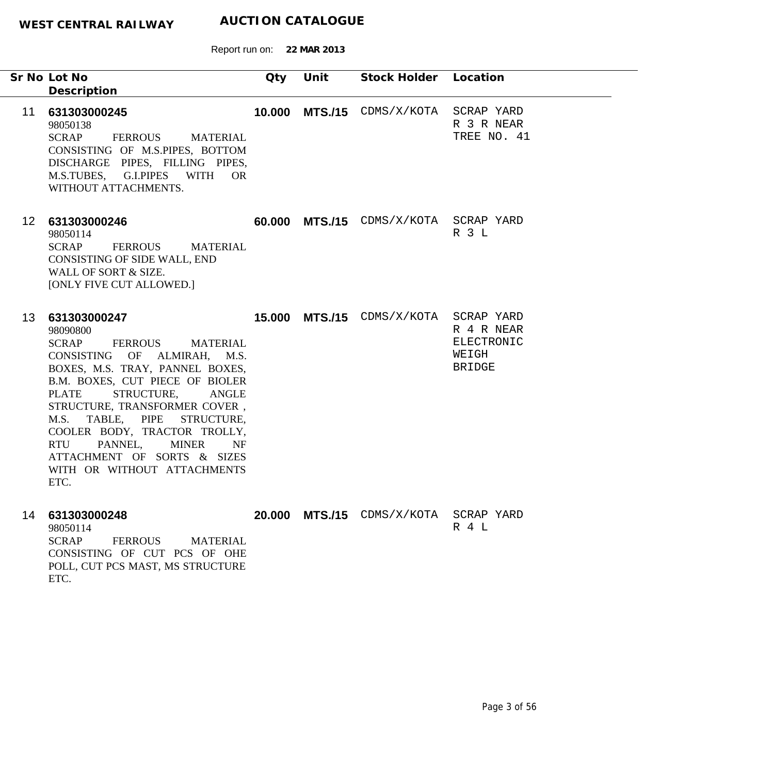|    | Sr No Lot No<br>Description                                                                                                                                                                                                                                                                                                                                                                                                                          | Qty    | Unit | Stock Holder Location                 |                                             |
|----|------------------------------------------------------------------------------------------------------------------------------------------------------------------------------------------------------------------------------------------------------------------------------------------------------------------------------------------------------------------------------------------------------------------------------------------------------|--------|------|---------------------------------------|---------------------------------------------|
| 11 | 631303000245<br>98050138<br><b>SCRAP</b><br>FERROUS MATERIAL<br>CONSISTING OF M.S.PIPES, BOTTOM<br>DISCHARGE PIPES, FILLING PIPES,<br>M.S.TUBES, G.I.PIPES WITH OR<br>WITHOUT ATTACHMENTS.                                                                                                                                                                                                                                                           |        |      | 10.000 MTS./15 CDMS/X/KOTA SCRAP YARD | R 3 R NEAR<br>TREE NO. 41                   |
|    | 12 631303000246<br>98050114<br>SCRAP FERROUS<br>MATERIAL<br>CONSISTING OF SIDE WALL, END<br>WALL OF SORT & SIZE.<br>[ONLY FIVE CUT ALLOWED.]                                                                                                                                                                                                                                                                                                         |        |      | 60.000 MTS./15 CDMS/X/KOTA SCRAP YARD | R 3 L                                       |
| 13 | 631303000247<br>98090800<br><b>SCRAP</b><br>FERROUS<br><b>MATERIAL</b><br>CONSISTING OF ALMIRAH, M.S.<br>BOXES, M.S. TRAY, PANNEL BOXES,<br>B.M. BOXES, CUT PIECE OF BIOLER<br>STRUCTURE,<br><b>PLATE</b><br><b>ANGLE</b><br>STRUCTURE, TRANSFORMER COVER,<br>M.S.<br>TABLE, PIPE<br>STRUCTURE,<br>COOLER BODY, TRACTOR TROLLY,<br>PANNEL,<br><b>MINER</b><br><b>RTU</b><br>NF<br>ATTACHMENT OF SORTS & SIZES<br>WITH OR WITHOUT ATTACHMENTS<br>ETC. |        |      | 15.000 MTS./15 CDMS/X/KOTA SCRAP YARD | R 4 R NEAR<br>ELECTRONIC<br>WEIGH<br>BRIDGE |
|    | 14 631303000248<br>98050114<br><b>SCRAP</b><br><b>FERROUS</b><br><b>MATERIAL</b><br>CONSISTING OF CUT PCS OF OHE<br>POLL, CUT PCS MAST, MS STRUCTURE<br>ETC.                                                                                                                                                                                                                                                                                         | 20.000 |      | MTS./15 CDMS/X/KOTA SCRAP YARD        | R 4 L                                       |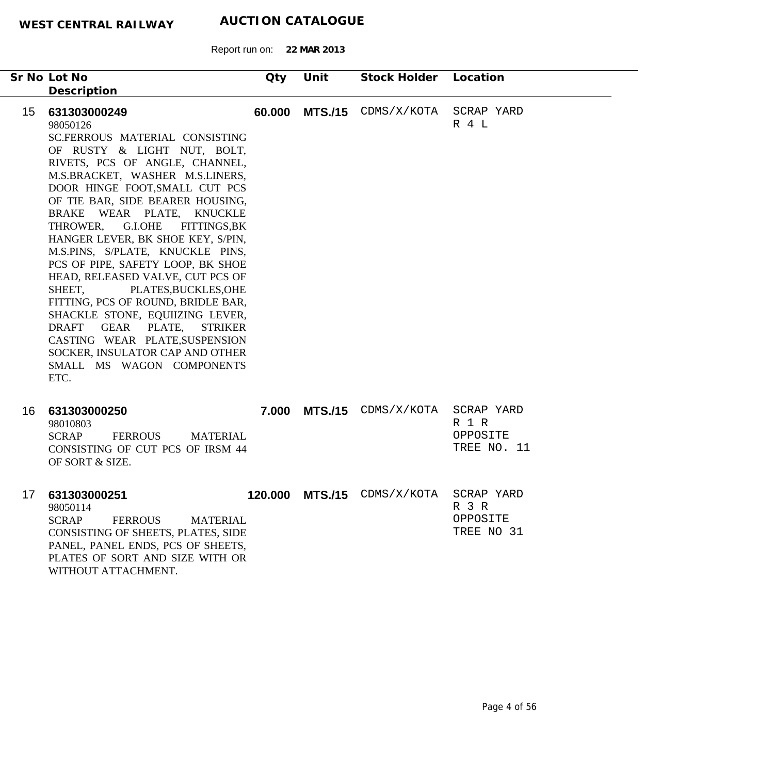Report run on: **22 MAR 2013**

|    | Sr No Lot No                                                                                                                                                                                                                                                                                                                                                                                                                                                                                                                                                                                                                                                                                                                                                 | Qty | Unit | Stock Holder Location       |                                                |
|----|--------------------------------------------------------------------------------------------------------------------------------------------------------------------------------------------------------------------------------------------------------------------------------------------------------------------------------------------------------------------------------------------------------------------------------------------------------------------------------------------------------------------------------------------------------------------------------------------------------------------------------------------------------------------------------------------------------------------------------------------------------------|-----|------|-----------------------------|------------------------------------------------|
|    |                                                                                                                                                                                                                                                                                                                                                                                                                                                                                                                                                                                                                                                                                                                                                              |     |      |                             |                                                |
| 15 | Description<br>631303000249<br>98050126<br>SC.FERROUS MATERIAL CONSISTING<br>OF RUSTY & LIGHT NUT, BOLT,<br>RIVETS, PCS OF ANGLE, CHANNEL,<br>M.S.BRACKET, WASHER M.S.LINERS,<br>DOOR HINGE FOOT, SMALL CUT PCS<br>OF TIE BAR, SIDE BEARER HOUSING,<br>BRAKE WEAR PLATE, KNUCKLE<br><b>G.I.OHE</b><br>THROWER,<br><b>FITTINGS,BK</b><br>HANGER LEVER, BK SHOE KEY, S/PIN,<br>M.S.PINS, S/PLATE, KNUCKLE PINS,<br>PCS OF PIPE, SAFETY LOOP, BK SHOE<br>HEAD, RELEASED VALVE, CUT PCS OF<br>SHEET,<br>PLATES, BUCKLES, OHE<br>FITTING, PCS OF ROUND, BRIDLE BAR,<br>SHACKLE STONE, EQUIIZING LEVER,<br><b>DRAFT</b><br>GEAR PLATE,<br><b>STRIKER</b><br>CASTING WEAR PLATE, SUSPENSION<br>SOCKER, INSULATOR CAP AND OTHER<br>SMALL MS WAGON COMPONENTS<br>ETC. |     |      | 60.000 MTS./15 CDMS/X/KOTA  | SCRAP YARD<br>R 4 L                            |
| 16 | 631303000250<br>98010803<br><b>SCRAP</b><br><b>FERROUS</b><br><b>MATERIAL</b><br>CONSISTING OF CUT PCS OF IRSM 44<br>OF SORT & SIZE.                                                                                                                                                                                                                                                                                                                                                                                                                                                                                                                                                                                                                         |     |      | 7.000 MTS./15 CDMS/X/KOTA   | SCRAP YARD<br>R 1 R<br>OPPOSITE<br>TREE NO. 11 |
| 17 | 631303000251<br>98050114<br><b>SCRAP</b><br><b>MATERIAL</b><br><b>FERROUS</b><br>CONSISTING OF SHEETS, PLATES, SIDE<br>PANEL, PANEL ENDS, PCS OF SHEETS,<br>PLATES OF SORT AND SIZE WITH OR<br>WITHOUT ATTACHMENT.                                                                                                                                                                                                                                                                                                                                                                                                                                                                                                                                           |     |      | 120.000 MTS./15 CDMS/X/KOTA | SCRAP YARD<br>R 3 R<br>OPPOSITE<br>TREE NO 31  |

÷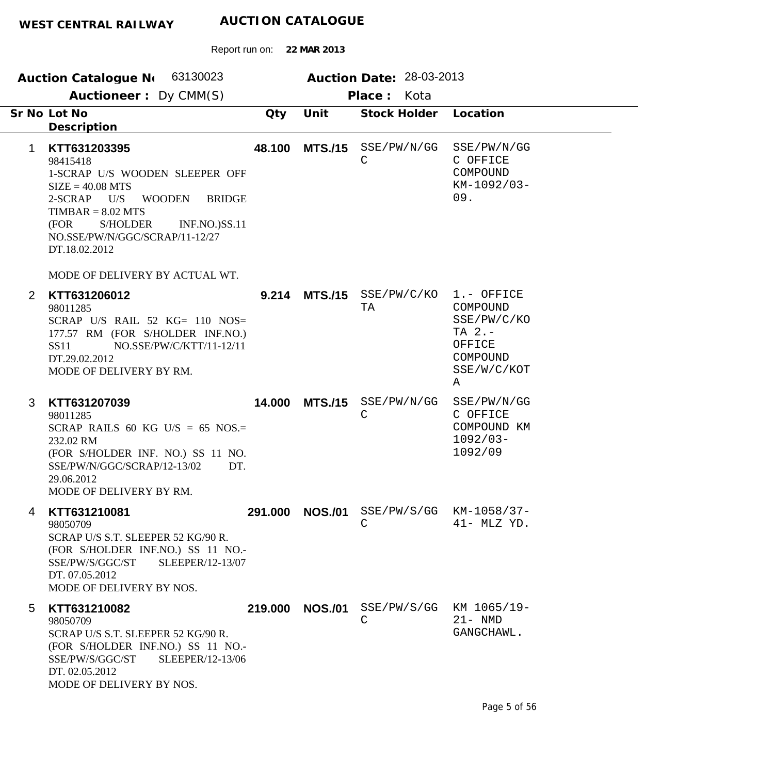Report run on: **22 MAR 2013 Auction Catalogue No** 63130023 **Auction Date:** 28-03-2013  **Auctioneer :** Dy CMM(S) **Place :** Kota **KTT631203395 Lot No Sr No**98415418 1-SCRAP U/S WOODEN SLEEPER OFF  $SIZE = 40.08 MTS$ 2-SCRAP U/S WOODEN BRIDGE  $TIMBAR = 8.02 MTS$ (FOR S/HOLDER INF.NO.)SS.11 NO.SSE/PW/N/GGC/SCRAP/11-12/27 DT.18.02.2012 **Description 48.100 MTS./15** SSE/PW/N/GG **Qty Unit**  $\mathcal{C}$ **Stock Holder** SSE/PW/N/GG C OFFICE COMPOUND KM-1092/03- 09. **Location** 1

MODE OF DELIVERY BY ACTUAL WT.

| 2 | KTT631206012<br>98011285<br>SCRAP U/S RAIL 52 $KG = 110$ NOS=<br>177.57 RM (FOR S/HOLDER INF.NO.)<br>NO.SSE/PW/C/KTT/11-12/11<br>SS <sub>11</sub><br>DT.29.02.2012<br>MODE OF DELIVERY BY RM. | 9.214   |                | $MTS./15$ $SSE/PW/C/KO$<br>TA    | 1.- OFFICE<br>COMPOUND<br>SSE/PW/C/KO<br>$TA$ 2.-<br>OFFICE<br>COMPOUND<br>SSE/W/C/KOT<br>Α |
|---|-----------------------------------------------------------------------------------------------------------------------------------------------------------------------------------------------|---------|----------------|----------------------------------|---------------------------------------------------------------------------------------------|
| 3 | KTT631207039<br>98011285<br>SCRAP RAILS 60 KG U/S = 65 NOS.=<br>232.02 RM<br>(FOR S/HOLDER INF. NO.) SS 11 NO.<br>SSE/PW/N/GGC/SCRAP/12-13/02<br>DT.<br>29.06.2012<br>MODE OF DELIVERY BY RM. | 14.000  | <b>MTS./15</b> | SSE/PW/N/GG<br>C                 | SSE/PW/N/GG<br>C OFFICE<br>COMPOUND KM<br>$1092/03 -$<br>1092/09                            |
| 4 | KTT631210081<br>98050709<br>SCRAP U/S S.T. SLEEPER 52 KG/90 R.<br>(FOR S/HOLDER INF.NO.) SS 11 NO.-<br>SSE/PW/S/GGC/ST<br>SLEEPER/12-13/07<br>DT. 07.05.2012<br>MODE OF DELIVERY BY NOS.      | 291.000 | <b>NOS./01</b> | $SSE/PW/S/GG$ $KM-1058/37-$<br>C | $41-$ MLZ YD.                                                                               |
| 5 | KTT631210082<br>98050709<br>SCRAP U/S S.T. SLEEPER 52 KG/90 R.                                                                                                                                | 219,000 | <b>NOS./01</b> | SSE/PW/S/GG KM 1065/19-<br>C     | $21 - NMD$<br>GANGCHAWL.                                                                    |

SCRAP U/S S.T. SLEEPER 52 KG/90 R. (FOR S/HOLDER INF.NO.) SS 11 NO.- SSE/PW/S/GGC/ST SLEEPER/12-13/06 DT. 02.05.2012 MODE OF DELIVERY BY NOS.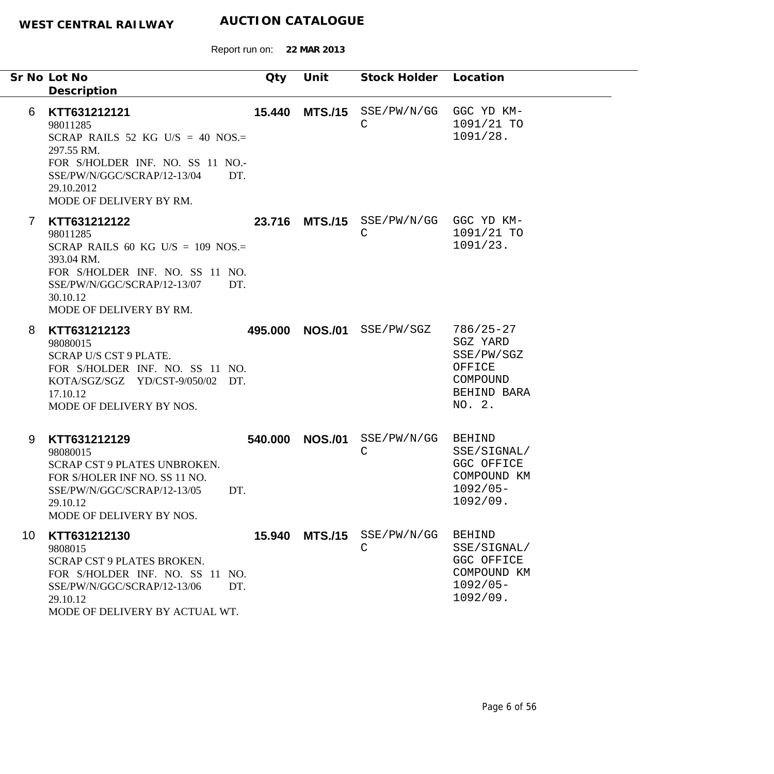|    | Sr No Lot No<br>Description                                                                                                                                                                   | Qty     | Unit           | Stock Holder Location           |                                                                                        |
|----|-----------------------------------------------------------------------------------------------------------------------------------------------------------------------------------------------|---------|----------------|---------------------------------|----------------------------------------------------------------------------------------|
| 6  | KTT631212121<br>98011285<br>SCRAP RAILS 52 KG U/S = 40 NOS.=<br>297.55 RM.<br>FOR S/HOLDER INF. NO. SS 11 NO.-<br>SSE/PW/N/GGC/SCRAP/12-13/04<br>DT.<br>29.10.2012<br>MODE OF DELIVERY BY RM. | 15.440  | <b>MTS./15</b> | SSE/PW/N/GG<br>$\mathsf C$      | GGC YD KM-<br>1091/21 TO<br>1091/28.                                                   |
| 7  | KTT631212122<br>98011285<br>SCRAP RAILS 60 KG U/S = $109$ NOS.=<br>393.04 RM.<br>FOR S/HOLDER INF. NO. SS 11 NO.<br>SSE/PW/N/GGC/SCRAP/12-13/07<br>DT.<br>30.10.12<br>MODE OF DELIVERY BY RM. |         |                | 23.716 MTS./15 SSE/PW/N/GG<br>C | GGC YD KM-<br>1091/21 TO<br>1091/23.                                                   |
| 8  | KTT631212123<br>98080015<br>SCRAP U/S CST 9 PLATE.<br>FOR S/HOLDER INF. NO. SS 11 NO.<br>KOTA/SGZ/SGZ YD/CST-9/050/02 DT.<br>17.10.12<br>MODE OF DELIVERY BY NOS.                             | 495.000 | <b>NOS./01</b> | SSE/PW/SGZ                      | $786/25 - 27$<br>SGZ YARD<br>SSE/PW/SGZ<br>OFFICE<br>COMPOUND<br>BEHIND BARA<br>NO. 2. |
| 9  | KTT631212129<br>98080015<br>SCRAP CST 9 PLATES UNBROKEN.<br>FOR S/HOLER INF NO. SS 11 NO.<br>SSE/PW/N/GGC/SCRAP/12-13/05<br>DT.<br>29.10.12<br>MODE OF DELIVERY BY NOS.                       | 540.000 | <b>NOS./01</b> | SSE/PW/N/GG<br>$\mathsf C$      | <b>BEHIND</b><br>SSE/SIGNAL/<br>GGC OFFICE<br>COMPOUND KM<br>$1092/05 -$<br>1092/09    |
| 10 | KTT631212130<br>9808015<br>SCRAP CST 9 PLATES BROKEN.<br>FOR S/HOLDER INF. NO. SS 11 NO.<br>SSE/PW/N/GGC/SCRAP/12-13/06<br>DT.<br>29.10.12<br>MODE OF DELIVERY BY ACTUAL WT.                  | 15.940  |                | MTS./15 SSE/PW/N/GG<br>C        | <b>BEHIND</b><br>SSE/SIGNAL/<br>GGC OFFICE<br>COMPOUND KM<br>$1092/05 -$<br>1092/09.   |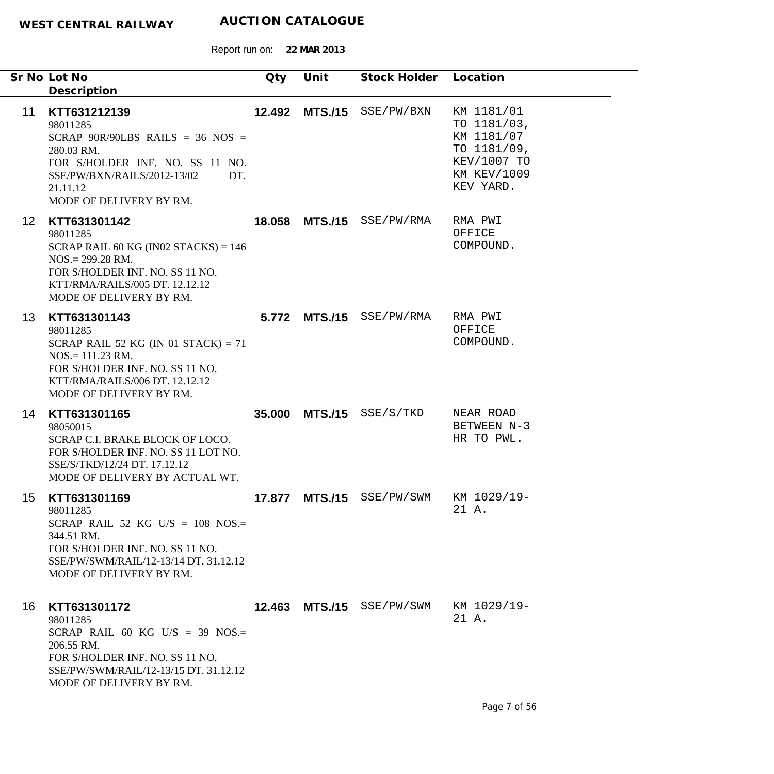|                 | Sr No Lot No<br>Description                                                                                                                                                                      | Qty    | Unit | Stock Holder Location     |                                                                                                          |
|-----------------|--------------------------------------------------------------------------------------------------------------------------------------------------------------------------------------------------|--------|------|---------------------------|----------------------------------------------------------------------------------------------------------|
| 11              | KTT631212139<br>98011285<br>SCRAP 90R/90LBS RAILS = 36 NOS =<br>280.03 RM.<br>FOR S/HOLDER INF. NO. SS 11 NO.<br>SSE/PW/BXN/RAILS/2012-13/02<br>DT.<br>21.11.12<br>MODE OF DELIVERY BY RM.       |        |      | 12.492 MTS./15 SSE/PW/BXN | KM 1181/01<br>TO 1181/03,<br>KM 1181/07<br>TO 1181/09,<br>KEV/1007 TO<br><b>KM KEV/1009</b><br>KEV YARD. |
| 12 <sup>1</sup> | KTT631301142<br>98011285<br>SCRAP RAIL 60 KG (IN02 STACKS) = $146$<br>$NOS = 299.28 \text{ RM}.$<br>FOR S/HOLDER INF. NO. SS 11 NO.<br>KTT/RMA/RAILS/005 DT. 12.12.12<br>MODE OF DELIVERY BY RM. |        |      | 18.058 MTS./15 SSE/PW/RMA | RMA PWI<br>OFFICE<br>COMPOUND.                                                                           |
| 13              | KTT631301143<br>98011285<br>SCRAP RAIL 52 KG (IN 01 STACK) = $71$<br>$NOS = 111.23$ RM.<br>FOR S/HOLDER INF. NO. SS 11 NO.<br>KTT/RMA/RAILS/006 DT. 12.12.12<br>MODE OF DELIVERY BY RM.          |        |      | 5.772 MTS./15 SSE/PW/RMA  | RMA PWI<br>OFFICE<br>COMPOUND.                                                                           |
| 14              | KTT631301165<br>98050015<br>SCRAP C.I. BRAKE BLOCK OF LOCO.<br>FOR S/HOLDER INF. NO. SS 11 LOT NO.<br>SSE/S/TKD/12/24 DT. 17.12.12<br>MODE OF DELIVERY BY ACTUAL WT.                             |        |      | 35.000 MTS./15 SSE/S/TKD  | NEAR ROAD<br>BETWEEN N-3<br>HR TO PWL.                                                                   |
| 15              | KTT631301169<br>98011285<br>SCRAP RAIL 52 KG U/S = $108$ NOS.=<br>344.51 RM.<br>FOR S/HOLDER INF. NO. SS 11 NO.<br>SSE/PW/SWM/RAIL/12-13/14 DT, 31.12.12<br>MODE OF DELIVERY BY RM.              | 17.877 |      | MTS./15 SSE/PW/SWM        | KM 1029/19-<br>21 A.                                                                                     |
| 16              | KTT631301172<br>98011285<br>SCRAP RAIL 60 KG U/S = 39 NOS.=<br>206.55 RM.<br>FOR S/HOLDER INF. NO. SS 11 NO.<br>SSE/PW/SWM/RAIL/12-13/15 DT. 31.12.12<br>MODE OF DELIVERY BY RM.                 |        |      | 12.463 MTS./15 SSE/PW/SWM | KM 1029/19-<br>21 A.                                                                                     |
|                 |                                                                                                                                                                                                  |        |      |                           | Page 7 of 56                                                                                             |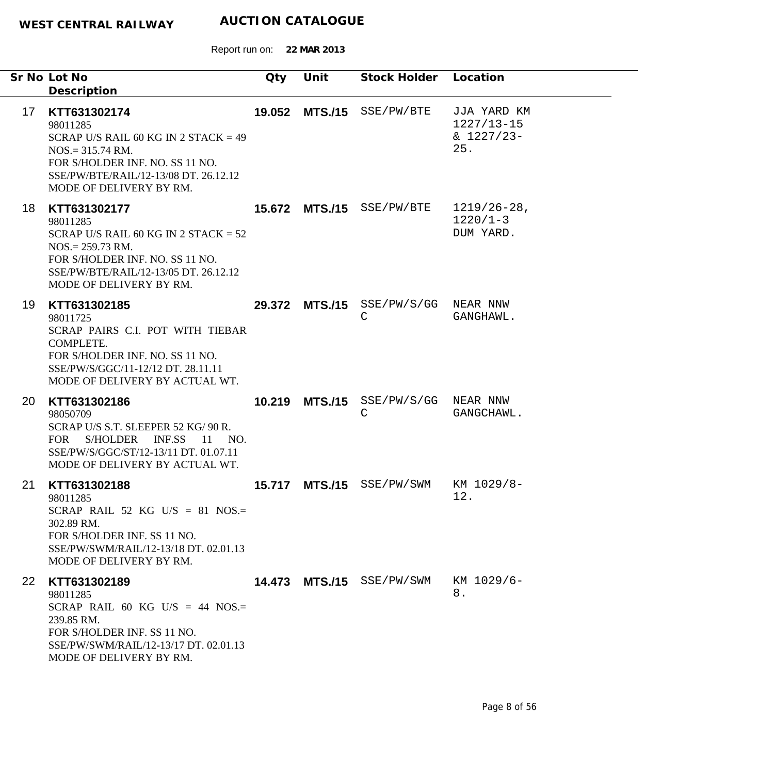|           | Sr No Lot No<br>Description                                                                                                                                                                             | Qty    | Unit           | Stock Holder Location                              |                                                      |
|-----------|---------------------------------------------------------------------------------------------------------------------------------------------------------------------------------------------------------|--------|----------------|----------------------------------------------------|------------------------------------------------------|
| 17        | KTT631302174<br>98011285<br>SCRAP U/S RAIL 60 KG IN 2 STACK = $49$<br>$NOS = 315.74$ RM.<br>FOR S/HOLDER INF. NO. SS 11 NO.<br>SSE/PW/BTE/RAIL/12-13/08 DT, 26.12.12<br>MODE OF DELIVERY BY RM.         |        |                | 19.052 MTS./15 SSE/PW/BTE                          | JJA YARD KM<br>$1227/13 - 15$<br>$& 1227/23-$<br>25. |
| 18        | KTT631302177<br>98011285<br>SCRAP U/S RAIL 60 KG IN 2 STACK = $52$<br>$NOS = 259.73 \text{ RM}.$<br>FOR S/HOLDER INF. NO. SS 11 NO.<br>SSE/PW/BTE/RAIL/12-13/05 DT. 26.12.12<br>MODE OF DELIVERY BY RM. |        |                | <b>15.672 MTS./15</b> SSE/PW/BTE                   | $1219/26 - 28$ ,<br>$1220/1-3$<br>DUM YARD.          |
| 19        | KTT631302185<br>98011725<br>SCRAP PAIRS C.I. POT WITH TIEBAR<br>COMPLETE.<br>FOR S/HOLDER INF. NO. SS 11 NO.<br>SSE/PW/S/GGC/11-12/12 DT. 28.11.11<br>MODE OF DELIVERY BY ACTUAL WT.                    |        |                | 29.372 MTS./15 SSE/PW/S/GG NEAR NNW<br>$\mathsf C$ | GANGHAWL.                                            |
| 20        | KTT631302186<br>98050709<br>SCRAP U/S S.T. SLEEPER 52 KG/ 90 R.<br>S/HOLDER INF.SS<br>FOR<br>- 11<br>NO.<br>SSE/PW/S/GGC/ST/12-13/11 DT. 01.07.11<br>MODE OF DELIVERY BY ACTUAL WT.                     | 10.219 | <b>MTS./15</b> | SSE/PW/S/GG NEAR NNW<br>$\mathsf{C}$               | GANGCHAWL.                                           |
| 21        | KTT631302188<br>98011285<br>SCRAP RAIL 52 KG U/S = 81 NOS.=<br>302.89 RM.<br>FOR S/HOLDER INF. SS 11 NO.<br>SSE/PW/SWM/RAIL/12-13/18 DT. 02.01.13<br>MODE OF DELIVERY BY RM.                            | 15.717 | <b>MTS./15</b> | SSE/PW/SWM                                         | KM 1029/8-<br>12.                                    |
| <b>22</b> | KTT631302189<br>98011285<br>SCRAP RAIL 60 KG U/S = 44 NOS.=<br>239.85 RM.<br>FOR S/HOLDER INF. SS 11 NO.<br>SSE/PW/SWM/RAIL/12-13/17 DT. 02.01.13<br>MODE OF DELIVERY BY RM.                            |        |                | 14.473 MTS./15 SSE/PW/SWM                          | KM 1029/6-<br>8.                                     |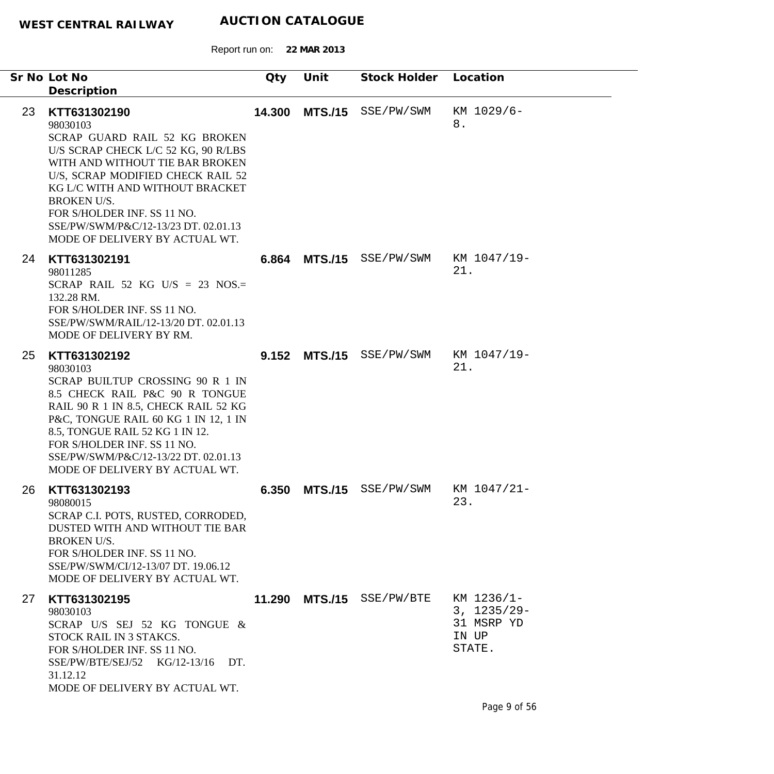|    | Sr No Lot No<br>Description                                                                                                                                                                                                                                                                                                                | Qty    | Unit           | Stock Holder Location |                                                               |
|----|--------------------------------------------------------------------------------------------------------------------------------------------------------------------------------------------------------------------------------------------------------------------------------------------------------------------------------------------|--------|----------------|-----------------------|---------------------------------------------------------------|
| 23 | KTT631302190<br>98030103<br>SCRAP GUARD RAIL 52 KG BROKEN<br>U/S SCRAP CHECK L/C 52 KG, 90 R/LBS<br>WITH AND WITHOUT TIE BAR BROKEN<br>U/S, SCRAP MODIFIED CHECK RAIL 52<br>KG L/C WITH AND WITHOUT BRACKET<br><b>BROKEN U/S.</b><br>FOR S/HOLDER INF. SS 11 NO.<br>SSE/PW/SWM/P&C/12-13/23 DT. 02.01.13<br>MODE OF DELIVERY BY ACTUAL WT. | 14.300 | <b>MTS./15</b> | SSE/PW/SWM            | KM 1029/6-<br>8.                                              |
| 24 | KTT631302191<br>98011285<br>SCRAP RAIL 52 KG U/S = 23 NOS.=<br>132.28 RM.<br>FOR S/HOLDER INF. SS 11 NO.<br>SSE/PW/SWM/RAIL/12-13/20 DT. 02.01.13<br>MODE OF DELIVERY BY RM.                                                                                                                                                               |        | 6.864 MTS./15  | SSE/PW/SWM            | KM 1047/19-<br>21.                                            |
| 25 | KTT631302192<br>98030103<br>SCRAP BUILTUP CROSSING 90 R 1 IN<br>8.5 CHECK RAIL P&C 90 R TONGUE<br>RAIL 90 R 1 IN 8.5, CHECK RAIL 52 KG<br>P&C, TONGUE RAIL 60 KG 1 IN 12, 1 IN<br>8.5, TONGUE RAIL 52 KG 1 IN 12.<br>FOR S/HOLDER INF. SS 11 NO.<br>SSE/PW/SWM/P&C/12-13/22 DT. 02.01.13<br>MODE OF DELIVERY BY ACTUAL WT.                 | 9.152  | <b>MTS./15</b> | SSE/PW/SWM            | KM 1047/19-<br>21.                                            |
| 26 | KTT631302193<br>98080015<br>SCRAP C.I. POTS, RUSTED, CORRODED,<br>DUSTED WITH AND WITHOUT TIE BAR<br><b>BROKEN U/S.</b><br>FOR S/HOLDER INF. SS 11 NO.<br>SSE/PW/SWM/CI/12-13/07 DT. 19.06.12<br>MODE OF DELIVERY BY ACTUAL WT.                                                                                                            | 6.350  | <b>MTS./15</b> | SSE/PW/SWM            | KM 1047/21-<br>23                                             |
| 27 | KTT631302195<br>98030103<br>SCRAP U/S SEJ 52 KG TONGUE &<br>STOCK RAIL IN 3 STAKCS.<br>FOR S/HOLDER INF. SS 11 NO.<br>SSE/PW/BTE/SEJ/52 KG/12-13/16 DT.<br>31.12.12<br>MODE OF DELIVERY BY ACTUAL WT.                                                                                                                                      | 11.290 |                | MTS./15 SSE/PW/BTE    | KM 1236/1-<br>$3, 1235/29 -$<br>31 MSRP YD<br>IN UP<br>STATE. |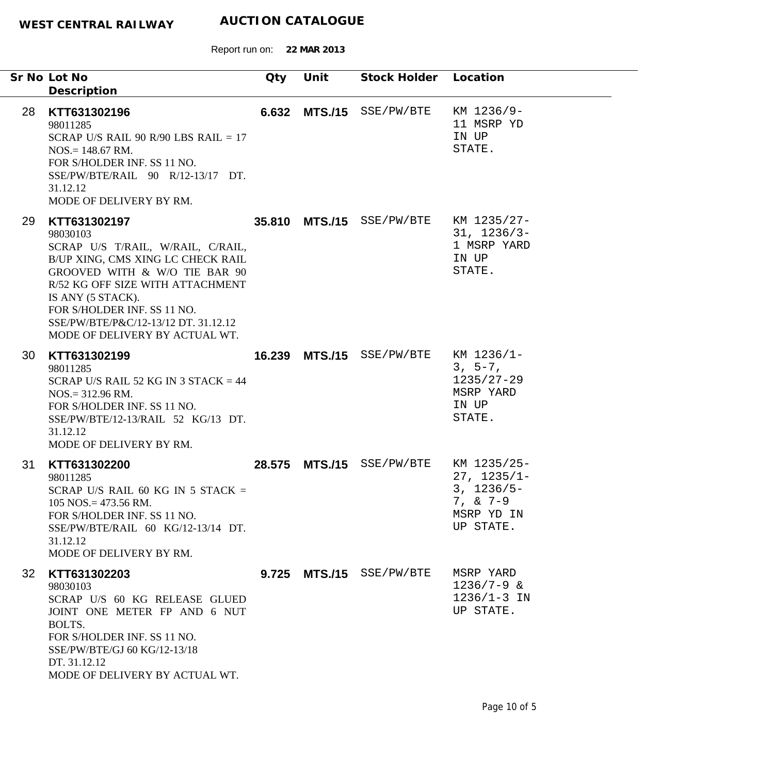|                 | Sr No Lot No<br>Description                                                                                                                                                                                                                                                                           | Qty | Unit | Stock Holder Location                 |                                                                                         |
|-----------------|-------------------------------------------------------------------------------------------------------------------------------------------------------------------------------------------------------------------------------------------------------------------------------------------------------|-----|------|---------------------------------------|-----------------------------------------------------------------------------------------|
| 28              | KTT631302196<br>98011285<br>SCRAP U/S RAIL 90 R/90 LBS RAIL = $17$<br>$NOS = 148.67$ RM.<br>FOR S/HOLDER INF. SS 11 NO.<br>SSE/PW/BTE/RAIL 90 R/12-13/17 DT.<br>31.12.12<br>MODE OF DELIVERY BY RM.                                                                                                   |     |      | 6.632 MTS./15 SSE/PW/BTE              | KM 1236/9-<br>11 MSRP YD<br>IN UP<br>STATE.                                             |
| 29              | KTT631302197<br>98030103<br>SCRAP U/S T/RAIL, W/RAIL, C/RAIL,<br>B/UP XING, CMS XING LC CHECK RAIL<br>GROOVED WITH & W/O TIE BAR 90<br>R/52 KG OFF SIZE WITH ATTACHMENT<br>IS ANY (5 STACK).<br>FOR S/HOLDER INF. SS 11 NO.<br>SSE/PW/BTE/P&C/12-13/12 DT. 31.12.12<br>MODE OF DELIVERY BY ACTUAL WT. |     |      | 35.810 MTS./15 SSE/PW/BTE KM 1235/27- | $31, 1236/3-$<br>1 MSRP YARD<br>IN UP<br>STATE.                                         |
| 30              | KTT631302199<br>98011285<br>SCRAP U/S RAIL 52 KG IN 3 STACK = $44$<br>$NOS = 312.96$ RM.<br>FOR S/HOLDER INF. SS 11 NO.<br>SSE/PW/BTE/12-13/RAIL 52 KG/13 DT.<br>31.12.12<br>MODE OF DELIVERY BY RM.                                                                                                  |     |      | 16.239 MTS./15 SSE/PW/BTE             | KM 1236/1-<br>$3, 5-7,$<br>$1235/27 - 29$<br>MSRP YARD<br>IN UP<br>STATE.               |
| 31              | KTT631302200<br>98011285<br>SCRAP U/S RAIL 60 KG IN 5 STACK =<br>$105$ NOS. = 473.56 RM.<br>FOR S/HOLDER INF. SS 11 NO.<br>SSE/PW/BTE/RAIL 60 KG/12-13/14 DT.<br>31.12.12<br>MODE OF DELIVERY BY RM.                                                                                                  |     |      | 28.575 MTS./15 SSE/PW/BTE             | KM 1235/25-<br>$27, 1235/1 -$<br>$3, 1236/5 -$<br>$7, & 7-9$<br>MSRP YD IN<br>UP STATE. |
| 32 <sup>°</sup> | KTT631302203<br>98030103<br>SCRAP U/S 60 KG RELEASE GLUED<br>JOINT ONE METER FP AND 6 NUT<br>BOLTS.<br>FOR S/HOLDER INF. SS 11 NO.<br>SSE/PW/BTE/GJ 60 KG/12-13/18<br>DT. 31.12.12<br>MODE OF DELIVERY BY ACTUAL WT.                                                                                  |     |      | 9.725 MTS./15 SSE/PW/BTE              | MSRP YARD<br>$1236/7 - 9$ &<br>$1236/1 - 3$ IN<br>UP STATE.                             |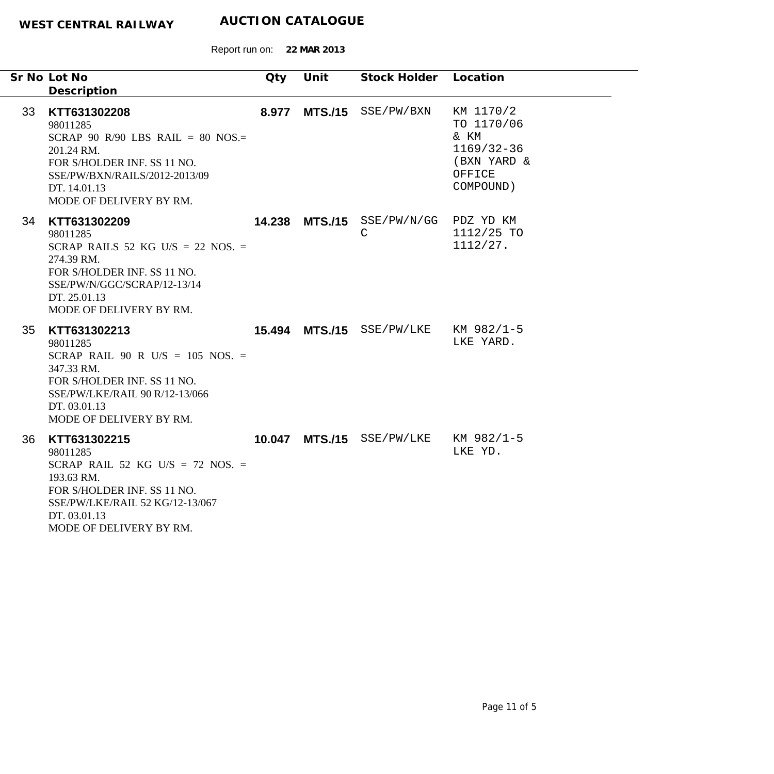|    | Sr No Lot No<br>Description                                                                                                                                                             | Qty   | Unit | Stock Holder Location                      |                                                                                         |
|----|-----------------------------------------------------------------------------------------------------------------------------------------------------------------------------------------|-------|------|--------------------------------------------|-----------------------------------------------------------------------------------------|
| 33 | KTT631302208<br>98011285<br>SCRAP 90 R/90 LBS RAIL = 80 NOS.=<br>201.24 RM.<br>FOR S/HOLDER INF. SS 11 NO.<br>SSE/PW/BXN/RAILS/2012-2013/09<br>DT. 14.01.13<br>MODE OF DELIVERY BY RM.  | 8.977 |      | MTS./15 SSE/PW/BXN                         | KM 1170/2<br>TO 1170/06<br>& KM<br>$1169/32 - 36$<br>(BXN YARD &<br>OFFICE<br>COMPOUND) |
| 34 | KTT631302209<br>98011285<br>SCRAP RAILS 52 KG U/S = 22 NOS. =<br>274.39 RM.<br>FOR S/HOLDER INF. SS 11 NO.<br>SSE/PW/N/GGC/SCRAP/12-13/14<br>DT. 25.01.13<br>MODE OF DELIVERY BY RM.    |       |      | 14.238 MTS./15 SSE/PW/N/GG<br>$\mathsf{C}$ | PDZ YD KM<br>1112/25 TO<br>1112/27.                                                     |
| 35 | KTT631302213<br>98011285<br>SCRAP RAIL 90 R U/S = 105 NOS. =<br>347.33 RM.<br>FOR S/HOLDER INF. SS 11 NO.<br>SSE/PW/LKE/RAIL 90 R/12-13/066<br>DT. 03.01.13<br>MODE OF DELIVERY BY RM.  |       |      | 15.494 MTS./15 SSE/PW/LKE KM 982/1-5       | LKE YARD.                                                                               |
| 36 | KTT631302215<br>98011285<br>SCRAP RAIL 52 KG U/S = 72 NOS. =<br>193.63 RM.<br>FOR S/HOLDER INF. SS 11 NO.<br>SSE/PW/LKE/RAIL 52 KG/12-13/067<br>DT. 03.01.13<br>MODE OF DELIVERY BY RM. |       |      | 10.047 MTS./15 SSE/PW/LKE                  | KM 982/1-5<br>LKE YD.                                                                   |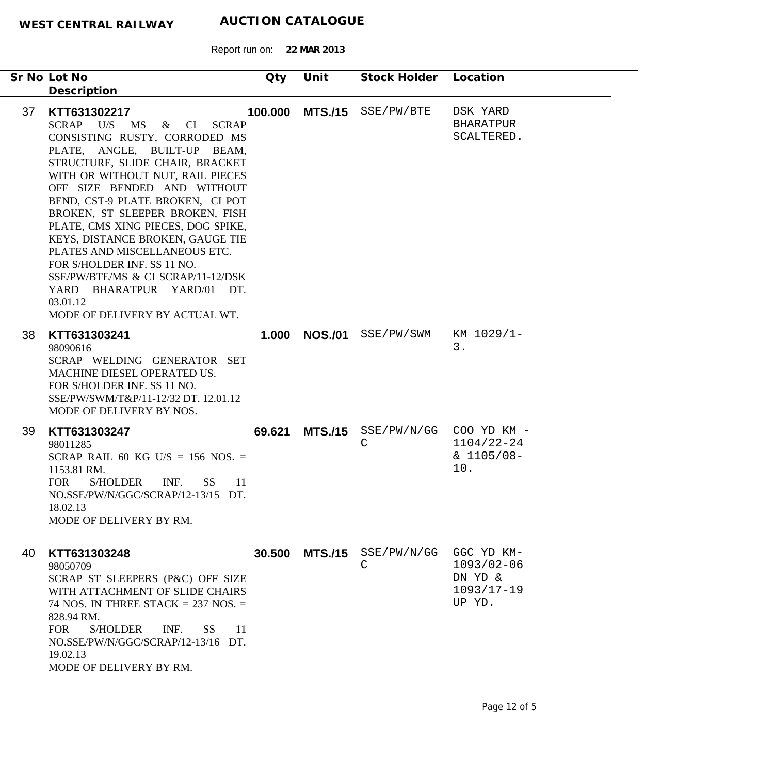Report run on: **22 MAR 2013**

| Sr No Lot No<br>Description                                                                                                                                                                                                                                                                                                                                                                                                                                                                                                                               | Qty                                | Unit           | Stock Holder                | Location                                                            |
|-----------------------------------------------------------------------------------------------------------------------------------------------------------------------------------------------------------------------------------------------------------------------------------------------------------------------------------------------------------------------------------------------------------------------------------------------------------------------------------------------------------------------------------------------------------|------------------------------------|----------------|-----------------------------|---------------------------------------------------------------------|
| 37<br>KTT631302217<br><b>SCRAP</b><br>U/S<br>MS<br>CONSISTING RUSTY, CORRODED MS<br>PLATE, ANGLE, BUILT-UP BEAM,<br>STRUCTURE, SLIDE CHAIR, BRACKET<br>WITH OR WITHOUT NUT, RAIL PIECES<br>OFF SIZE BENDED AND WITHOUT<br>BEND, CST-9 PLATE BROKEN, CI POT<br>BROKEN, ST SLEEPER BROKEN, FISH<br>PLATE, CMS XING PIECES, DOG SPIKE,<br>KEYS, DISTANCE BROKEN, GAUGE TIE<br>PLATES AND MISCELLANEOUS ETC.<br>FOR S/HOLDER INF. SS 11 NO.<br>SSE/PW/BTE/MS & CI SCRAP/11-12/DSK<br>YARD BHARATPUR YARD/01 DT.<br>03.01.12<br>MODE OF DELIVERY BY ACTUAL WT. | $\&$<br><b>SCRAP</b><br>CI         |                | 100.000 MTS./15 SSE/PW/BTE  | DSK YARD<br><b>BHARATPUR</b><br>SCALTERED.                          |
| KTT631303241<br>38<br>98090616<br>SCRAP WELDING GENERATOR SET<br>MACHINE DIESEL OPERATED US.<br>FOR S/HOLDER INF. SS 11 NO.<br>SSE/PW/SWM/T&P/11-12/32 DT. 12.01.12<br>MODE OF DELIVERY BY NOS.                                                                                                                                                                                                                                                                                                                                                           | 1.000                              |                | <b>NOS./01</b> SSE/PW/SWM   | KM 1029/1-<br>3.                                                    |
| 39<br>KTT631303247<br>98011285<br>SCRAP RAIL 60 KG U/S = 156 NOS. =<br>1153.81 RM.<br><b>FOR</b><br><b>S/HOLDER</b><br>NO.SSE/PW/N/GGC/SCRAP/12-13/15 DT.<br>18.02.13<br>MODE OF DELIVERY BY RM.                                                                                                                                                                                                                                                                                                                                                          | 69.621<br>INF.<br><b>SS</b><br>-11 |                | $MTS./15$ SSE/PW/N/GG<br>C  | COO YD KM -<br>$1104/22 - 24$<br>$& 1105/08 -$<br>10.               |
| KTT631303248<br>40<br>98050709<br>SCRAP ST SLEEPERS (P&C) OFF SIZE<br>WITH ATTACHMENT OF SLIDE CHAIRS<br>74 NOS. IN THREE STACK $= 237$ NOS. $=$<br>828.94 RM.<br><b>FOR</b><br><b>S/HOLDER</b><br>NO.SSE/PW/N/GGC/SCRAP/12-13/16 DT.<br>19.02.13<br>MODE OF DELIVERY BY RM.                                                                                                                                                                                                                                                                              | 30.500<br>INF.<br>SS.<br>-11       | <b>MTS./15</b> | SSE/PW/N/GG<br>$\mathsf{C}$ | GGC YD KM-<br>$1093/02 - 06$<br>DN YD &<br>$1093/17 - 19$<br>UP YD. |

۰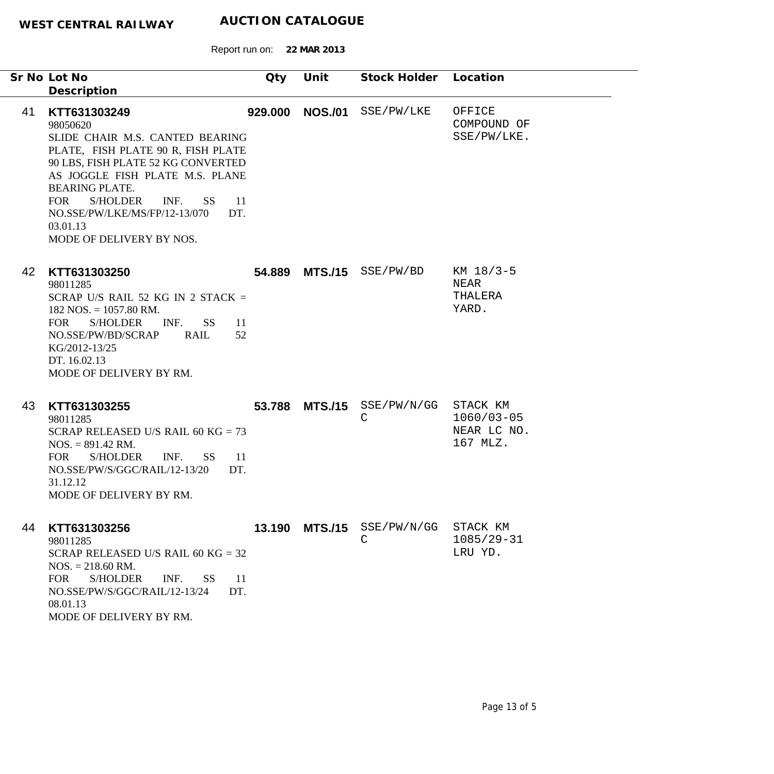Report run on: **22 MAR 2013**

|    | Sr No Lot No<br>Description                                                                                                                                                                                                                                                                                                                 | Qty     | Unit           | Stock Holder                               | Location                                              |
|----|---------------------------------------------------------------------------------------------------------------------------------------------------------------------------------------------------------------------------------------------------------------------------------------------------------------------------------------------|---------|----------------|--------------------------------------------|-------------------------------------------------------|
| 41 | KTT631303249<br>98050620<br>SLIDE CHAIR M.S. CANTED BEARING<br>PLATE, FISH PLATE 90 R, FISH PLATE<br>90 LBS, FISH PLATE 52 KG CONVERTED<br>AS JOGGLE FISH PLATE M.S. PLANE<br><b>BEARING PLATE.</b><br><b>FOR</b><br><b>S/HOLDER</b><br>INF.<br>SS -<br>-11<br>DT.<br>NO.SSE/PW/LKE/MS/FP/12-13/070<br>03.01.13<br>MODE OF DELIVERY BY NOS. | 929.000 | <b>NOS./01</b> | SSE/PW/LKE                                 | OFFICE<br>COMPOUND OF<br>SSE/PW/LKE.                  |
| 42 | KTT631303250<br>98011285<br>SCRAP U/S RAIL 52 KG IN 2 STACK =<br>$182$ NOS. = $1057.80$ RM.<br><b>S/HOLDER</b><br>INF.<br><b>SS</b><br>FOR<br>11<br>NO.SSE/PW/BD/SCRAP<br>RAIL<br>52<br>KG/2012-13/25<br>DT. 16.02.13<br>MODE OF DELIVERY BY RM.                                                                                            |         |                | 54.889 MTS./15 SSE/PW/BD                   | KM 18/3-5<br>NEAR<br>THALERA<br>YARD.                 |
| 43 | KTT631303255<br>98011285<br>SCRAP RELEASED U/S RAIL 60 KG = $73$<br>$NOS. = 891.42$ RM.<br><b>FOR</b><br><b>S/HOLDER</b><br>INF.<br>SS <sup>-</sup><br>$\overline{11}$<br>NO.SSE/PW/S/GGC/RAIL/12-13/20<br>DT.<br>31.12.12<br>MODE OF DELIVERY BY RM.                                                                                       | 53.788  |                | $MTS./15$ SSE/PW/N/GG<br>C                 | STACK KM<br>$1060/03 - 05$<br>NEAR LC NO.<br>167 MLZ. |
| 44 | KTT631303256<br>98011285<br>SCRAP RELEASED U/S RAIL 60 KG = $32$<br>$NOS. = 218.60$ RM.<br><b>FOR</b><br><b>S/HOLDER</b><br>INF.<br><b>SS</b><br><sup>11</sup><br>NO.SSE/PW/S/GGC/RAIL/12-13/24<br>DT.<br>08.01.13<br>MODE OF DELIVERY BY RM.                                                                                               |         |                | 13.190 MTS./15 SSE/PW/N/GG<br>$\mathsf{C}$ | STACK KM<br>$1085/29 - 31$<br>LRU YD.                 |

۰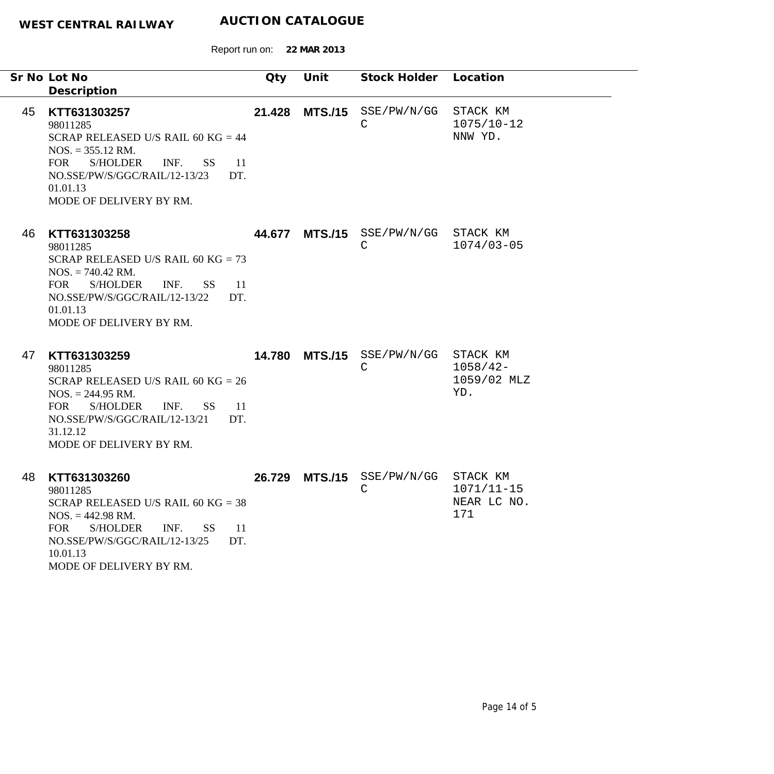|    | Sr No Lot No<br>Description                                                                                                                                                                                                                           | Qty    | Unit           | Stock Holder Location                    |                                                 |
|----|-------------------------------------------------------------------------------------------------------------------------------------------------------------------------------------------------------------------------------------------------------|--------|----------------|------------------------------------------|-------------------------------------------------|
| 45 | KTT631303257<br>98011285<br>SCRAP RELEASED U/S RAIL 60 KG = $44$<br>$NOS. = 355.12$ RM.<br>S/HOLDER<br>INF.<br><b>FOR</b><br>SS <sub>1</sub><br><sup>11</sup><br>NO.SSE/PW/S/GGC/RAIL/12-13/23<br>DT.<br>01.01.13<br>MODE OF DELIVERY BY RM.          | 21.428 | <b>MTS./15</b> | SSE/PW/N/GG<br>C                         | STACK KM<br>$1075/10 - 12$<br>NNW YD.           |
| 46 | KTT631303258<br>98011285<br>SCRAP RELEASED U/S RAIL 60 KG = $73$<br>$NOS. = 740.42$ RM.<br><b>FOR</b><br>S/HOLDER INF.<br>$SS = 11$<br>NO.SSE/PW/S/GGC/RAIL/12-13/22<br>DT.<br>01.01.13<br>MODE OF DELIVERY BY RM.                                    |        |                | 44.677 MTS./15 SSE/PW/N/GG STACK KM<br>C | $1074/03 - 05$                                  |
| 47 | KTT631303259<br>98011285<br>SCRAP RELEASED U/S RAIL 60 KG = $26$<br>$NOS. = 244.95 \text{ RM}.$<br><b>FOR</b><br><b>S/HOLDER</b><br>INF.<br><b>SS</b><br><sup>11</sup><br>NO.SSE/PW/S/GGC/RAIL/12-13/21<br>DT.<br>31.12.12<br>MODE OF DELIVERY BY RM. | 14.780 | <b>MTS./15</b> | SSE/PW/N/GG<br>C                         | STACK KM<br>$1058/42 -$<br>1059/02 MLZ<br>YD.   |
| 48 | KTT631303260<br>98011285<br>SCRAP RELEASED U/S RAIL 60 KG = $38$<br>$NOS. = 442.98 \text{ RM}.$<br><b>FOR</b><br><b>S/HOLDER</b><br>INF.<br><b>SS</b><br>11<br>NO.SSE/PW/S/GGC/RAIL/12-13/25<br>DT.<br>10.01.13<br>MODE OF DELIVERY BY RM.            | 26.729 | <b>MTS./15</b> | SSE/PW/N/GG<br>$\mathsf C$               | STACK KM<br>$1071/11 - 15$<br>NEAR LC NO<br>171 |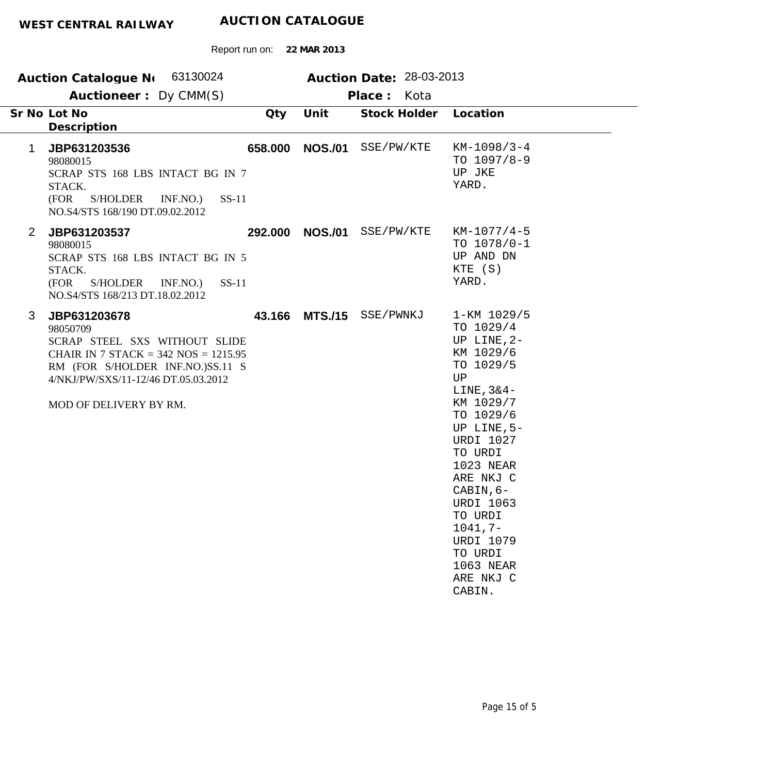|                | Auction Catalogue N 63130024                                                                                                                                                                               |         |                | Auction Date: 28-03-2013 |                                                                                                                                                                                                                                                                                                                        |
|----------------|------------------------------------------------------------------------------------------------------------------------------------------------------------------------------------------------------------|---------|----------------|--------------------------|------------------------------------------------------------------------------------------------------------------------------------------------------------------------------------------------------------------------------------------------------------------------------------------------------------------------|
|                | Auctioneer: Dy CMM(S)                                                                                                                                                                                      |         |                | Place: Kota              |                                                                                                                                                                                                                                                                                                                        |
|                | Sr No Lot No<br>Description                                                                                                                                                                                | Qty     | Unit           | Stock Holder             | Location                                                                                                                                                                                                                                                                                                               |
| 1              | JBP631203536<br>98080015<br>SCRAP STS 168 LBS INTACT BG IN 7<br>STACK.<br>S/HOLDER<br>INF.NO.)<br>$SS-11$<br>(FOR<br>NO.S4/STS 168/190 DT.09.02.2012                                                       | 658.000 | <b>NOS./01</b> | SSE/PW/KTE               | $KM-1098/3-4$<br>TO $1097/8-9$<br>UP JKE<br>YARD.                                                                                                                                                                                                                                                                      |
| $\overline{2}$ | JBP631203537<br>98080015<br>SCRAP STS 168 LBS INTACT BG IN 5<br>STACK.<br>(FOR<br>S/HOLDER INF.NO.)<br>$SS-11$<br>NO.S4/STS 168/213 DT.18.02.2012                                                          | 292.000 |                | NOS./01 SSE/PW/KTE       | $KM-1077/4-5$<br>TO $1078/0-1$<br>UP AND DN<br>KTE (S)<br>YARD.                                                                                                                                                                                                                                                        |
| 3              | JBP631203678<br>98050709<br>SCRAP STEEL SXS WITHOUT SLIDE<br>CHAIR IN 7 STACK = $342$ NOS = $1215.95$<br>RM (FOR S/HOLDER INF.NO.)SS.11 S<br>4/NKJ/PW/SXS/11-12/46 DT.05.03.2012<br>MOD OF DELIVERY BY RM. | 43.166  | <b>MTS./15</b> | SSE/PWNKJ                | 1-KM 1029/5<br>TO 1029/4<br>UP LINE, 2-<br>KM 1029/6<br>TO 1029/5<br>UP<br>LINE, $3&4-$<br>KM 1029/7<br>TO 1029/6<br>UP LINE, 5-<br><b>URDI 1027</b><br>TO URDI<br>1023 NEAR<br>ARE NKJ C<br>CABIN, 6-<br><b>URDI 1063</b><br>TO URDI<br>$1041, 7-$<br><b>URDI 1079</b><br>TO URDI<br>1063 NEAR<br>ARE NKJ C<br>CABIN. |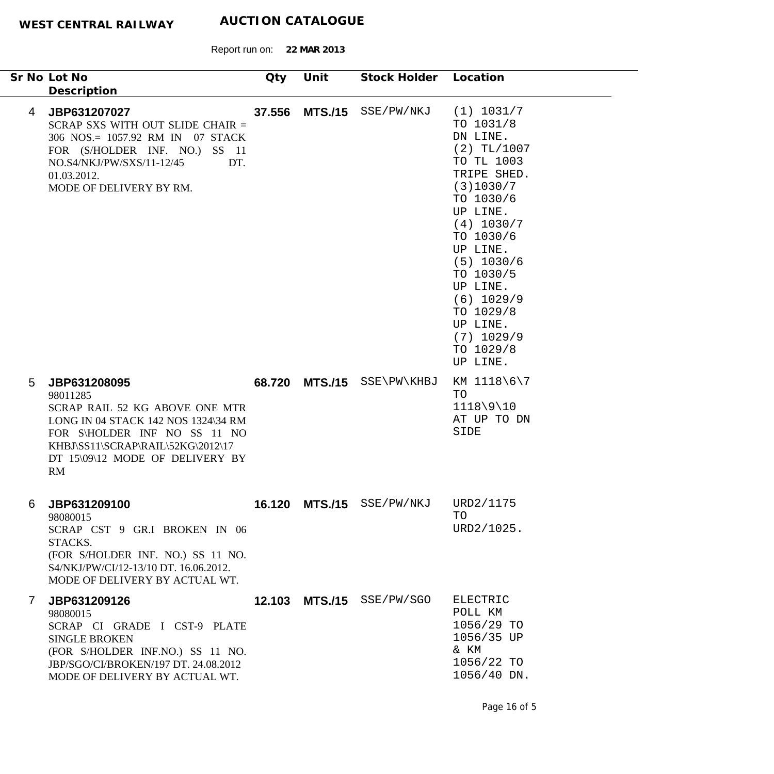|              | Sr No Lot No<br>Description                                                                                                                                                                                     | Qty    | Unit           | Stock Holder              | Location                                                                                                                                                                                                                                                                                  |
|--------------|-----------------------------------------------------------------------------------------------------------------------------------------------------------------------------------------------------------------|--------|----------------|---------------------------|-------------------------------------------------------------------------------------------------------------------------------------------------------------------------------------------------------------------------------------------------------------------------------------------|
| 4            | JBP631207027<br>SCRAP SXS WITH OUT SLIDE CHAIR =<br>306 NOS.= 1057.92 RM IN 07 STACK<br>FOR (S/HOLDER INF. NO.) SS 11<br>NO.S4/NKJ/PW/SXS/11-12/45<br>DT.<br>01.03.2012.<br>MODE OF DELIVERY BY RM.             | 37.556 | <b>MTS./15</b> | SSE/PW/NKJ                | (1) 1031/7<br>TO 1031/8<br>DN LINE.<br>$(2)$ TL/1007<br>TO TL 1003<br>TRIPE SHED.<br>(3)1030/7<br>TO 1030/6<br>UP LINE.<br>(4) 1030/7<br>TO 1030/6<br>UP LINE.<br>$(5)$ 1030/6<br>TO 1030/5<br>UP LINE.<br>$(6)$ 1029/9<br>TO 1029/8<br>UP LINE.<br>$(7)$ 1029/9<br>TO 1029/8<br>UP LINE. |
| 5            | JBP631208095<br>98011285<br>SCRAP RAIL 52 KG ABOVE ONE MTR<br>LONG IN 04 STACK 142 NOS 1324\34 RM<br>FOR S\HOLDER INF NO SS 11 NO<br>KHBJ\SS11\SCRAP\RAIL\52KG\2012\17<br>DT 15\09\12 MODE OF DELIVERY BY<br>RM |        | 68.720 MTS./15 | SSE\PW\KHBJ               | KM 1118\6\7<br>TO<br>$1118\9\10$<br>AT UP TO DN<br>SIDE                                                                                                                                                                                                                                   |
| 6            | JBP631209100<br>98080015<br>SCRAP CST 9 GR.I BROKEN IN 06<br>STACKS.<br>(FOR S/HOLDER INF. NO.) SS 11 NO.<br>S4/NKJ/PW/CI/12-13/10 DT. 16.06.2012.<br>MODE OF DELIVERY BY ACTUAL WT.                            |        |                | 16.120 MTS./15 SSE/PW/NKJ | URD2/1175<br>TO<br>URD2/1025.                                                                                                                                                                                                                                                             |
| $\mathbf{7}$ | JBP631209126<br>98080015<br>SCRAP CI GRADE I CST-9 PLATE<br><b>SINGLE BROKEN</b><br>(FOR S/HOLDER INF.NO.) SS 11 NO.<br>JBP/SGO/CI/BROKEN/197 DT. 24.08.2012<br>MODE OF DELIVERY BY ACTUAL WT.                  |        |                | 12.103 MTS./15 SSE/PW/SGO | ELECTRIC<br>POLL KM<br>1056/29 TO<br>1056/35 UP<br>& KM<br>1056/22 TO<br>1056/40 DN.                                                                                                                                                                                                      |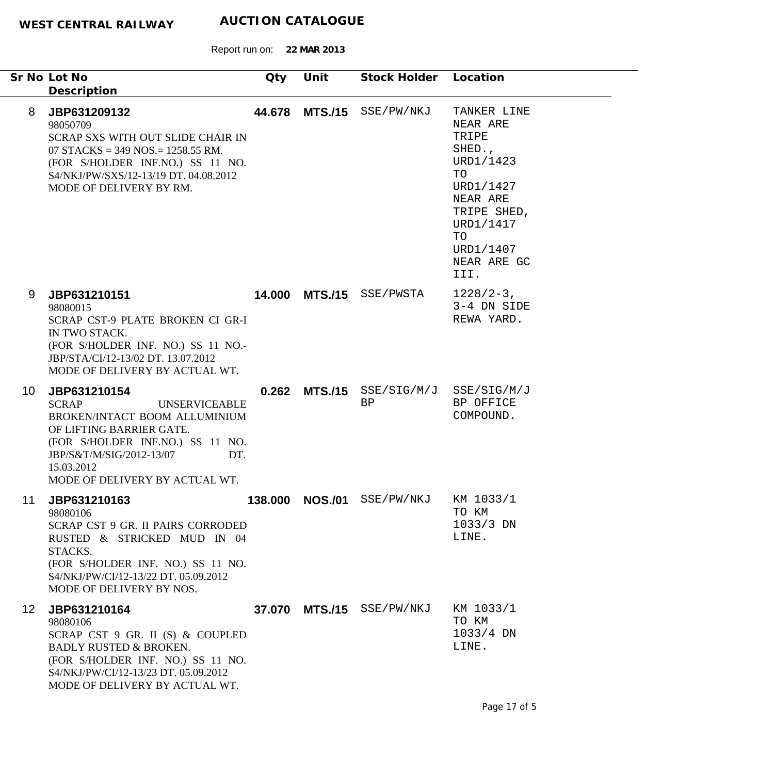|                 | Sr No Lot No<br>Description                                                                                                                                                                                                              | Qty     | Unit           | Stock Holder       | Location                                                                                                                                                     |
|-----------------|------------------------------------------------------------------------------------------------------------------------------------------------------------------------------------------------------------------------------------------|---------|----------------|--------------------|--------------------------------------------------------------------------------------------------------------------------------------------------------------|
| 8               | JBP631209132<br>98050709<br>SCRAP SXS WITH OUT SLIDE CHAIR IN<br>07 STACKS = $349$ NOS. = $1258.55$ RM.<br>(FOR S/HOLDER INF.NO.) SS 11 NO.<br>S4/NKJ/PW/SXS/12-13/19 DT. 04.08.2012<br>MODE OF DELIVERY BY RM.                          | 44.678  | <b>MTS./15</b> | SSE/PW/NKJ         | TANKER LINE<br>NEAR ARE<br>TRIPE<br>SHED.,<br>URD1/1423<br>TO<br>URD1/1427<br>NEAR ARE<br>TRIPE SHED,<br>URD1/1417<br>TO<br>URD1/1407<br>NEAR ARE GC<br>III. |
| 9               | JBP631210151<br>98080015<br>SCRAP CST-9 PLATE BROKEN CI GR-I<br>IN TWO STACK.<br>(FOR S/HOLDER INF. NO.) SS 11 NO.-<br>JBP/STA/CI/12-13/02 DT. 13.07.2012<br>MODE OF DELIVERY BY ACTUAL WT.                                              | 14.000  | <b>MTS./15</b> | SSE/PWSTA          | $1228/2-3$ ,<br>3-4 DN SIDE<br>REWA YARD.                                                                                                                    |
| 10              | JBP631210154<br><b>SCRAP</b><br><b>UNSERVICEABLE</b><br>BROKEN/INTACT BOOM ALLUMINIUM<br>OF LIFTING BARRIER GATE.<br>(FOR S/HOLDER INF.NO.) SS 11 NO.<br>JBP/S&T/M/SIG/2012-13/07<br>DT.<br>15.03.2012<br>MODE OF DELIVERY BY ACTUAL WT. | 0.262   | <b>MTS./15</b> | SSE/SIG/M/J<br>BP  | SSE/SIG/M/J<br>BP OFFICE<br>COMPOUND.                                                                                                                        |
| 11              | JBP631210163<br>98080106<br><b>SCRAP CST 9 GR. II PAIRS CORRODED</b><br>RUSTED & STRICKED MUD IN 04<br>STACKS.<br>(FOR S/HOLDER INF. NO.) SS 11 NO.<br>S4/NKJ/PW/CI/12-13/22 DT. 05.09.2012<br>MODE OF DELIVERY BY NOS.                  | 138.000 | <b>NOS./01</b> | SSE/PW/NKJ         | KM 1033/1<br>TO KM<br>$1033/3$ DN<br>LINE.                                                                                                                   |
| 12 <sup>1</sup> | JBP631210164<br>98080106<br>SCRAP CST 9 GR. II (S) & COUPLED<br><b>BADLY RUSTED &amp; BROKEN.</b><br>(FOR S/HOLDER INF. NO.) SS 11 NO.<br>S4/NKJ/PW/CI/12-13/23 DT. 05.09.2012<br>MODE OF DELIVERY BY ACTUAL WT.                         | 37.070  |                | MTS./15 SSE/PW/NKJ | KM 1033/1<br>TO KM<br>$1033/4$ DN<br>LINE.                                                                                                                   |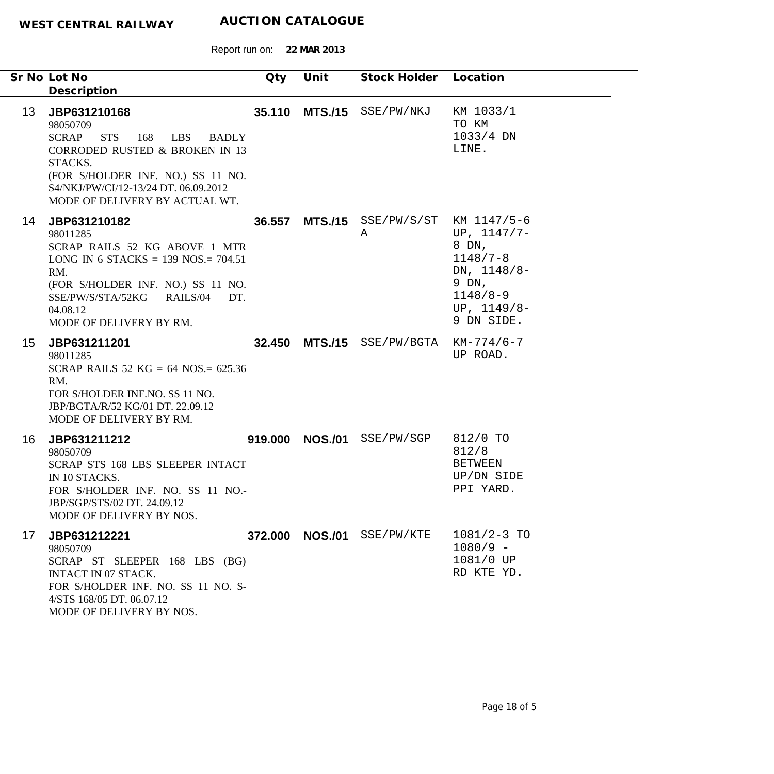|                 | Sr No Lot No<br>Description                                                                                                                                                                                                                       | Qty     | Unit           | Stock Holder Location                       |                                                                                                               |
|-----------------|---------------------------------------------------------------------------------------------------------------------------------------------------------------------------------------------------------------------------------------------------|---------|----------------|---------------------------------------------|---------------------------------------------------------------------------------------------------------------|
| 13 <sup>°</sup> | JBP631210168<br>98050709<br><b>SCRAP</b><br><b>STS</b><br>168<br>LBS BADLY<br><b>CORRODED RUSTED &amp; BROKEN IN 13</b><br>STACKS.<br>(FOR S/HOLDER INF. NO.) SS 11 NO.<br>S4/NKJ/PW/CI/12-13/24 DT. 06.09.2012<br>MODE OF DELIVERY BY ACTUAL WT. |         |                | 35.110 MTS./15 SSE/PW/NKJ                   | KM 1033/1<br>TO KM<br>1033/4 DN<br>LINE.                                                                      |
| 14              | JBP631210182<br>98011285<br>SCRAP RAILS 52 KG ABOVE 1 MTR<br>LONG IN 6 STACKS = $139$ NOS = $704.51$<br>RM.<br>(FOR S/HOLDER INF. NO.) SS 11 NO.<br>SSE/PW/S/STA/52KG<br>RAILS/04<br>DT.<br>04.08.12<br>MODE OF DELIVERY BY RM.                   |         |                | 36.557 MTS./15 SSE/PW/S/ST KM 1147/5-6<br>A | UP, $1147/7-$<br>8 DN,<br>$1148/7 - 8$<br>DN, 1148/8-<br>9 DN,<br>$1148/8 - 9$<br>UP, $1149/8-$<br>9 DN SIDE. |
| 15 <sub>2</sub> | JBP631211201<br>98011285<br>SCRAP RAILS 52 KG = 64 NOS. = $625.36$<br>RM.<br>FOR S/HOLDER INF.NO. SS 11 NO.<br>JBP/BGTA/R/52 KG/01 DT. 22.09.12<br>MODE OF DELIVERY BY RM.                                                                        |         | 32.450 MTS./15 | SSE/PW/BGTA                                 | KM-774/6-7<br>UP ROAD.                                                                                        |
| 16              | JBP631211212<br>98050709<br>SCRAP STS 168 LBS SLEEPER INTACT<br>IN 10 STACKS.<br>FOR S/HOLDER INF. NO. SS 11 NO.-<br>JBP/SGP/STS/02 DT. 24.09.12<br>MODE OF DELIVERY BY NOS.                                                                      | 919.000 | <b>NOS./01</b> | SSE/PW/SGP                                  | 812/0 TO<br>812/8<br><b>BETWEEN</b><br>UP/DN SIDE<br>PPI YARD.                                                |
| 17              | JBP631212221<br>98050709<br>SCRAP ST SLEEPER 168 LBS (BG)<br>INTACT IN 07 STACK.<br>FOR S/HOLDER INF. NO. SS 11 NO. S-<br>4/STS 168/05 DT. 06.07.12<br>MODE OF DELIVERY BY NOS.                                                                   | 372.000 | <b>NOS./01</b> | SSE/PW/KTE                                  | $1081/2 - 3$ TO<br>$1080/9 -$<br>1081/0 UP<br>RD KTE YD.                                                      |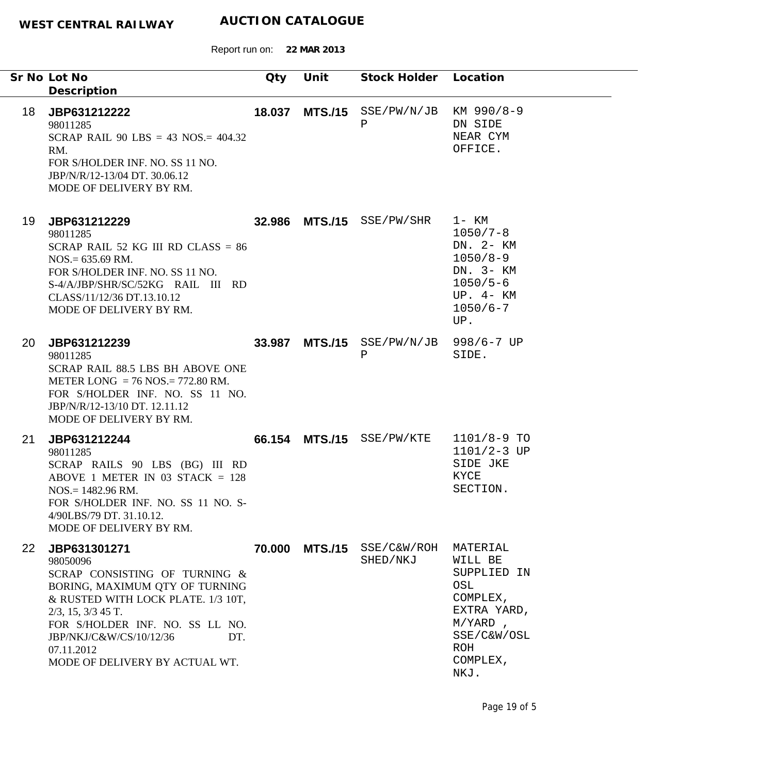Report run on: **22 MAR 2013**

|                 | Sr No Lot No<br>Description                                                                                                                                                                                                                                                       | Qty    | Unit           | Stock Holder Location       |                                                                                                                              |
|-----------------|-----------------------------------------------------------------------------------------------------------------------------------------------------------------------------------------------------------------------------------------------------------------------------------|--------|----------------|-----------------------------|------------------------------------------------------------------------------------------------------------------------------|
| 18              | JBP631212222<br>98011285<br>SCRAP RAIL 90 LBS = 43 NOS. = $404.32$<br>RM.<br>FOR S/HOLDER INF. NO. SS 11 NO.<br>JBP/N/R/12-13/04 DT. 30.06.12<br>MODE OF DELIVERY BY RM.                                                                                                          | 18.037 | <b>MTS./15</b> | SSE/PW/N/JB KM 990/8-9<br>Ρ | DN SIDE<br>NEAR CYM<br>OFFICE.                                                                                               |
| 19              | JBP631212229<br>98011285<br>SCRAP RAIL 52 KG III RD CLASS = $86$<br>$NOS = 635.69$ RM.<br>FOR S/HOLDER INF. NO. SS 11 NO.<br>S-4/A/JBP/SHR/SC/52KG RAIL III RD<br>CLASS/11/12/36 DT.13.10.12<br>MODE OF DELIVERY BY RM.                                                           |        |                | 32.986 MTS./15 SSE/PW/SHR   | $1-$ KM<br>$1050/7 - 8$<br>DN. 2- KM<br>$1050/8 - 9$<br>DN. 3- KM<br>$1050/5 - 6$<br>$UP. 4- KM$<br>$1050/6 - 7$<br>UP.      |
| 20              | JBP631212239<br>98011285<br>SCRAP RAIL 88.5 LBS BH ABOVE ONE<br>METER LONG = $76$ NOS = $772.80$ RM.<br>FOR S/HOLDER INF. NO. SS 11 NO.<br>JBP/N/R/12-13/10 DT. 12.11.12<br>MODE OF DELIVERY BY RM.                                                                               | 33.987 | <b>MTS./15</b> | SSE/PW/N/JB<br>$\, {\bf P}$ | $998/6 - 7$ UP<br>SIDE.                                                                                                      |
| 21              | JBP631212244<br>98011285<br>SCRAP RAILS 90 LBS (BG) III RD<br>ABOVE 1 METER IN 03 STACK $= 128$<br>$NOS = 1482.96$ RM.<br>FOR S/HOLDER INF. NO. SS 11 NO. S-<br>4/90LBS/79 DT. 31.10.12.<br>MODE OF DELIVERY BY RM.                                                               |        |                | 66.154 MTS./15 SSE/PW/KTE   | $1101/8-9$ TO<br>$1101/2 - 3 UP$<br>SIDE JKE<br>KYCE<br>SECTION.                                                             |
| 22 <sub>2</sub> | JBP631301271<br>98050096<br>SCRAP CONSISTING OF TURNING &<br>BORING, MAXIMUM QTY OF TURNING<br>& RUSTED WITH LOCK PLATE. 1/3 10T,<br>$2/3$ , 15, $3/3$ 45 T.<br>FOR S/HOLDER INF. NO. SS LL NO.<br>JBP/NKJ/C&W/CS/10/12/36<br>DT.<br>07.11.2012<br>MODE OF DELIVERY BY ACTUAL WT. | 70.000 | <b>MTS./15</b> | SSE/C&W/ROH<br>SHED/NKJ     | MATERIAL<br>WILL BE<br>SUPPLIED IN<br>OSL<br>COMPLEX,<br>EXTRA YARD,<br>$M/YARD$ ,<br>SSE/C&W/OSL<br>ROH<br>COMPLEX,<br>NKJ. |

Page 19 of 5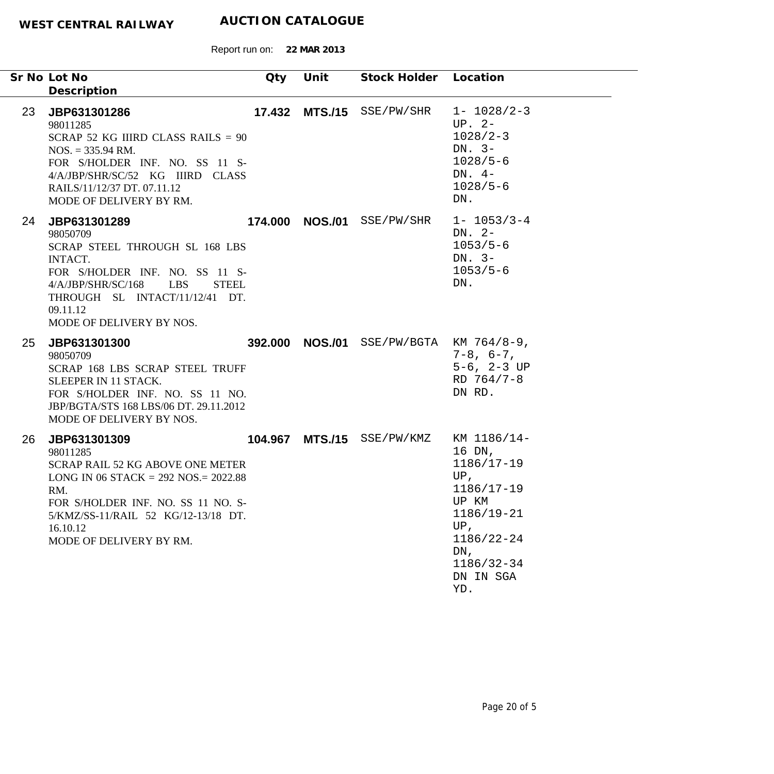|    | Sr No Lot No<br>Description                                                                                                                                                                                                                  | Qty | Unit            | Stock Holder Location      |                                                                                                                                                              |
|----|----------------------------------------------------------------------------------------------------------------------------------------------------------------------------------------------------------------------------------------------|-----|-----------------|----------------------------|--------------------------------------------------------------------------------------------------------------------------------------------------------------|
| 23 | JBP631301286<br>98011285<br>SCRAP 52 KG IIIRD CLASS RAILS = $90$<br>$NOS. = 335.94 \text{ RM}.$<br>FOR S/HOLDER INF. NO. SS 11 S-<br>4/A/JBP/SHR/SC/52 KG IIIRD CLASS<br>RAILS/11/12/37 DT. 07.11.12<br>MODE OF DELIVERY BY RM.              |     |                 | 17.432 MTS./15 SSE/PW/SHR  | $1 - 1028/2 - 3$<br>$UP. 2-$<br>$1028/2 - 3$<br>DN. $3-$<br>$1028/5 - 6$<br>DN. $4-$<br>$1028/5 - 6$<br>DN.                                                  |
| 24 | JBP631301289<br>98050709<br>SCRAP STEEL THROUGH SL 168 LBS<br><b>INTACT.</b><br>FOR S/HOLDER INF. NO. SS 11 S-<br>4/A/JBP/SHR/SC/168<br><b>LBS</b><br><b>STEEL</b><br>THROUGH SL INTACT/11/12/41 DT.<br>09.11.12<br>MODE OF DELIVERY BY NOS. |     | 174.000 NOS./01 | SSE/PW/SHR                 | $1 - 1053/3 - 4$<br>DN. $2-$<br>$1053/5 - 6$<br>DN. $3-$<br>$1053/5 - 6$<br>DN.                                                                              |
| 25 | JBP631301300<br>98050709<br>SCRAP 168 LBS SCRAP STEEL TRUFF<br>SLEEPER IN 11 STACK.<br>FOR S/HOLDER INF. NO. SS 11 NO.<br>JBP/BGTA/STS 168 LBS/06 DT. 29.11.2012<br>MODE OF DELIVERY BY NOS.                                                 |     | 392.000 NOS./01 |                            | $SSE/PW/BGTA$ KM $764/8-9$ ,<br>$7 - 8$ , $6 - 7$ ,<br>$5-6$ , $2-3$ UP<br>RD 764/7-8<br>DN RD.                                                              |
| 26 | JBP631301309<br>98011285<br><b>SCRAP RAIL 52 KG ABOVE ONE METER</b><br>LONG IN 06 STACK = $292$ NOS. = $2022.88$<br>RM.<br>FOR S/HOLDER INF. NO. SS 11 NO. S-<br>5/KMZ/SS-11/RAIL 52 KG/12-13/18 DT.<br>16.10.12<br>MODE OF DELIVERY BY RM.  |     |                 | 104.967 MTS./15 SSE/PW/KMZ | KM 1186/14-<br>16 DN,<br>$1186/17 - 19$<br>UP,<br>$1186/17 - 19$<br>UP KM<br>$1186/19 - 21$<br>$UP$ ,<br>1186/22-24<br>DN,<br>1186/32-34<br>DN IN SGA<br>YD. |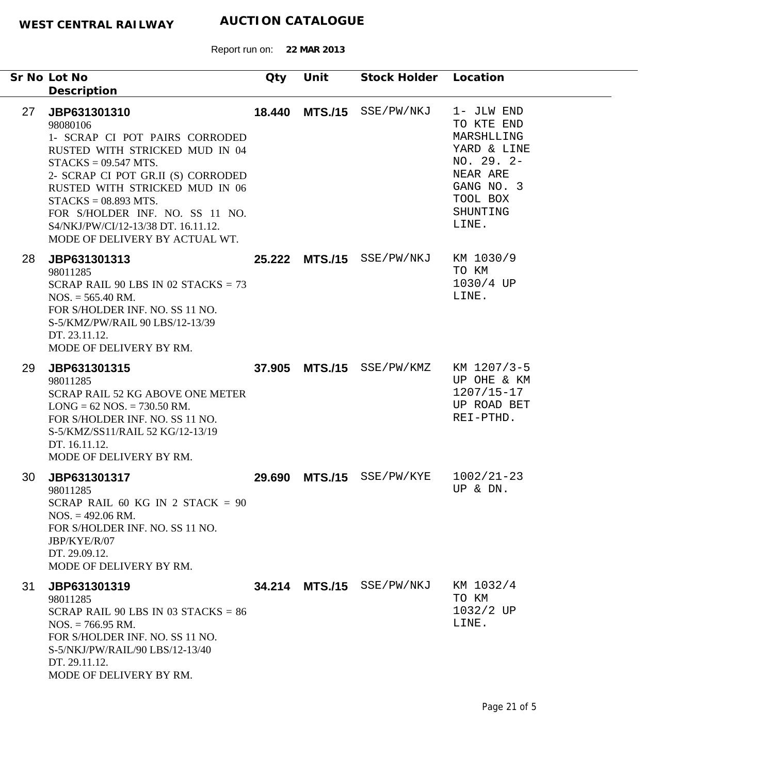|    | Sr No Lot No<br>Description                                                                                                                                                                                                                                                                                                          | Qty | Unit | Stock Holder Location                 |                                                                                                                    |
|----|--------------------------------------------------------------------------------------------------------------------------------------------------------------------------------------------------------------------------------------------------------------------------------------------------------------------------------------|-----|------|---------------------------------------|--------------------------------------------------------------------------------------------------------------------|
| 27 | JBP631301310<br>98080106<br>1- SCRAP CI POT PAIRS CORRODED<br>RUSTED WITH STRICKED MUD IN 04<br>$STACKS = 09.547 MTS.$<br>2- SCRAP CI POT GR.II (S) CORRODED<br>RUSTED WITH STRICKED MUD IN 06<br>$STACKS = 08.893 MTS.$<br>FOR S/HOLDER INF. NO. SS 11 NO.<br>S4/NKJ/PW/CI/12-13/38 DT. 16.11.12.<br>MODE OF DELIVERY BY ACTUAL WT. |     |      | 18.440 MTS./15 SSE/PW/NKJ 1- JLW END  | TO KTE END<br>MARSHLLING<br>YARD & LINE<br>$NO. 29. 2-$<br>NEAR ARE<br>GANG NO. 3<br>TOOL BOX<br>SHUNTING<br>LINE. |
| 28 | JBP631301313<br>98011285<br>SCRAP RAIL 90 LBS IN 02 STACKS = $73$<br>$NOS. = 565.40$ RM.<br>FOR S/HOLDER INF. NO. SS 11 NO.<br>S-5/KMZ/PW/RAIL 90 LBS/12-13/39<br>DT. 23.11.12.<br>MODE OF DELIVERY BY RM.                                                                                                                           |     |      | 25.222 MTS./15 SSE/PW/NKJ KM 1030/9   | TO KM<br>$1030/4$ UP<br>LINE.                                                                                      |
| 29 | JBP631301315<br>98011285<br><b>SCRAP RAIL 52 KG ABOVE ONE METER</b><br>$LONG = 62 NOS. = 730.50 RM.$<br>FOR S/HOLDER INF. NO. SS 11 NO.<br>S-5/KMZ/SS11/RAIL 52 KG/12-13/19<br>DT. 16.11.12.<br>MODE OF DELIVERY BY RM.                                                                                                              |     |      | 37.905 MTS./15 SSE/PW/KMZ KM 1207/3-5 | UP OHE & KM<br>$1207/15 - 17$<br>UP ROAD BET<br>REI-PTHD.                                                          |
| 30 | JBP631301317<br>98011285<br>SCRAP RAIL 60 KG IN 2 STACK = $90$<br>$NOS. = 492.06 \text{ RM}.$<br>FOR S/HOLDER INF. NO. SS 11 NO.<br>JBP/KYE/R/07<br>DT. 29.09.12.<br>MODE OF DELIVERY BY RM.                                                                                                                                         |     |      | 29.690 MTS./15 SSE/PW/KYE             | $1002/21 - 23$<br>UP & DN.                                                                                         |
| 31 | JBP631301319<br>98011285<br>SCRAP RAIL 90 LBS IN 03 STACKS = $86$<br>$NOS. = 766.95 \text{ RM}.$<br>FOR S/HOLDER INF. NO. SS 11 NO.<br>S-5/NKJ/PW/RAIL/90 LBS/12-13/40<br>DT. 29.11.12.<br>MODE OF DELIVERY BY RM.                                                                                                                   |     |      | 34.214 MTS./15 SSE/PW/NKJ             | KM 1032/4<br>TO KM<br>1032/2 UP<br>LINE.                                                                           |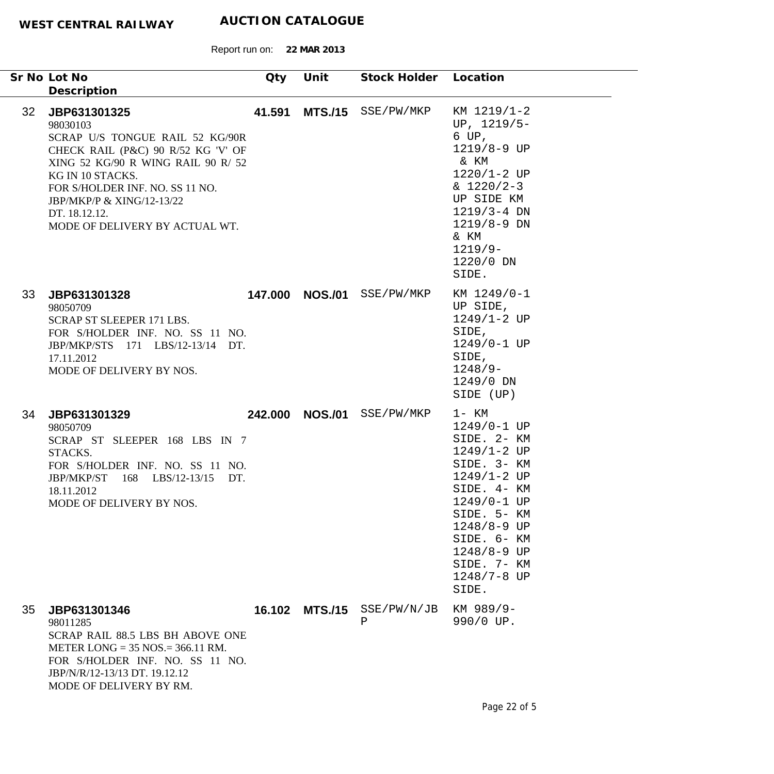| Sr No Lot No                                                                                    |                                                                                                                                                                                                               | Qty    | Unit            | Stock Holder Location |                                                                                                                                                                                                                                  |
|-------------------------------------------------------------------------------------------------|---------------------------------------------------------------------------------------------------------------------------------------------------------------------------------------------------------------|--------|-----------------|-----------------------|----------------------------------------------------------------------------------------------------------------------------------------------------------------------------------------------------------------------------------|
| Description<br>32 <sup>2</sup><br>JBP631301325<br>98030103<br>KG IN 10 STACKS.<br>DT. 18.12.12. | SCRAP U/S TONGUE RAIL 52 KG/90R<br>CHECK RAIL (P&C) 90 R/52 KG 'V' OF<br>XING 52 KG/90 R WING RAIL 90 R/ 52<br>FOR S/HOLDER INF. NO. SS 11 NO.<br>JBP/MKP/P & XING/12-13/22<br>MODE OF DELIVERY BY ACTUAL WT. | 41.591 |                 | MTS./15 SSE/PW/MKP    | KM 1219/1-2<br>UP, $1219/5-$<br>6 UP,<br>1219/8-9 UP<br>& KM<br>$1220/1 - 2 UP$<br>$& 1220/2-3$<br>UP SIDE KM<br>$1219/3 - 4$ DN<br>$1219/8 - 9$ DN<br>& KM<br>$1219/9-$<br>1220/0 DN<br>SIDE.                                   |
| 33<br>JBP631301328<br>98050709<br>17.11.2012                                                    | SCRAP ST SLEEPER 171 LBS.<br>FOR S/HOLDER INF. NO. SS 11 NO.<br>JBP/MKP/STS 171 LBS/12-13/14 DT.<br>MODE OF DELIVERY BY NOS.                                                                                  |        | 147.000 NOS./01 | SSE/PW/MKP            | KM 1249/0-1<br>UP SIDE,<br>1249/1-2 UP<br>SIDE,<br>1249/0-1 UP<br>SIDE,<br>$1248/9-$<br>1249/0 DN<br>SIDE (UP)                                                                                                                   |
| 34<br>JBP631301329<br>98050709<br>STACKS.<br>JBP/MKP/ST<br>18.11.2012                           | SCRAP ST SLEEPER 168 LBS IN 7<br>FOR S/HOLDER INF. NO. SS 11 NO.<br>168 LBS/12-13/15<br>DT.<br>MODE OF DELIVERY BY NOS.                                                                                       |        | 242.000 NOS./01 | SSE/PW/MKP            | $1 - KM$<br>1249/0-1 UP<br>SIDE. 2- KM<br>$1249/1 - 2 UP$<br>SIDE. 3- KM<br>$1249/1 - 2 UP$<br>SIDE. 4- KM<br>1249/0-1 UP<br>SIDE. 5- KM<br>1248/8-9 UP<br>SIDE. 6- KM<br>1248/8-9 UP<br>SIDE. 7- KM<br>$1248/7 - 8$ UP<br>SIDE. |
| 35 <sup>5</sup><br>JBP631301346<br>98011285                                                     | SCRAP RAIL 88.5 LBS BH ABOVE ONE<br>METER LONG = $35$ NOS = $366.11$ RM.<br>FOR S/HOLDER INF. NO. SS 11 NO.<br>JBP/N/R/12-13/13 DT. 19.12.12<br>MODE OF DELIVERY BY RM.                                       |        | 16.102 MTS./15  | SSE/PW/N/JB<br>Ρ      | KM 989/9-<br>990/0 UP.                                                                                                                                                                                                           |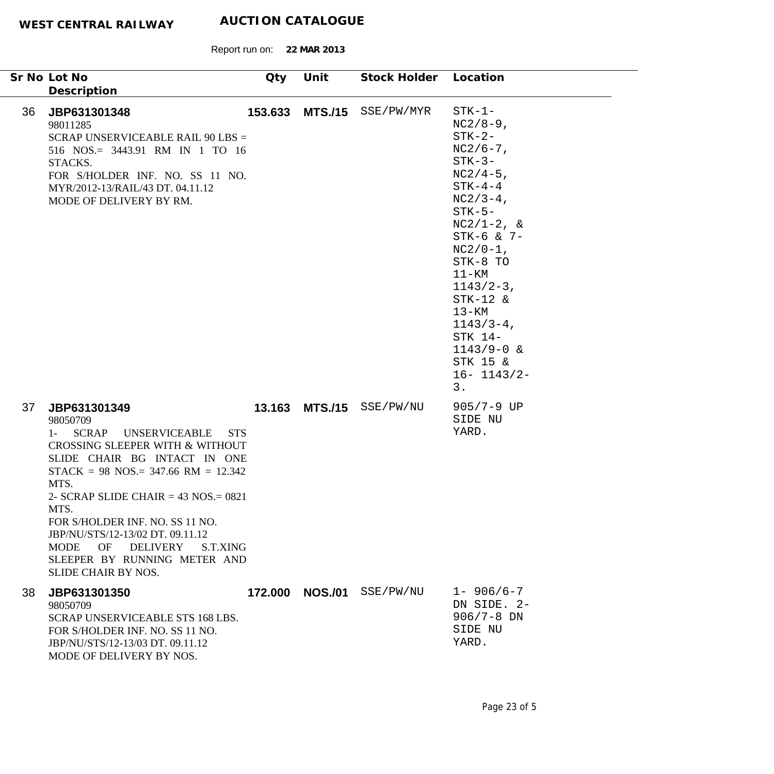|    | Sr No Lot No<br>Description                                                                                                                                                                                                                                                                                                                                                                                                                | Qty     | Unit           | Stock Holder Location |                                                                                                                                                                                                                                                                                                                             |
|----|--------------------------------------------------------------------------------------------------------------------------------------------------------------------------------------------------------------------------------------------------------------------------------------------------------------------------------------------------------------------------------------------------------------------------------------------|---------|----------------|-----------------------|-----------------------------------------------------------------------------------------------------------------------------------------------------------------------------------------------------------------------------------------------------------------------------------------------------------------------------|
| 36 | JBP631301348<br>98011285<br>SCRAP UNSERVICEABLE RAIL 90 LBS =<br>516 NOS.= 3443.91 RM IN 1 TO 16<br>STACKS.<br>FOR S/HOLDER INF. NO. SS 11 NO.<br>MYR/2012-13/RAIL/43 DT. 04.11.12<br>MODE OF DELIVERY BY RM.                                                                                                                                                                                                                              | 153.633 | <b>MTS./15</b> | SSE/PW/MYR            | $STK-1-$<br>$NC2/8-9$ ,<br>$STK-2-$<br>$NC2/6-7$ ,<br>$STK-3-$<br>$NC2/4-5$ ,<br>$STK-4-4$<br>$NC2/3-4$ ,<br>$STK-5-$<br>$NC2/1-2$ , &<br>STK-6 & 7-<br>$NC2/0-1$ ,<br>STK-8 TO<br>$11 - KM$<br>$1143/2-3$ ,<br>$STK-12$ &<br>$13 - KM$<br>$1143/3 - 4$ ,<br>STK 14-<br>$1143/9 - 0$ &<br>STK 15 &<br>$16 - 1143/2 -$<br>3. |
| 37 | JBP631301349<br>98050709<br><b>SCRAP</b><br><b>UNSERVICEABLE</b><br>$1 -$<br><b>STS</b><br>CROSSING SLEEPER WITH & WITHOUT<br>SLIDE CHAIR BG INTACT IN ONE<br>$STACK = 98$ NOS.= 347.66 RM = 12.342<br>MTS.<br>2- SCRAP SLIDE CHAIR = $43$ NOS = $0821$<br>MTS.<br>FOR S/HOLDER INF. NO. SS 11 NO.<br>JBP/NU/STS/12-13/02 DT. 09.11.12<br><b>MODE</b><br>OF<br>DELIVERY<br>S.T.XING<br>SLEEPER BY RUNNING METER AND<br>SLIDE CHAIR BY NOS. | 13.163  | <b>MTS./15</b> | SSE/PW/NU             | $905/7 - 9$ UP<br>SIDE NU<br>YARD.                                                                                                                                                                                                                                                                                          |
| 38 | JBP631301350<br>98050709<br>SCRAP UNSERVICEABLE STS 168 LBS.<br>FOR S/HOLDER INF. NO. SS 11 NO.<br>JBP/NU/STS/12-13/03 DT. 09.11.12<br>MODE OF DELIVERY BY NOS.                                                                                                                                                                                                                                                                            | 172.000 | <b>NOS./01</b> | SSE/PW/NU             | $1 - 906/6 - 7$<br>DN SIDE. 2-<br>$906/7 - 8$ DN<br>SIDE NU<br>YARD.                                                                                                                                                                                                                                                        |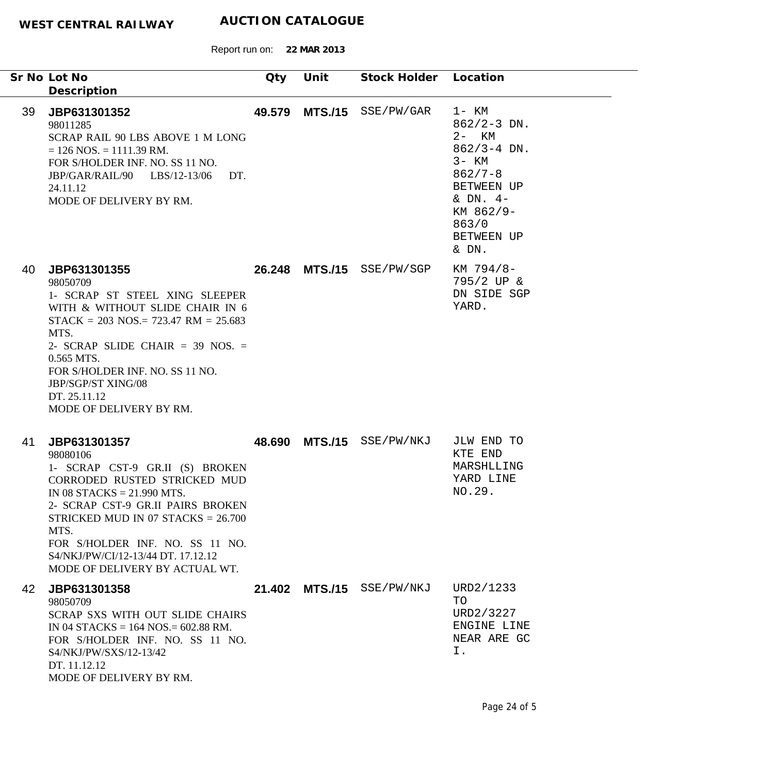Report run on: **22 MAR 2013**

|    | Sr No Lot No<br>Description                                                                                                                                                                                                                                                                                                 | Qty | Unit | Stock Holder Location     |                                                                                                                                                             |
|----|-----------------------------------------------------------------------------------------------------------------------------------------------------------------------------------------------------------------------------------------------------------------------------------------------------------------------------|-----|------|---------------------------|-------------------------------------------------------------------------------------------------------------------------------------------------------------|
| 39 | JBP631301352<br>98011285<br>SCRAP RAIL 90 LBS ABOVE 1 M LONG<br>$= 126$ NOS. $= 1111.39$ RM.<br>FOR S/HOLDER INF. NO. SS 11 NO.<br>JBP/GAR/RAIL/90 LBS/12-13/06 DT.<br>24.11.12<br>MODE OF DELIVERY BY RM.                                                                                                                  |     |      | 49.579 MTS./15 SSE/PW/GAR | 1- KM<br>$862/2 - 3$ DN.<br>$2 - KM$<br>$862/3 - 4$ DN.<br>$3 - KM$<br>$862/7 - 8$<br>BETWEEN UP<br>& $DN. 4-$<br>KM 862/9-<br>863/0<br>BETWEEN UP<br>& DN. |
| 40 | JBP631301355<br>98050709<br>1- SCRAP ST STEEL XING SLEEPER<br>WITH & WITHOUT SLIDE CHAIR IN 6<br>$STACK = 203$ NOS.= 723.47 RM = 25.683<br>MTS.<br>2- SCRAP SLIDE CHAIR = 39 NOS. =<br>0.565 MTS.<br>FOR S/HOLDER INF. NO. SS 11 NO.<br>JBP/SGP/ST XING/08<br>DT. 25.11.12<br>MODE OF DELIVERY BY RM.                       |     |      | 26.248 MTS./15 SSE/PW/SGP | KM 794/8-<br>795/2 UP &<br>DN SIDE SGP<br>YARD.                                                                                                             |
| 41 | JBP631301357<br>98080106<br>1- SCRAP CST-9 GR.II (S) BROKEN<br>CORRODED RUSTED STRICKED MUD<br>IN 08 STACKS = $21.990$ MTS.<br>2- SCRAP CST-9 GR.II PAIRS BROKEN<br>STRICKED MUD IN 07 STACKS = $26.700$<br>MTS.<br>FOR S/HOLDER INF. NO. SS 11 NO.<br>S4/NKJ/PW/CI/12-13/44 DT, 17.12.12<br>MODE OF DELIVERY BY ACTUAL WT. |     |      | 48.690 MTS./15 SSE/PW/NKJ | JLW END TO<br>KTE END<br>MARSHLLING<br>YARD LINE<br>NO.29.                                                                                                  |
| 42 | JBP631301358<br>98050709<br>SCRAP SXS WITH OUT SLIDE CHAIRS<br>IN 04 STACKS = $164$ NOS = $602.88$ RM.<br>FOR S/HOLDER INF. NO. SS 11 NO.<br>S4/NKJ/PW/SXS/12-13/42<br>DT. 11.12.12<br>MODE OF DELIVERY BY RM.                                                                                                              |     |      | 21.402 MTS./15 SSE/PW/NKJ | URD2/1233<br>TO<br>URD2/3227<br>ENGINE LINE<br>NEAR ARE GC<br>Ι.                                                                                            |

-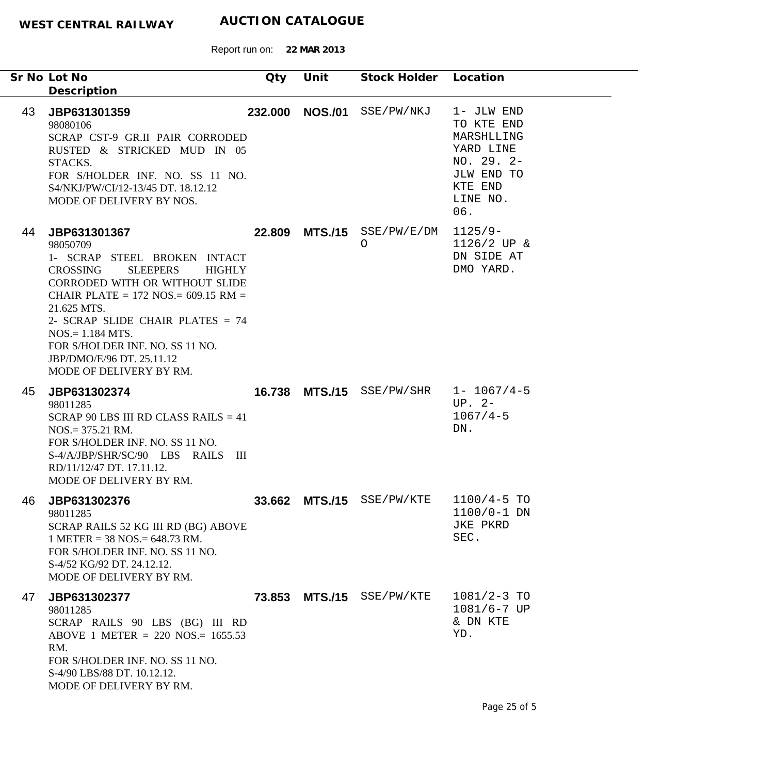Report run on: **22 MAR 2013**

|    | Sr No Lot No<br>Description                                                                                                                                                                                                                                                                                                                                       | Qty     | Unit | Stock Holder Location                 |                                                                                                               |
|----|-------------------------------------------------------------------------------------------------------------------------------------------------------------------------------------------------------------------------------------------------------------------------------------------------------------------------------------------------------------------|---------|------|---------------------------------------|---------------------------------------------------------------------------------------------------------------|
| 43 | JBP631301359<br>98080106<br>SCRAP CST-9 GR.II PAIR CORRODED<br>RUSTED & STRICKED MUD IN 05<br>STACKS.<br>FOR S/HOLDER INF. NO. SS 11 NO.<br>S4/NKJ/PW/CI/12-13/45 DT. 18.12.12<br>MODE OF DELIVERY BY NOS.                                                                                                                                                        | 232.000 |      | NOS./01 SSE/PW/NKJ                    | 1- JLW END<br>TO KTE END<br>MARSHLLING<br>YARD LINE<br>NO. 29. 2-<br>JLW END TO<br>KTE END<br>LINE NO.<br>06. |
| 44 | JBP631301367<br>98050709<br>1- SCRAP STEEL BROKEN INTACT<br><b>CROSSING</b><br><b>SLEEPERS</b><br><b>HIGHLY</b><br>CORRODED WITH OR WITHOUT SLIDE<br>CHAIR PLATE = $172$ NOS. = $609.15$ RM =<br>21.625 MTS.<br>2- SCRAP SLIDE CHAIR PLATES = 74<br>$NOS = 1.184 MTS.$<br>FOR S/HOLDER INF. NO. SS 11 NO.<br>JBP/DMO/E/96 DT. 25.11.12<br>MODE OF DELIVERY BY RM. | 22.809  |      | $MTS./15$ SSE/PW/E/DM<br>O            | $1125/9-$<br>$1126/2$ UP &<br>DN SIDE AT<br>DMO YARD.                                                         |
| 45 | JBP631302374<br>98011285<br>SCRAP 90 LBS III RD CLASS RAILS $= 41$<br>$NOS = 375.21$ RM.<br>FOR S/HOLDER INF. NO. SS 11 NO.<br>S-4/A/JBP/SHR/SC/90 LBS RAILS III<br>RD/11/12/47 DT. 17.11.12.<br>MODE OF DELIVERY BY RM.                                                                                                                                          |         |      | 16.738 MTS./15 SSE/PW/SHR 1- 1067/4-5 | $UP. 2-$<br>$1067/4 - 5$<br>DN.                                                                               |
|    | 46 JBP631302376<br>98011285<br>SCRAP RAILS 52 KG III RD (BG) ABOVE<br>$1$ METER = 38 NOS. = 648.73 RM.<br>FOR S/HOLDER INF. NO. SS 11 NO.<br>S-4/52 KG/92 DT. 24.12.12.<br>MODE OF DELIVERY BY RM.                                                                                                                                                                | 33.662  |      | MTS./15 SSE/PW/KTE                    | $1100/4 - 5$ TO<br>$1100/0 - 1$ DN<br>JKE PKRD<br>SEC.                                                        |
| 47 | JBP631302377<br>98011285<br>SCRAP RAILS 90 LBS (BG) III RD<br>ABOVE 1 METER = 220 NOS.= $1655.53$<br>RM.<br>FOR S/HOLDER INF. NO. SS 11 NO.<br>S-4/90 LBS/88 DT. 10.12.12.<br>MODE OF DELIVERY BY RM.                                                                                                                                                             |         |      | 73.853 MTS./15 SSE/PW/KTE             | $1081/2 - 3$ TO<br>$1081/6 - 7$ UP<br>& DN KTE<br>YD.                                                         |

 $\sim$   $\sim$ 

 $\overline{\phantom{a}}$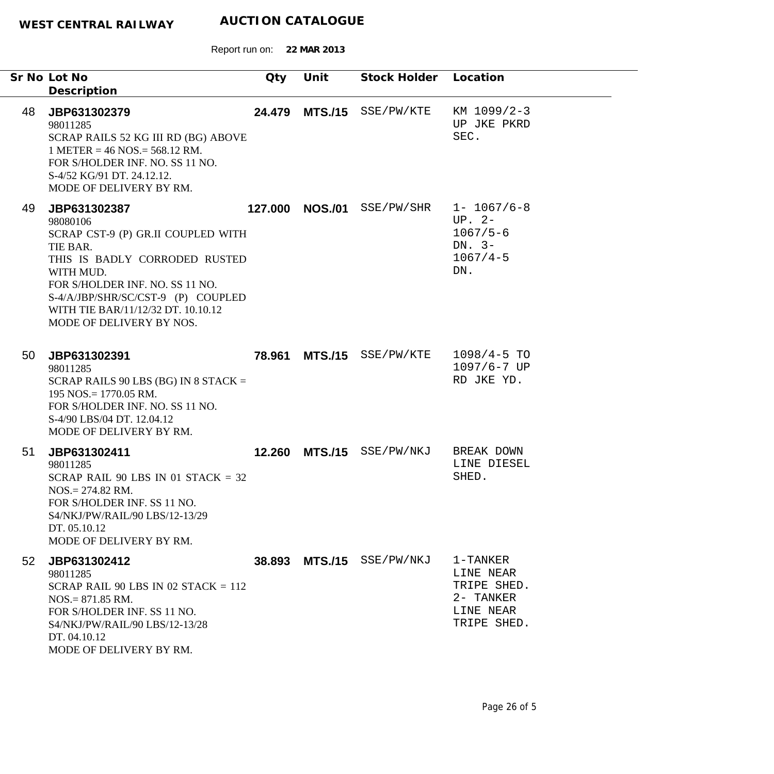|    | Sr No Lot No<br>Description                                                                                                                                                                                                                                         | Qty     | Unit           | Stock Holder Location     |                                                                                 |
|----|---------------------------------------------------------------------------------------------------------------------------------------------------------------------------------------------------------------------------------------------------------------------|---------|----------------|---------------------------|---------------------------------------------------------------------------------|
| 48 | JBP631302379<br>98011285<br>SCRAP RAILS 52 KG III RD (BG) ABOVE<br>$1$ METER = 46 NOS. = 568.12 RM.<br>FOR S/HOLDER INF. NO. SS 11 NO.<br>S-4/52 KG/91 DT. 24.12.12.<br>MODE OF DELIVERY BY RM.                                                                     |         |                | 24.479 MTS./15 SSE/PW/KTE | KM 1099/2-3<br>UP JKE PKRD<br>SEC.                                              |
| 49 | JBP631302387<br>98080106<br>SCRAP CST-9 (P) GR.II COUPLED WITH<br>TIE BAR.<br>THIS IS BADLY CORRODED RUSTED<br>WITH MUD.<br>FOR S/HOLDER INF. NO. SS 11 NO.<br>S-4/A/JBP/SHR/SC/CST-9 (P) COUPLED<br>WITH TIE BAR/11/12/32 DT. 10.10.12<br>MODE OF DELIVERY BY NOS. | 127.000 | <b>NOS./01</b> | SSE/PW/SHR                | $1 - 1067/6 - 8$<br>$UP. 2-$<br>$1067/5 - 6$<br>DN. $3-$<br>$1067/4 - 5$<br>DN. |
| 50 | JBP631302391<br>98011285<br>SCRAP RAILS 90 LBS (BG) IN 8 STACK $=$<br>$195$ NOS. = 1770.05 RM.<br>FOR S/HOLDER INF. NO. SS 11 NO.<br>S-4/90 LBS/04 DT. 12.04.12<br>MODE OF DELIVERY BY RM.                                                                          | 78.961  |                | MTS./15 SSE/PW/KTE        | $1098/4 - 5$ TO<br>1097/6-7 UP<br>RD JKE YD.                                    |
| 51 | JBP631302411<br>98011285<br>SCRAP RAIL 90 LBS IN 01 STACK = $32$<br>$NOS = 274.82$ RM.<br>FOR S/HOLDER INF. SS 11 NO.<br>S4/NKJ/PW/RAIL/90 LBS/12-13/29<br>DT. 05.10.12<br>MODE OF DELIVERY BY RM.                                                                  |         |                | 12.260 MTS./15 SSE/PW/NKJ | BREAK DOWN<br>LINE DIESEL<br>SHED.                                              |
| 52 | JBP631302412<br>98011285<br>SCRAP RAIL 90 LBS IN 02 STACK $= 112$<br>$NOS = 871.85$ RM.<br>FOR S/HOLDER INF. SS 11 NO.<br>S4/NKJ/PW/RAIL/90 LBS/12-13/28<br>DT. 04.10.12<br>MODE OF DELIVERY BY RM.                                                                 |         |                | 38.893 MTS./15 SSE/PW/NKJ | 1-TANKER<br>LINE NEAR<br>TRIPE SHED.<br>2- TANKER<br>LINE NEAR<br>TRIPE SHED.   |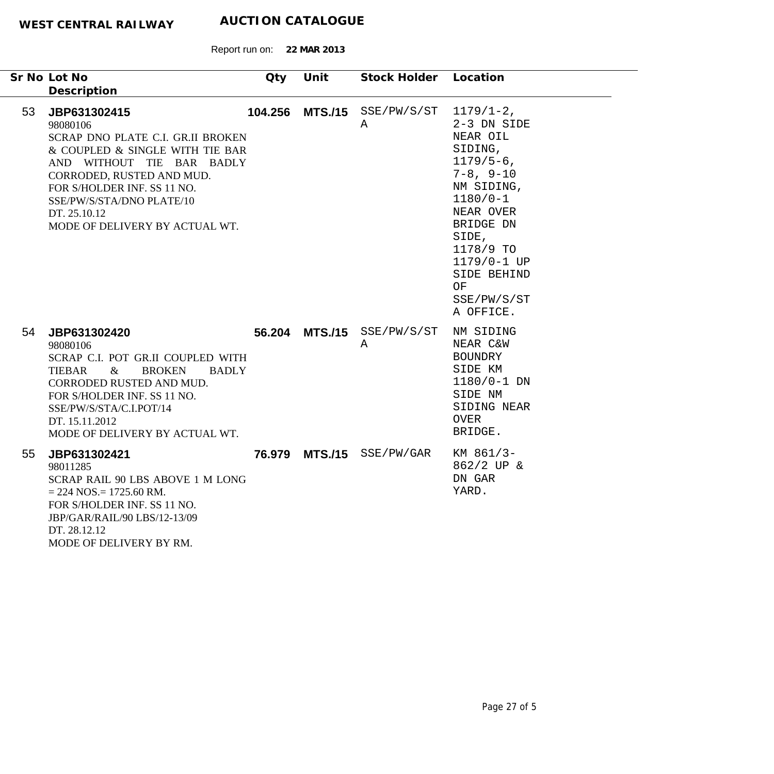|    | Sr No Lot No<br>Description                                                                                                                                                                                                                                              | Oty | Unit            | Stock Holder Location     |                                                                                                                                                                                                                                          |
|----|--------------------------------------------------------------------------------------------------------------------------------------------------------------------------------------------------------------------------------------------------------------------------|-----|-----------------|---------------------------|------------------------------------------------------------------------------------------------------------------------------------------------------------------------------------------------------------------------------------------|
| 53 | JBP631302415<br>98080106<br>SCRAP DNO PLATE C.I. GR.II BROKEN<br>& COUPLED & SINGLE WITH TIE BAR<br>AND WITHOUT TIE BAR BADLY<br>CORRODED, RUSTED AND MUD.<br>FOR S/HOLDER INF. SS 11 NO.<br>SSE/PW/S/STA/DNO PLATE/10<br>DT. 25.10.12<br>MODE OF DELIVERY BY ACTUAL WT. |     | 104.256 MTS./15 | SSE/PW/S/ST<br>Α          | $1179/1-2$ ,<br>2-3 DN SIDE<br>NEAR OIL<br>SIDING,<br>$1179/5 - 6$ ,<br>$7 - 8$ , $9 - 10$<br>NM SIDING,<br>$1180/0 - 1$<br>NEAR OVER<br>BRIDGE DN<br>SIDE,<br>1178/9 TO<br>1179/0-1 UP<br>SIDE BEHIND<br>OF<br>SSE/PW/S/ST<br>A OFFICE. |
| 54 | JBP631302420<br>98080106<br>SCRAP C.I. POT GR.II COUPLED WITH<br><b>TIEBAR</b><br><b>BROKEN</b><br>$\&$<br><b>BADLY</b><br>CORRODED RUSTED AND MUD.<br>FOR S/HOLDER INF. SS 11 NO.<br>SSE/PW/S/STA/C.I.POT/14<br>DT. 15.11.2012<br>MODE OF DELIVERY BY ACTUAL WT.        |     | 56.204 MTS./15  | SSE/PW/S/ST<br>Α          | NM SIDING<br>NEAR C&W<br><b>BOUNDRY</b><br>SIDE KM<br>$1180/0 - 1$ DN<br>SIDE NM<br>SIDING NEAR<br><b>OVER</b><br>BRIDGE.                                                                                                                |
| 55 | JBP631302421<br>98011285<br>SCRAP RAIL 90 LBS ABOVE 1 M LONG<br>$= 224$ NOS $= 1725.60$ RM.<br>FOR S/HOLDER INF. SS 11 NO.<br>JBP/GAR/RAIL/90 LBS/12-13/09<br>DT. 28.12.12<br>MODE OF DELIVERY BY RM.                                                                    |     |                 | 76.979 MTS./15 SSE/PW/GAR | KM 861/3-<br>862/2 UP &<br>DN GAR<br>YARD.                                                                                                                                                                                               |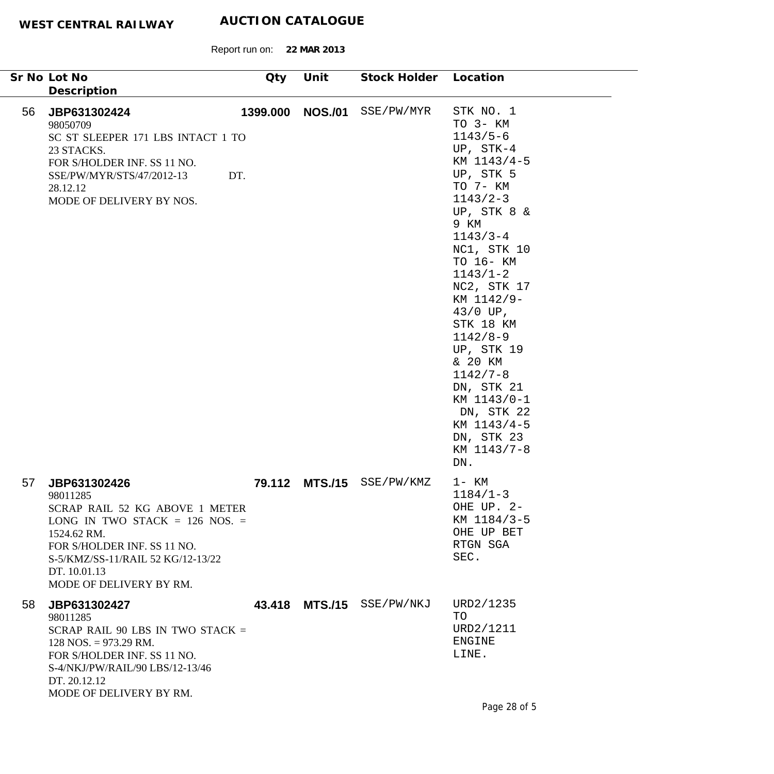$\overline{\phantom{a}}$ 

|    | Sr No Lot No                                                                                                                                                                                                                   | Qty      | Unit           | Stock Holder Location     |                                                                                                                                                                                                                                                                                                                                                                                                              |
|----|--------------------------------------------------------------------------------------------------------------------------------------------------------------------------------------------------------------------------------|----------|----------------|---------------------------|--------------------------------------------------------------------------------------------------------------------------------------------------------------------------------------------------------------------------------------------------------------------------------------------------------------------------------------------------------------------------------------------------------------|
|    | Description                                                                                                                                                                                                                    |          |                |                           |                                                                                                                                                                                                                                                                                                                                                                                                              |
| 56 | JBP631302424<br>98050709<br>SC ST SLEEPER 171 LBS INTACT 1 TO<br>23 STACKS.<br>FOR S/HOLDER INF. SS 11 NO.<br>SSE/PW/MYR/STS/47/2012-13<br>DT.<br>28.12.12<br>MODE OF DELIVERY BY NOS.                                         | 1399.000 | <b>NOS./01</b> | SSE/PW/MYR                | STK NO. 1<br>TO 3- KM<br>$1143/5-6$<br>UP, $STK-4$<br>KM 1143/4-5<br>UP, STK 5<br>TO 7- KM<br>$1143/2 - 3$<br>UP, STK 8 &<br>9 KM<br>$1143/3 - 4$<br>NC1, STK 10<br>TO 16- KM<br>$1143/1 - 2$<br>NC2, STK 17<br>KM 1142/9-<br>$43/0$ UP,<br>STK 18 KM<br>$1142/8 - 9$<br>UP, STK 19<br>& 20 KM<br>$1142/7 - 8$<br>DN, STK 21<br>KM 1143/0-1<br>DN, STK 22<br>KM 1143/4-5<br>DN, STK 23<br>KM 1143/7-8<br>DN. |
| 57 | JBP631302426<br>98011285<br>SCRAP RAIL 52 KG ABOVE 1 METER<br>LONG IN TWO STACK $= 126$ NOS. $=$<br>1524.62 RM.<br>FOR S/HOLDER INF. SS 11 NO.<br>S-5/KMZ/SS-11/RAIL 52 KG/12-13/22<br>DT. 10.01.13<br>MODE OF DELIVERY BY RM. | 79.112   | <b>MTS./15</b> | SSE/PW/KMZ                | $1 - KM$<br>$1184/1 - 3$<br>OHE UP. 2-<br>KM 1184/3-5<br>OHE UP BET<br>RTGN SGA<br>SEC.                                                                                                                                                                                                                                                                                                                      |
| 58 | JBP631302427<br>98011285<br>SCRAP RAIL 90 LBS IN TWO STACK $=$<br>$128$ NOS. = 973.29 RM.<br>FOR S/HOLDER INF. SS 11 NO.<br>S-4/NKJ/PW/RAIL/90 LBS/12-13/46<br>DT. 20.12.12<br>MODE OF DELIVERY BY RM.                         |          |                | 43.418 MTS./15 SSE/PW/NKJ | URD2/1235<br>TO<br>URD2/1211<br><b>ENGINE</b><br>LINE.<br>$Dao \cap \neg \neg F$                                                                                                                                                                                                                                                                                                                             |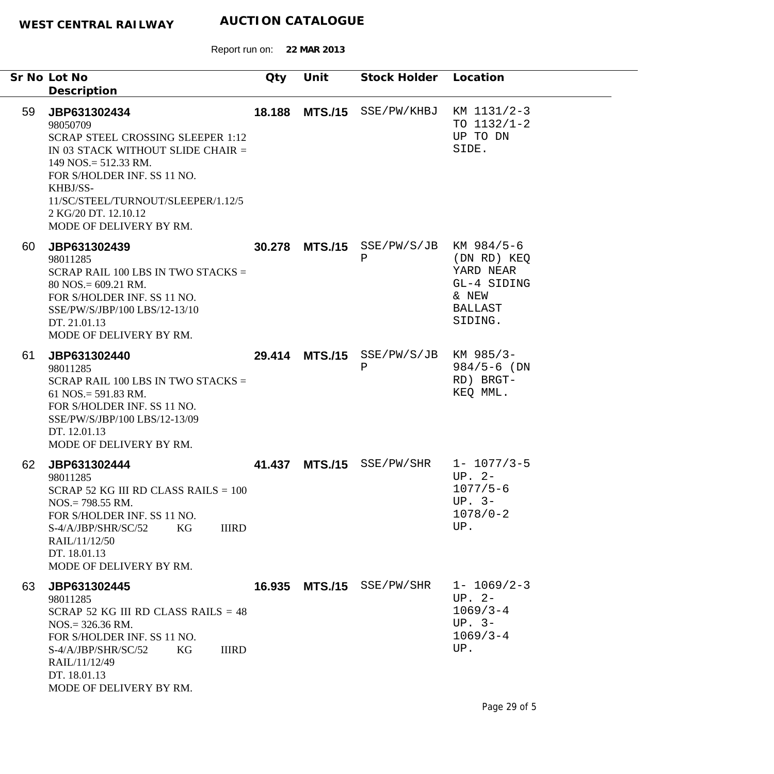|    | Sr No Lot No<br>Description                                                                                                                                                                                                                                              | Qty    | Unit           | Stock Holder Location                      |                                                                                 |
|----|--------------------------------------------------------------------------------------------------------------------------------------------------------------------------------------------------------------------------------------------------------------------------|--------|----------------|--------------------------------------------|---------------------------------------------------------------------------------|
| 59 | JBP631302434<br>98050709<br><b>SCRAP STEEL CROSSING SLEEPER 1:12</b><br>IN 03 STACK WITHOUT SLIDE CHAIR =<br>$149$ NOS. = 512.33 RM.<br>FOR S/HOLDER INF. SS 11 NO.<br>KHBJ/SS-<br>11/SC/STEEL/TURNOUT/SLEEPER/1.12/5<br>2 KG/20 DT. 12.10.12<br>MODE OF DELIVERY BY RM. | 18.188 |                | MTS./15 SSE/PW/KHBJ KM 1131/2-3            | TO $1132/1-2$<br>UP TO DN<br>SIDE.                                              |
| 60 | JBP631302439<br>98011285<br>SCRAP RAIL 100 LBS IN TWO STACKS $=$<br>$80$ NOS. = 609.21 RM.<br>FOR S/HOLDER INF. SS 11 NO.<br>SSE/PW/S/JBP/100 LBS/12-13/10<br>DT. 21.01.13<br>MODE OF DELIVERY BY RM.                                                                    |        |                | 30.278 MTS./15 SSE/PW/S/JB KM 984/5-6<br>Ρ | (DN RD) KEQ<br>YARD NEAR<br>GL-4 SIDING<br>& NEW<br><b>BALLAST</b><br>SIDING.   |
| 61 | JBP631302440<br>98011285<br>SCRAP RAIL 100 LBS IN TWO STACKS $=$<br>61 NOS. = $591.83$ RM.<br>FOR S/HOLDER INF. SS 11 NO.<br>SSE/PW/S/JBP/100 LBS/12-13/09<br>DT. 12.01.13<br>MODE OF DELIVERY BY RM.                                                                    |        | 29.414 MTS./15 | $SSE/PW/S/JB$ KM 985/3-<br>$\, {\bf P}$    | $984/5 - 6$ (DN<br>RD) BRGT-<br>KEQ MML.                                        |
| 62 | JBP631302444<br>98011285<br>SCRAP 52 KG III RD CLASS RAILS = $100$<br>$NOS = 798.55$ RM.<br>FOR S/HOLDER INF. SS 11 NO.<br><b>IIIRD</b><br>KG<br>S-4/A/JBP/SHR/SC/52<br>RAIL/11/12/50<br>DT. 18.01.13<br>MODE OF DELIVERY BY RM.                                         | 41.437 |                | MTS./15 SSE/PW/SHR 1- 1077/3-5             | $UP. 2-$<br>$1077/5 - 6$<br>UP. $3-$<br>$1078/0 - 2$<br>UP.                     |
| 63 | JBP631302445<br>98011285<br>SCRAP 52 KG III RD CLASS RAILS $= 48$<br>$NOS = 326.36$ RM.<br>FOR S/HOLDER INF. SS 11 NO.<br><b>IIIRD</b><br>S-4/A/JBP/SHR/SC/52<br>KG<br>RAIL/11/12/49<br>DT. 18.01.13<br>MODE OF DELIVERY BY RM.                                          | 16.935 |                | MTS./15 SSE/PW/SHR                         | $1 - 1069/2 - 3$<br>$UP. 2-$<br>$1069/3 - 4$<br>UP. $3-$<br>$1069/3 - 4$<br>UP. |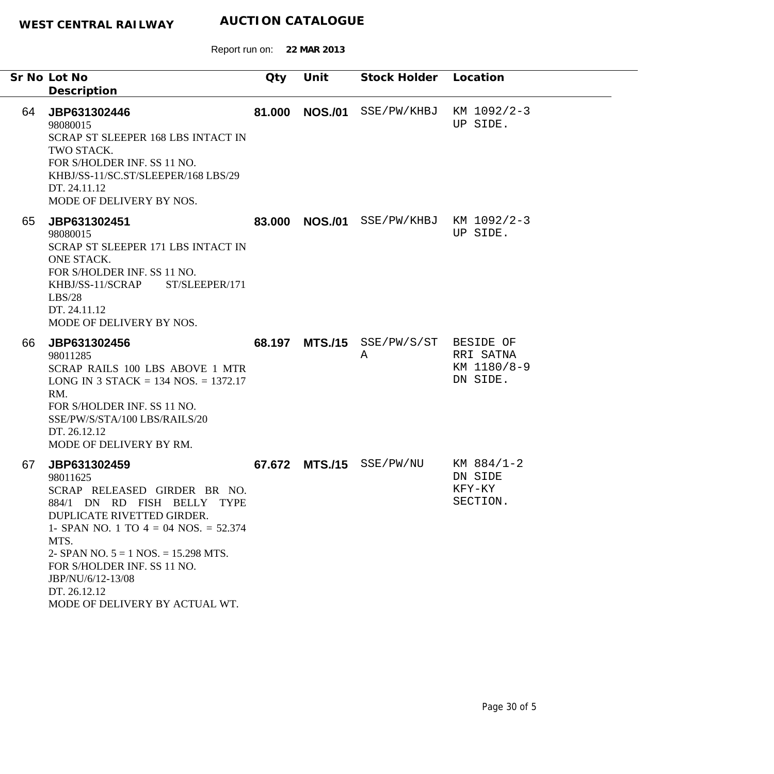|    | Sr No Lot No<br>Description                                                                                                                                                                                                                                                                                              | Qty    | Unit           | Stock Holder Location                  |                                               |
|----|--------------------------------------------------------------------------------------------------------------------------------------------------------------------------------------------------------------------------------------------------------------------------------------------------------------------------|--------|----------------|----------------------------------------|-----------------------------------------------|
| 64 | JBP631302446<br>98080015<br>SCRAP ST SLEEPER 168 LBS INTACT IN<br>TWO STACK.<br>FOR S/HOLDER INF. SS 11 NO.<br>KHBJ/SS-11/SC.ST/SLEEPER/168 LBS/29<br>DT. 24.11.12<br>MODE OF DELIVERY BY NOS.                                                                                                                           | 81.000 | <b>NOS./01</b> | SSE/PW/KHBJ                            | KM 1092/2-3<br>UP SIDE.                       |
| 65 | JBP631302451<br>98080015<br>SCRAP ST SLEEPER 171 LBS INTACT IN<br>ONE STACK.<br>FOR S/HOLDER INF. SS 11 NO.<br>KHBJ/SS-11/SCRAP<br>ST/SLEEPER/171<br>LBS/28<br>DT. 24.11.12<br>MODE OF DELIVERY BY NOS.                                                                                                                  | 83.000 |                | <b>NOS./01</b> SSE/PW/KHBJ KM 1092/2-3 | UP SIDE.                                      |
| 66 | JBP631302456<br>98011285<br>SCRAP RAILS 100 LBS ABOVE 1 MTR<br>LONG IN 3 STACK = 134 NOS. = 1372.17<br>RM.<br>FOR S/HOLDER INF. SS 11 NO.<br>SSE/PW/S/STA/100 LBS/RAILS/20<br>DT. 26.12.12<br>MODE OF DELIVERY BY RM.                                                                                                    | 68.197 | <b>MTS./15</b> | SSE/PW/S/ST BESIDE OF<br>Α             | RRI SATNA<br>KM 1180/8-9<br>DN SIDE.          |
| 67 | JBP631302459<br>98011625<br>SCRAP RELEASED GIRDER BR NO.<br>884/1 DN RD FISH BELLY TYPE<br>DUPLICATE RIVETTED GIRDER.<br>1- SPAN NO. 1 TO $4 = 04$ NOS. = 52.374<br>MTS.<br>2- SPAN NO. $5 = 1$ NOS. = 15.298 MTS.<br>FOR S/HOLDER INF. SS 11 NO.<br>JBP/NU/6/12-13/08<br>DT. 26.12.12<br>MODE OF DELIVERY BY ACTUAL WT. | 67.672 |                | MTS./15 SSE/PW/NU                      | $KM$ 884/1-2<br>DN SIDE<br>KFY-KY<br>SECTION. |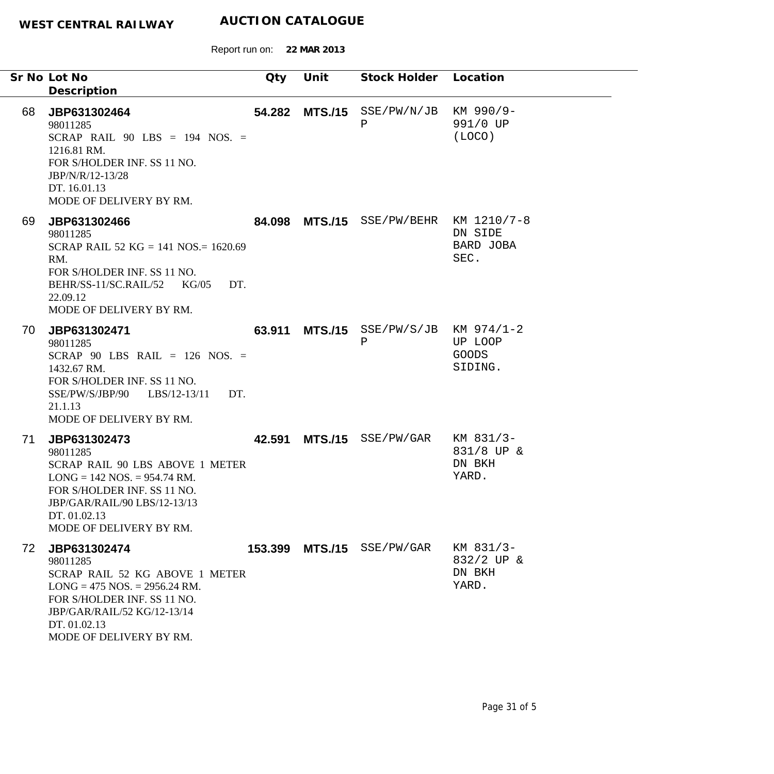Report run on: **22 MAR 2013**

|    | Sr No Lot No<br>Description                                                                                                                                                                            | Qty    | Unit            | Stock Holder Location                      |                                            |
|----|--------------------------------------------------------------------------------------------------------------------------------------------------------------------------------------------------------|--------|-----------------|--------------------------------------------|--------------------------------------------|
| 68 | JBP631302464<br>98011285<br>SCRAP RAIL $90$ LBS = 194 NOS. =<br>1216.81 RM.<br>FOR S/HOLDER INF. SS 11 NO.<br>JBP/N/R/12-13/28<br>DT. 16.01.13<br>MODE OF DELIVERY BY RM.                              |        |                 | 54.282 MTS./15 SSE/PW/N/JB KM 990/9-<br>Ρ  | 991/0 UP<br>(LOCO)                         |
| 69 | JBP631302466<br>98011285<br>SCRAP RAIL 52 KG = 141 NOS. = 1620.69<br>RM.<br>FOR S/HOLDER INF. SS 11 NO.<br>BEHR/SS-11/SC.RAIL/52 KG/05<br>DT.<br>22.09.12<br>MODE OF DELIVERY BY RM.                   |        |                 | 84.098 MTS./15 SSE/PW/BEHR KM 1210/7-8     | DN SIDE<br>BARD JOBA<br>SEC.               |
| 70 | JBP631302471<br>98011285<br>SCRAP 90 LBS RAIL = $126$ NOS. =<br>1432.67 RM.<br>FOR S/HOLDER INF. SS 11 NO.<br>SSE/PW/S/JBP/90 LBS/12-13/11<br>DT.<br>21.1.13<br>MODE OF DELIVERY BY RM.                |        | 63.911 MTS./15  | $SSE/PW/S/JB$ KM $974/1-2$<br>$\, {\bf P}$ | UP LOOP<br><b>GOODS</b><br>SIDING.         |
| 71 | JBP631302473<br>98011285<br>SCRAP RAIL 90 LBS ABOVE 1 METER<br>$LONG = 142 NOS = 954.74 RM.$<br>FOR S/HOLDER INF. SS 11 NO.<br>JBP/GAR/RAIL/90 LBS/12-13/13<br>DT. 01.02.13<br>MODE OF DELIVERY BY RM. | 42.591 |                 | MTS./15 SSE/PW/GAR                         | KM 831/3-<br>831/8 UP &<br>DN BKH<br>YARD. |
| 72 | JBP631302474<br>98011285<br>SCRAP RAIL 52 KG ABOVE 1 METER<br>$LONG = 475 NOS = 2956.24 RM.$<br>FOR S/HOLDER INF. SS 11 NO.<br>JBP/GAR/RAIL/52 KG/12-13/14<br>DT. 01.02.13<br>MODE OF DELIVERY BY RM.  |        | 153.399 MTS./15 | SSE/PW/GAR                                 | KM 831/3-<br>832/2 UP &<br>DN BKH<br>YARD. |

۰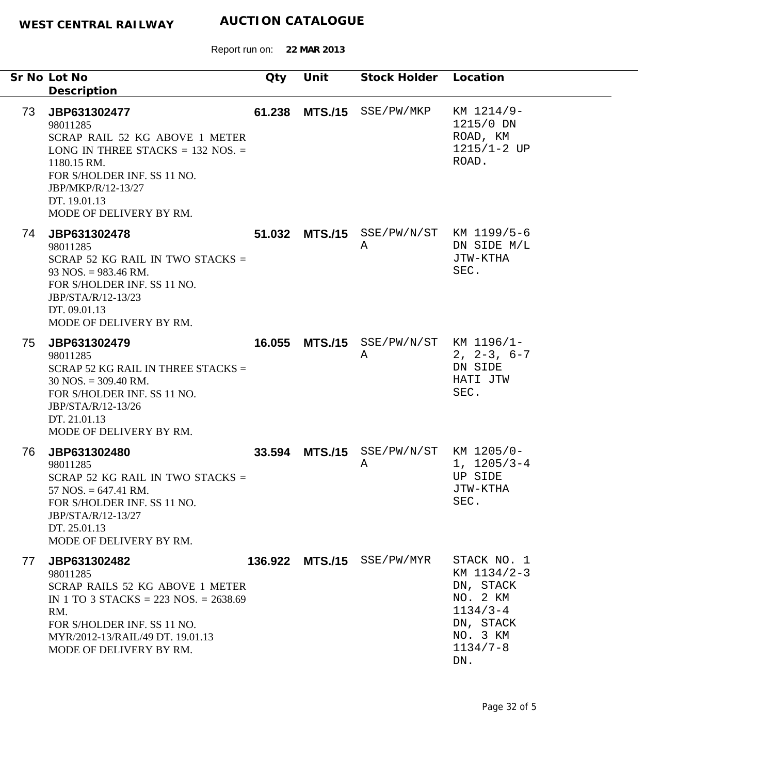|    | Sr No Lot No                                                                                                                                                                                                       | Qty | Unit | Stock Holder Location                       |                                                                                                                     |
|----|--------------------------------------------------------------------------------------------------------------------------------------------------------------------------------------------------------------------|-----|------|---------------------------------------------|---------------------------------------------------------------------------------------------------------------------|
|    | Description                                                                                                                                                                                                        |     |      |                                             |                                                                                                                     |
| 73 | JBP631302477<br>98011285<br>SCRAP RAIL 52 KG ABOVE 1 METER<br>LONG IN THREE STACKS $= 132$ NOS. $=$<br>1180.15 RM.<br>FOR S/HOLDER INF. SS 11 NO.<br>JBP/MKP/R/12-13/27<br>DT. 19.01.13<br>MODE OF DELIVERY BY RM. |     |      | 61.238 MTS./15 SSE/PW/MKP                   | KM 1214/9-<br>1215/0 DN<br>ROAD, KM<br>$1215/1 - 2$ UP<br>ROAD.                                                     |
| 74 | JBP631302478<br>98011285<br>SCRAP 52 KG RAIL IN TWO STACKS $=$<br>$93$ NOS. = 983.46 RM.<br>FOR S/HOLDER INF. SS 11 NO.<br>JBP/STA/R/12-13/23<br>DT. 09.01.13<br>MODE OF DELIVERY BY RM.                           |     |      | 51.032 MTS./15 SSE/PW/N/ST KM 1199/5-6<br>Α | DN SIDE M/L<br>JTW-KTHA<br>SEC.                                                                                     |
| 75 | JBP631302479<br>98011285<br>SCRAP 52 KG RAIL IN THREE STACKS $=$<br>$30$ NOS. = 309.40 RM.<br>FOR S/HOLDER INF. SS 11 NO.<br>JBP/STA/R/12-13/26<br>DT. 21.01.13<br>MODE OF DELIVERY BY RM.                         |     |      | 16.055 MTS./15 SSE/PW/N/ST KM 1196/1-<br>A  | $2, 2-3, 6-7$<br>DN SIDE<br>HATI JTW<br>SEC.                                                                        |
| 76 | JBP631302480<br>98011285<br>SCRAP 52 KG RAIL IN TWO STACKS $=$<br>$57$ NOS. = 647.41 RM.<br>FOR S/HOLDER INF. SS 11 NO.<br>JBP/STA/R/12-13/27<br>DT. 25.01.13<br>MODE OF DELIVERY BY RM.                           |     |      | 33.594 MTS./15 SSE/PW/N/ST KM 1205/0-<br>Α  | $1, 1205/3-4$<br>UP SIDE<br>JTW-KTHA<br>SEC.                                                                        |
| 77 | JBP631302482<br>98011285<br>SCRAP RAILS 52 KG ABOVE 1 METER<br>IN 1 TO 3 STACKS = 223 NOS. = $2638.69$<br>RM.<br>FOR S/HOLDER INF. SS 11 NO.<br>MYR/2012-13/RAIL/49 DT. 19.01.13<br>MODE OF DELIVERY BY RM.        |     |      | 136.922 MTS./15 SSE/PW/MYR                  | STACK NO. 1<br>KM 1134/2-3<br>DN, STACK<br>NO. 2 KM<br>$1134/3 - 4$<br>DN, STACK<br>NO. 3 KM<br>$1134/7 - 8$<br>DN. |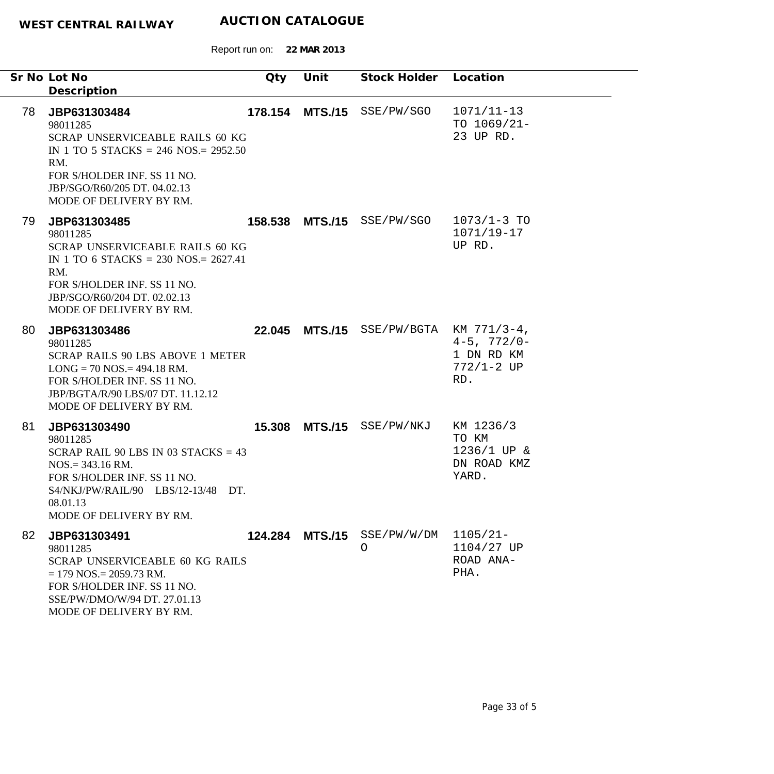|    | Sr No Lot No<br>Description                                                                                                                                                                                    | Qty     | Unit | Stock Holder Location                  |                                                            |
|----|----------------------------------------------------------------------------------------------------------------------------------------------------------------------------------------------------------------|---------|------|----------------------------------------|------------------------------------------------------------|
| 78 | JBP631303484<br>98011285<br><b>SCRAP UNSERVICEABLE RAILS 60 KG</b><br>IN 1 TO 5 STACKS = 246 NOS. = $2952.50$<br>RM.<br>FOR S/HOLDER INF. SS 11 NO.<br>JBP/SGO/R60/205 DT. 04.02.13<br>MODE OF DELIVERY BY RM. | 178.154 |      | MTS./15 SSE/PW/SGO                     | $1071/11 - 13$<br>TO $1069/21-$<br>23 UP RD.               |
| 79 | JBP631303485<br>98011285<br>SCRAP UNSERVICEABLE RAILS 60 KG<br>IN 1 TO 6 STACKS = 230 NOS. = $2627.41$<br>RM.<br>FOR S/HOLDER INF. SS 11 NO.<br>JBP/SGO/R60/204 DT. 02.02.13<br>MODE OF DELIVERY BY RM.        |         |      | 158.538 MTS./15 SSE/PW/SGO             | $1073/1 - 3$ TO<br>$1071/19 - 17$<br>UP RD.                |
| 80 | JBP631303486<br>98011285<br><b>SCRAP RAILS 90 LBS ABOVE 1 METER</b><br>$LONG = 70 NOS = 494.18 RM.$<br>FOR S/HOLDER INF. SS 11 NO.<br>JBP/BGTA/R/90 LBS/07 DT. 11.12.12<br>MODE OF DELIVERY BY RM.             |         |      | 22.045 MTS./15 SSE/PW/BGTA KM 771/3-4, | $4 - 5$ , $772/0 -$<br>1 DN RD KM<br>$772/1 - 2 UP$<br>RD. |
| 81 | JBP631303490<br>98011285<br>SCRAP RAIL 90 LBS IN 03 STACKS = $43$<br>$NOS = 343.16$ RM.<br>FOR S/HOLDER INF. SS 11 NO.<br>S4/NKJ/PW/RAIL/90 LBS/12-13/48 DT.<br>08.01.13<br>MODE OF DELIVERY BY RM.            | 15.308  |      | MTS./15 SSE/PW/NKJ                     | KM 1236/3<br>TO KM<br>1236/1 UP &<br>DN ROAD KMZ<br>YARD.  |
| 82 | JBP631303491<br>98011285<br>SCRAP UNSERVICEABLE 60 KG RAILS<br>$= 179$ NOS $= 2059.73$ RM.<br>FOR S/HOLDER INF. SS 11 NO.<br>SSE/PW/DMO/W/94 DT. 27.01.13<br>MODE OF DELIVERY BY RM.                           |         |      | 124.284 MTS./15 SSE/PW/W/DM<br>$\circ$ | $1105/21 -$<br>1104/27 UP<br>ROAD ANA-<br>PHA.             |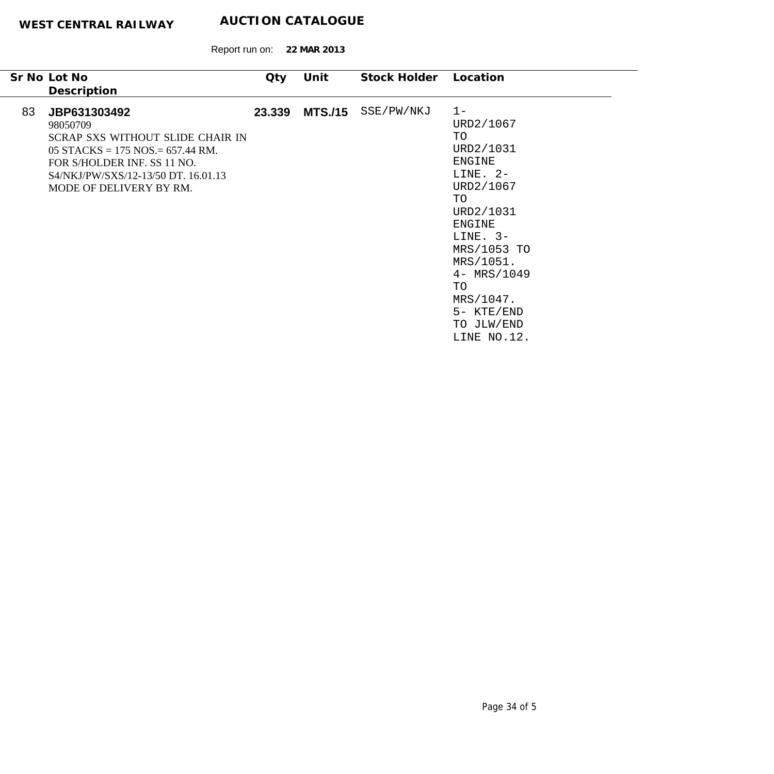| Sr No Lot No                                                                                                                                                                                                | Qty    | Unit           | Stock Holder | Location                                                                                                                                                                                                                                           |
|-------------------------------------------------------------------------------------------------------------------------------------------------------------------------------------------------------------|--------|----------------|--------------|----------------------------------------------------------------------------------------------------------------------------------------------------------------------------------------------------------------------------------------------------|
| Description                                                                                                                                                                                                 |        |                |              |                                                                                                                                                                                                                                                    |
| 83<br>JBP631303492<br>98050709<br>SCRAP SXS WITHOUT SLIDE CHAIR IN<br>05 STACKS = $175$ NOS = $657.44$ RM.<br>FOR S/HOLDER INF. SS 11 NO.<br>S4/NKJ/PW/SXS/12-13/50 DT. 16.01.13<br>MODE OF DELIVERY BY RM. | 23.339 | <b>MTS./15</b> | SSE/PW/NKJ   | $1 -$<br>URD2/1067<br>TO<br>URD2/1031<br><b>ENGINE</b><br>LINE. $2-$<br>URD2/1067<br>TO<br>URD2/1031<br><b>ENGINE</b><br>LINE. $3-$<br>MRS/1053 TO<br>MRS/1051.<br>$4 - MRS/1049$<br>TO<br>$MRS/1047$ .<br>5- KTE/END<br>TO JLW/END<br>LINE NO.12. |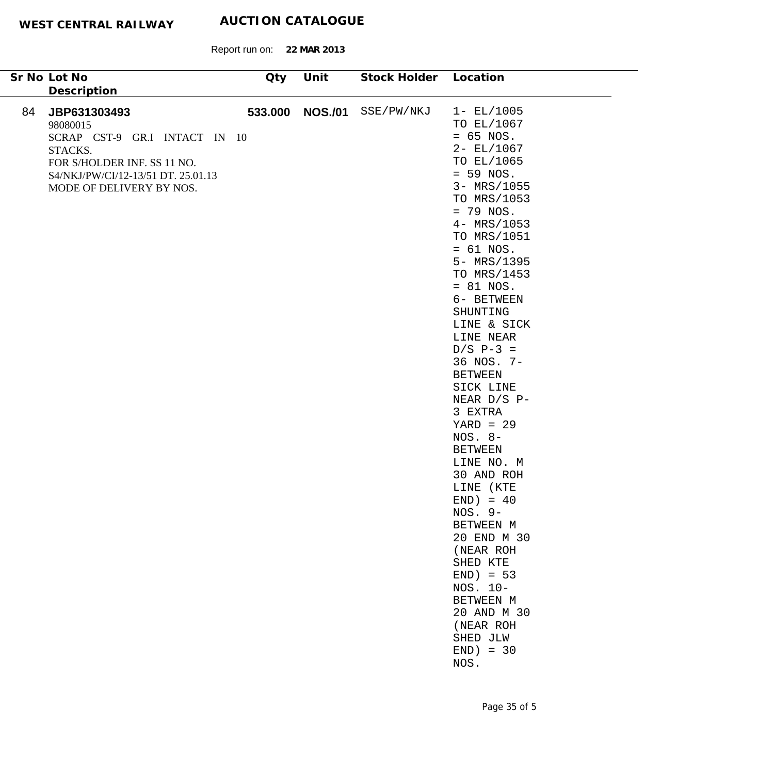Report run on: **22 MAR 2013**

| Sr No Lot No                                                                                                                                                                | Qty | Unit            | Stock Holder Location |                                                                                                                                                                                                                                                                                                                                                                                                                                                                                                                                                                                                                                                           |
|-----------------------------------------------------------------------------------------------------------------------------------------------------------------------------|-----|-----------------|-----------------------|-----------------------------------------------------------------------------------------------------------------------------------------------------------------------------------------------------------------------------------------------------------------------------------------------------------------------------------------------------------------------------------------------------------------------------------------------------------------------------------------------------------------------------------------------------------------------------------------------------------------------------------------------------------|
| Description                                                                                                                                                                 |     |                 |                       |                                                                                                                                                                                                                                                                                                                                                                                                                                                                                                                                                                                                                                                           |
| 84<br>JBP631303493<br>98080015<br>SCRAP CST-9 GR.I INTACT IN 10<br>STACKS.<br>FOR S/HOLDER INF. SS 11 NO.<br>S4/NKJ/PW/CI/12-13/51 DT. 25.01.13<br>MODE OF DELIVERY BY NOS. |     | 533.000 NOS./01 | SSE/PW/NKJ            | $1 - EL/1005$<br>TO EL/1067<br>$= 65$ NOS.<br>$2 - EL/1067$<br>TO EL/1065<br>$= 59$ NOS.<br>3- MRS/1055<br>TO MRS/1053<br>$= 79$ NOS.<br>4- MRS/1053<br>TO MRS/1051<br>$= 61$ NOS.<br>5- MRS/1395<br>TO MRS/1453<br>$= 81$ NOS.<br>6- BETWEEN<br>SHUNTING<br>LINE & SICK<br>LINE NEAR<br>$D/S P-3 =$<br>36 NOS. 7-<br><b>BETWEEN</b><br>SICK LINE<br>NEAR D/S P-<br>3 EXTRA<br>$YARD = 29$<br>$NOS. 8-$<br><b>BETWEEN</b><br>LINE NO. M<br>30 AND ROH<br>LINE (KTE<br>$END) = 40$<br>$NOS. 9-$<br>BETWEEN M<br>20 END M 30<br>(NEAR ROH<br>SHED KTE<br>$END$ = 53<br>NOS. 10-<br>BETWEEN M<br>20 AND M 30<br>(NEAR ROH<br>SHED JLW<br>$END) = 30$<br>NOS. |
|                                                                                                                                                                             |     |                 |                       |                                                                                                                                                                                                                                                                                                                                                                                                                                                                                                                                                                                                                                                           |

 $\overline{\phantom{0}}$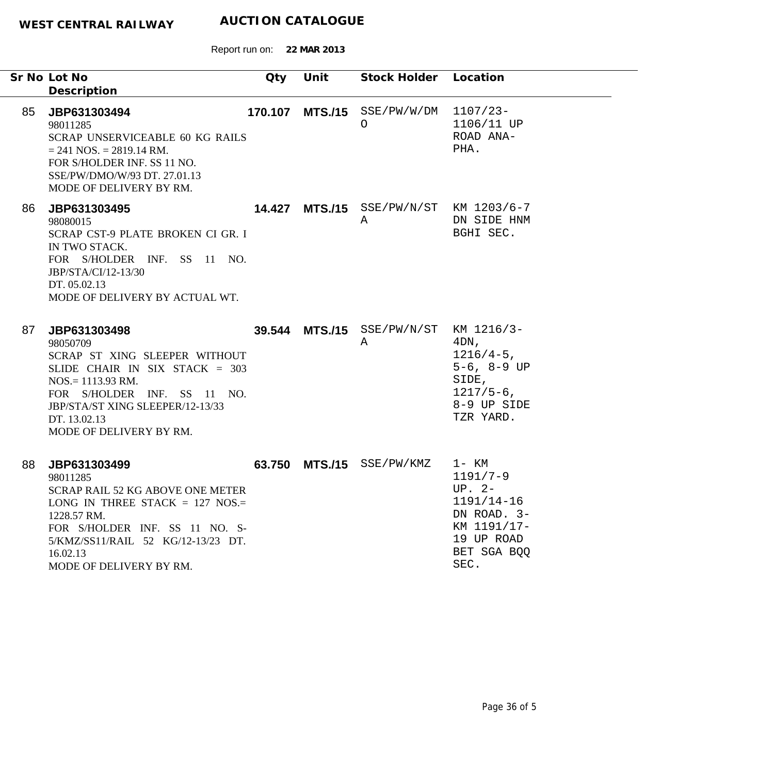|    | Sr No Lot No<br>Description                                                                                                                                                                                                        | Qty    | Unit | Stock Holder Location                       |                                                                                                                    |
|----|------------------------------------------------------------------------------------------------------------------------------------------------------------------------------------------------------------------------------------|--------|------|---------------------------------------------|--------------------------------------------------------------------------------------------------------------------|
| 85 | JBP631303494<br>98011285<br>SCRAP UNSERVICEABLE 60 KG RAILS<br>$= 241$ NOS. $= 2819.14$ RM.<br>FOR S/HOLDER INF. SS 11 NO.<br>SSE/PW/DMO/W/93 DT, 27.01.13<br>MODE OF DELIVERY BY RM.                                              |        |      | 170.107 MTS./15 SSE/PW/W/DM<br>$\circ$      | $1107/23-$<br>1106/11 UP<br>ROAD ANA-<br>PHA.                                                                      |
| 86 | JBP631303495<br>98080015<br>SCRAP CST-9 PLATE BROKEN CI GR. I<br>IN TWO STACK.<br>FOR S/HOLDER INF. SS 11 NO.<br>JBP/STA/CI/12-13/30<br>DT. 05.02.13<br>MODE OF DELIVERY BY ACTUAL WT.                                             |        |      | 14.427 MTS./15 SSE/PW/N/ST KM 1203/6-7<br>Α | DN SIDE HNM<br>BGHI SEC.                                                                                           |
| 87 | JBP631303498<br>98050709<br>SCRAP ST XING SLEEPER WITHOUT<br>SLIDE CHAIR IN SIX STACK = $303$<br>$NOS = 1113.93$ RM.<br>FOR S/HOLDER INF. SS 11 NO.<br>JBP/STA/ST XING SLEEPER/12-13/33<br>DT. 13.02.13<br>MODE OF DELIVERY BY RM. |        |      | 39.544 MTS./15 SSE/PW/N/ST KM 1216/3-<br>A  | $4DN$ ,<br>$1216/4-5$ ,<br>$5-6, 8-9$ UP<br>SIDE,<br>$1217/5-6$ ,<br>8-9 UP SIDE<br>TZR YARD.                      |
| 88 | JBP631303499<br>98011285<br>SCRAP RAIL 52 KG ABOVE ONE METER<br>LONG IN THREE STACK = $127$ NOS.=<br>1228.57 RM.<br>FOR S/HOLDER INF. SS 11 NO. S-<br>5/KMZ/SS11/RAIL 52 KG/12-13/23 DT.<br>16.02.13<br>MODE OF DELIVERY BY RM.    | 63.750 |      | MTS./15 SSE/PW/KMZ                          | 1- KM<br>$1191/7-9$<br>$UP. 2-$<br>$1191/14-16$<br>DN ROAD. 3-<br>KM 1191/17-<br>19 UP ROAD<br>BET SGA BQQ<br>SEC. |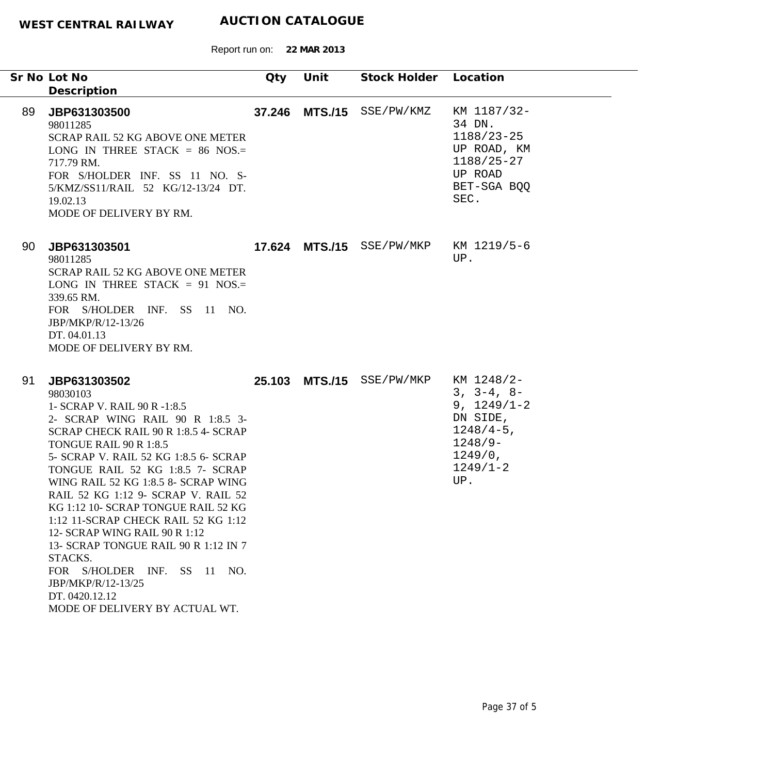|    | Sr No Lot No<br>Description                                                                                                                                                                                                                                                                                                                                                                                                                                                                                                                                                                          | Qty | Unit           | Stock Holder Location     |                                                                                                                           |
|----|------------------------------------------------------------------------------------------------------------------------------------------------------------------------------------------------------------------------------------------------------------------------------------------------------------------------------------------------------------------------------------------------------------------------------------------------------------------------------------------------------------------------------------------------------------------------------------------------------|-----|----------------|---------------------------|---------------------------------------------------------------------------------------------------------------------------|
| 89 | JBP631303500<br>98011285<br><b>SCRAP RAIL 52 KG ABOVE ONE METER</b><br>LONG IN THREE STACK = $86$ NOS.=<br>717.79 RM.<br>FOR S/HOLDER INF. SS 11 NO. S-<br>5/KMZ/SS11/RAIL 52 KG/12-13/24 DT.<br>19.02.13<br>MODE OF DELIVERY BY RM.                                                                                                                                                                                                                                                                                                                                                                 |     |                | 37.246 MTS./15 SSE/PW/KMZ | KM 1187/32-<br>34 DN.<br>$1188/23 - 25$<br>UP ROAD, KM<br>1188/25-27<br>UP ROAD<br>BET-SGA BOO<br>SEC.                    |
| 90 | JBP631303501<br>98011285<br><b>SCRAP RAIL 52 KG ABOVE ONE METER</b><br>LONG IN THREE STACK = 91 NOS.=<br>339.65 RM.<br>FOR S/HOLDER INF. SS 11 NO.<br>JBP/MKP/R/12-13/26<br>DT. 04.01.13<br>MODE OF DELIVERY BY RM.                                                                                                                                                                                                                                                                                                                                                                                  |     |                | 17.624 MTS./15 SSE/PW/MKP | KM 1219/5-6<br>UP.                                                                                                        |
| 91 | JBP631303502<br>98030103<br>1- SCRAP V. RAIL 90 R -1:8.5<br>2- SCRAP WING RAIL 90 R 1:8.5 3-<br>SCRAP CHECK RAIL 90 R 1:8.5 4- SCRAP<br>TONGUE RAIL 90 R 1:8.5<br>5- SCRAP V. RAIL 52 KG 1:8.5 6- SCRAP<br>TONGUE RAIL 52 KG 1:8.5 7- SCRAP<br>WING RAIL 52 KG 1:8.5 8- SCRAP WING<br>RAIL 52 KG 1:12 9- SCRAP V. RAIL 52<br>KG 1:12 10- SCRAP TONGUE RAIL 52 KG<br>1:12 11-SCRAP CHECK RAIL 52 KG 1:12<br>12- SCRAP WING RAIL 90 R 1:12<br>13- SCRAP TONGUE RAIL 90 R 1:12 IN 7<br>STACKS.<br>FOR S/HOLDER INF. SS 11 NO.<br>JBP/MKP/R/12-13/25<br>DT. 0420.12.12<br>MODE OF DELIVERY BY ACTUAL WT. |     | 25.103 MTS./15 | SSE/PW/MKP                | KM 1248/2-<br>$3, 3-4, 8-$<br>$9, 1249/1-2$<br>DN SIDE,<br>$1248/4-5$ ,<br>$1248/9-$<br>$1249/0$ ,<br>$1249/1 - 2$<br>UP. |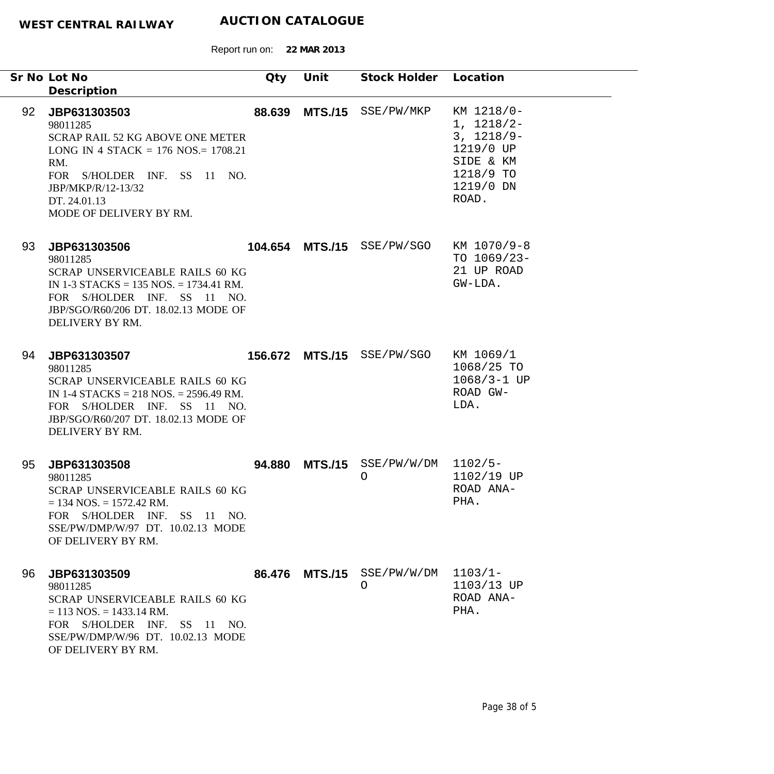|    | Sr No Lot No                                                                                                                                                                                                                         | Qty    | Unit           | Stock Holder Location           |                                                                                                         |
|----|--------------------------------------------------------------------------------------------------------------------------------------------------------------------------------------------------------------------------------------|--------|----------------|---------------------------------|---------------------------------------------------------------------------------------------------------|
| 92 | Description<br>JBP631303503<br>98011285<br><b>SCRAP RAIL 52 KG ABOVE ONE METER</b><br>LONG IN 4 STACK = $176$ NOS = $1708.21$<br>RM.<br>FOR S/HOLDER INF. SS 11 NO.<br>JBP/MKP/R/12-13/32<br>DT. 24.01.13<br>MODE OF DELIVERY BY RM. | 88.639 |                | MTS./15 SSE/PW/MKP              | KM 1218/0-<br>$1, 1218/2-$<br>$3, 1218/9-$<br>1219/0 UP<br>SIDE & KM<br>1218/9 TO<br>1219/0 DN<br>ROAD. |
| 93 | JBP631303506<br>98011285<br>SCRAP UNSERVICEABLE RAILS 60 KG<br>IN 1-3 STACKS = $135$ NOS. = $1734.41$ RM.<br>FOR S/HOLDER INF. SS 11 NO.<br>JBP/SGO/R60/206 DT. 18.02.13 MODE OF<br>DELIVERY BY RM.                                  |        |                | 104.654 MTS./15 SSE/PW/SGO      | KM 1070/9-8<br>TO $1069/23-$<br>21 UP ROAD<br>GW-LDA.                                                   |
| 94 | JBP631303507<br>98011285<br>SCRAP UNSERVICEABLE RAILS 60 KG<br>IN 1-4 STACKS = 218 NOS. = 2596.49 RM.<br>FOR S/HOLDER INF. SS 11 NO.<br>JBP/SGO/R60/207 DT. 18.02.13 MODE OF<br>DELIVERY BY RM.                                      |        |                | 156.672 MTS./15 SSE/PW/SGO      | KM 1069/1<br>1068/25 TO<br>$1068/3 - 1$ UP<br>ROAD GW-<br>LDA.                                          |
| 95 | JBP631303508<br>98011285<br>SCRAP UNSERVICEABLE RAILS 60 KG<br>$= 134$ NOS. $= 1572.42$ RM.<br>FOR S/HOLDER INF. SS 11 NO.<br>SSE/PW/DMP/W/97 DT. 10.02.13 MODE<br>OF DELIVERY BY RM.                                                | 94.880 | <b>MTS./15</b> | SSE/PW/W/DM<br>$\circ$          | $1102/5-$<br>1102/19 UP<br>ROAD ANA-<br>PHA.                                                            |
| 96 | JBP631303509<br>98011285<br>SCRAP UNSERVICEABLE RAILS 60 KG<br>$= 113$ NOS. $= 1433.14$ RM.<br>FOR S/HOLDER INF. SS 11 NO.<br>SSE/PW/DMP/W/96 DT. 10.02.13 MODE<br>OF DELIVERY BY RM.                                                |        |                | 86.476 MTS./15 SSE/PW/W/DM<br>O | $1103/1 -$<br>1103/13 UP<br>ROAD ANA-<br>PHA.                                                           |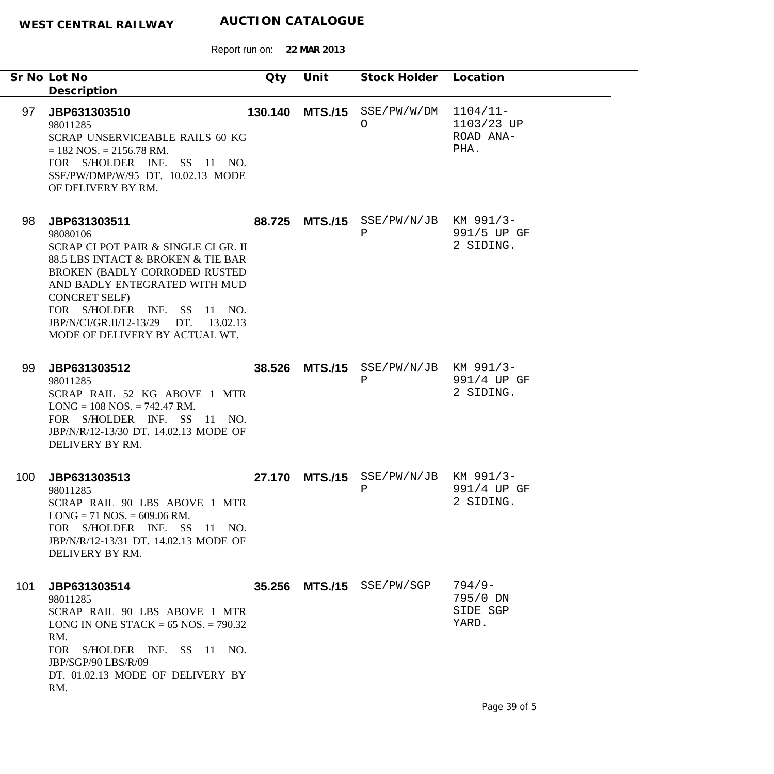|     | Sr No Lot No<br>Description                                                                                                                                                                                                                                                                               | Qty     | Unit           | Stock Holder Location                     |                                               |
|-----|-----------------------------------------------------------------------------------------------------------------------------------------------------------------------------------------------------------------------------------------------------------------------------------------------------------|---------|----------------|-------------------------------------------|-----------------------------------------------|
| 97  | JBP631303510<br>98011285<br>SCRAP UNSERVICEABLE RAILS 60 KG<br>$= 182$ NOS. $= 2156.78$ RM.<br>FOR S/HOLDER INF. SS 11 NO.<br>SSE/PW/DMP/W/95 DT. 10.02.13 MODE<br>OF DELIVERY BY RM.                                                                                                                     | 130.140 | <b>MTS./15</b> | SSE/PW/W/DM<br>O                          | $1104/11-$<br>1103/23 UP<br>ROAD ANA-<br>PHA. |
| 98  | JBP631303511<br>98080106<br>SCRAP CI POT PAIR & SINGLE CI GR. II<br>88.5 LBS INTACT & BROKEN & TIE BAR<br>BROKEN (BADLY CORRODED RUSTED<br>AND BADLY ENTEGRATED WITH MUD<br><b>CONCRET SELF)</b><br>FOR S/HOLDER INF. SS 11 NO.<br>JBP/N/CI/GR.II/12-13/29 DT. 13.02.13<br>MODE OF DELIVERY BY ACTUAL WT. |         |                | 88.725 MTS./15 SSE/PW/N/JB KM 991/3-<br>Ρ | 991/5 UP GF<br>2 SIDING.                      |
| 99  | JBP631303512<br>98011285<br>SCRAP RAIL 52 KG ABOVE 1 MTR<br>$LONG = 108 NOS. = 742.47 RM.$<br>FOR S/HOLDER INF. SS 11 NO.<br>JBP/N/R/12-13/30 DT. 14.02.13 MODE OF<br>DELIVERY BY RM.                                                                                                                     | 38.526  | <b>MTS./15</b> | $SSE/PW/N/JB$ KM 991/3-<br>$\, {\bf P}$   | 991/4 UP GF<br>2 SIDING.                      |
| 100 | JBP631303513<br>98011285<br>SCRAP RAIL 90 LBS ABOVE 1 MTR<br>$LONG = 71 NOS = 609.06 RM.$<br>FOR S/HOLDER INF. SS 11 NO.<br>JBP/N/R/12-13/31 DT. 14.02.13 MODE OF<br>DELIVERY BY RM.                                                                                                                      | 27.170  | <b>MTS./15</b> | $SSE/PW/N/JB$ KM 991/3-<br>Ρ              | 991/4 UP GF<br>2 SIDING.                      |
| 101 | JBP631303514<br>98011285<br>SCRAP RAIL 90 LBS ABOVE 1 MTR<br>LONG IN ONE STACK = $65$ NOS. = $790.32$<br>RM.<br>FOR S/HOLDER INF. SS 11 NO.<br>JBP/SGP/90 LBS/R/09<br>DT. 01.02.13 MODE OF DELIVERY BY<br>RM.                                                                                             |         |                | 35.256 MTS./15 SSE/PW/SGP                 | $794/9-$<br>795/0 DN<br>SIDE SGP<br>YARD.     |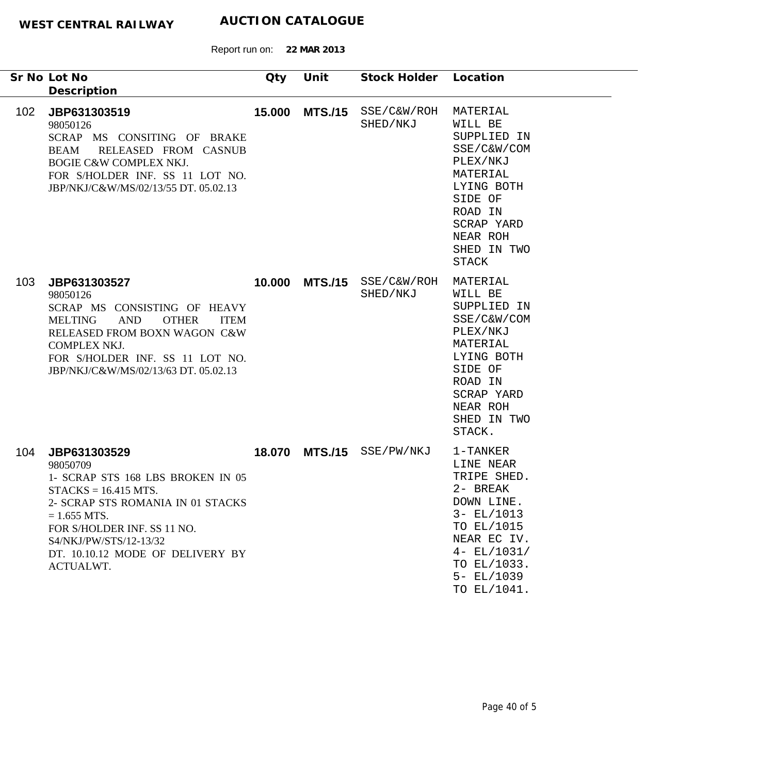|                  | Sr No Lot No<br>Description                                                                                                                                                                                                                              | Qty    | Unit           | Stock Holder Location     |                                                                                                                                                                              |
|------------------|----------------------------------------------------------------------------------------------------------------------------------------------------------------------------------------------------------------------------------------------------------|--------|----------------|---------------------------|------------------------------------------------------------------------------------------------------------------------------------------------------------------------------|
| 102 <sub>1</sub> | JBP631303519<br>98050126<br>SCRAP MS CONSITING OF BRAKE<br>RELEASED FROM CASNUB<br><b>BEAM</b><br><b>BOGIE C&amp;W COMPLEX NKJ.</b><br>FOR S/HOLDER INF. SS 11 LOT NO.<br>JBP/NKJ/C&W/MS/02/13/55 DT. 05.02.13                                           | 15.000 | <b>MTS./15</b> | SSE/C&W/ROH<br>SHED/NKJ   | MATERIAL<br>WILL BE<br>SUPPLIED IN<br>SSE/C&W/COM<br>PLEX/NKJ<br>MATERIAL<br>LYING BOTH<br>SIDE OF<br>ROAD IN<br>SCRAP YARD<br>NEAR ROH<br>SHED IN TWO<br>STACK              |
| 103 <sub>1</sub> | JBP631303527<br>98050126<br>SCRAP MS CONSISTING OF HEAVY<br><b>OTHER</b><br><b>MELTING</b><br>AND<br><b>ITEM</b><br>RELEASED FROM BOXN WAGON C&W<br>COMPLEX NKJ.<br>FOR S/HOLDER INF. SS 11 LOT NO.<br>JBP/NKJ/C&W/MS/02/13/63 DT. 05.02.13              |        | 10.000 MTS./15 | SSE/C&W/ROH<br>SHED/NKJ   | MATERIAL<br>WILL BE<br>SUPPLIED IN<br>SSE/C&W/COM<br>PLEX/NKJ<br>MATERIAL<br>LYING BOTH<br>SIDE OF<br>ROAD IN<br>SCRAP YARD<br>NEAR ROH<br>SHED IN TWO<br>STACK.             |
| 104              | JBP631303529<br>98050709<br>1- SCRAP STS 168 LBS BROKEN IN 05<br>$STACKS = 16.415 MTS.$<br>2- SCRAP STS ROMANIA IN 01 STACKS<br>$= 1.655$ MTS.<br>FOR S/HOLDER INF. SS 11 NO.<br>S4/NKJ/PW/STS/12-13/32<br>DT. 10.10.12 MODE OF DELIVERY BY<br>ACTUALWT. |        |                | 18.070 MTS./15 SSE/PW/NKJ | 1-TANKER<br>LINE NEAR<br>TRIPE SHED.<br>2- BREAK<br>DOWN LINE<br>$3 - EL/1013$<br>TO EL/1015<br>NEAR EC IV.<br>$4 - EL/1031/$<br>TO EL/1033.<br>$5 - EL/1039$<br>TO EL/1041. |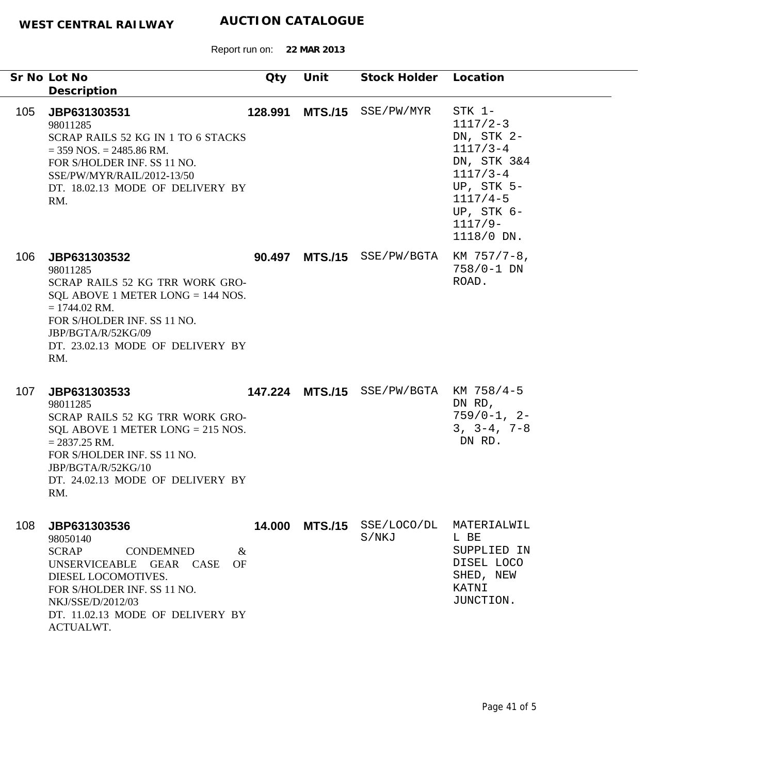|     | Sr No Lot No<br>Description                                                                                                                                                                                                       | Qty     | Unit           | Stock Holder Location               |                                                                                                                                                        |
|-----|-----------------------------------------------------------------------------------------------------------------------------------------------------------------------------------------------------------------------------------|---------|----------------|-------------------------------------|--------------------------------------------------------------------------------------------------------------------------------------------------------|
| 105 | JBP631303531<br>98011285<br>SCRAP RAILS 52 KG IN 1 TO 6 STACKS<br>$=$ 359 NOS. $=$ 2485.86 RM.<br>FOR S/HOLDER INF. SS 11 NO.<br>SSE/PW/MYR/RAIL/2012-13/50<br>DT. 18.02.13 MODE OF DELIVERY BY<br>RM.                            | 128.991 |                | MTS./15 SSE/PW/MYR                  | STK 1-<br>$1117/2-3$<br>DN, STK 2-<br>$1117/3 - 4$<br>DN, STK 3&4<br>$1117/3 - 4$<br>UP, STK 5-<br>$1117/4-5$<br>UP, STK 6-<br>$1117/9-$<br>1118/0 DN. |
| 106 | JBP631303532<br>98011285<br>SCRAP RAILS 52 KG TRR WORK GRO-<br>SQL ABOVE 1 METER LONG $= 144$ NOS.<br>$= 1744.02$ RM.<br>FOR S/HOLDER INF. SS 11 NO.<br>JBP/BGTA/R/52KG/09<br>DT. 23.02.13 MODE OF DELIVERY BY<br>RM.             |         | 90.497 MTS./15 | SSE/PW/BGTA                         | $KM$ 757/7-8,<br>758/0-1 DN<br>ROAD.                                                                                                                   |
| 107 | JBP631303533<br>98011285<br>SCRAP RAILS 52 KG TRR WORK GRO-<br>SQL ABOVE 1 METER LONG $= 215$ NOS.<br>$= 2837.25$ RM.<br>FOR S/HOLDER INF. SS 11 NO.<br>JBP/BGTA/R/52KG/10<br>DT. 24.02.13 MODE OF DELIVERY BY<br>RM.             |         |                | 147.224 MTS./15 SSE/PW/BGTA         | KM 758/4-5<br>DN RD,<br>$759/0-1, 2-$<br>$3, 3-4, 7-8$<br>DN RD.                                                                                       |
| 108 | JBP631303536<br>98050140<br><b>SCRAP</b><br><b>CONDEMNED</b><br>$\&$<br>UNSERVICEABLE GEAR CASE<br>OF<br>DIESEL LOCOMOTIVES.<br>FOR S/HOLDER INF. SS 11 NO.<br>NKJ/SSE/D/2012/03<br>DT. 11.02.13 MODE OF DELIVERY BY<br>ACTUALWT. |         |                | 14.000 MTS./15 SSE/LOCO/DL<br>S/NKJ | MATERIALWIL<br>L BE<br>SUPPLIED IN<br>DISEL LOCO<br>SHED, NEW<br>KATNI<br>JUNCTION.                                                                    |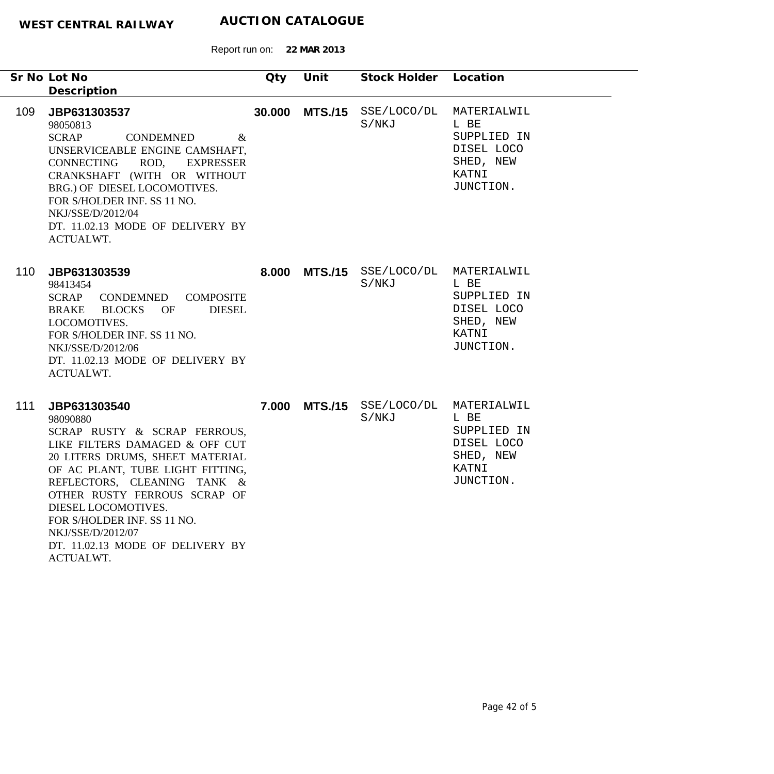|     | Sr No Lot No<br>Description                                                                                                                                                                                                                                                                                                                                  | Qty    | Unit           | Stock Holder Location                          |                                                                                     |
|-----|--------------------------------------------------------------------------------------------------------------------------------------------------------------------------------------------------------------------------------------------------------------------------------------------------------------------------------------------------------------|--------|----------------|------------------------------------------------|-------------------------------------------------------------------------------------|
| 109 | JBP631303537<br>98050813<br><b>SCRAP</b><br><b>CONDEMNED</b><br>$\&$<br>UNSERVICEABLE ENGINE CAMSHAFT,<br>CONNECTING<br>ROD, EXPRESSER<br>CRANKSHAFT (WITH OR WITHOUT<br>BRG.) OF DIESEL LOCOMOTIVES.<br>FOR S/HOLDER INF. SS 11 NO.<br>NKJ/SSE/D/2012/04<br>DT. 11.02.13 MODE OF DELIVERY BY<br>ACTUALWT.                                                   | 30.000 |                | MTS./15 SSE/LOCO/DL MATERIALWIL<br>S/NKJ       | L BE<br>SUPPLIED IN<br>DISEL LOCO<br>SHED, NEW<br>KATNI<br>JUNCTION.                |
| 110 | JBP631303539<br>98413454<br>SCRAP<br>CONDEMNED<br><b>COMPOSITE</b><br>OF<br><b>DIESEL</b><br>BRAKE BLOCKS<br>LOCOMOTIVES.<br>FOR S/HOLDER INF. SS 11 NO.<br>NKJ/SSE/D/2012/06<br>DT. 11.02.13 MODE OF DELIVERY BY<br>ACTUALWT.                                                                                                                               |        |                | 8.000 MTS./15 SSE/LOCO/DL MATERIALWIL<br>S/NKJ | L BE<br>SUPPLIED IN<br>DISEL LOCO<br>SHED, NEW<br>KATNI<br>JUNCTION.                |
| 111 | JBP631303540<br>98090880<br>SCRAP RUSTY & SCRAP FERROUS,<br>LIKE FILTERS DAMAGED & OFF CUT<br>20 LITERS DRUMS, SHEET MATERIAL<br>OF AC PLANT, TUBE LIGHT FITTING,<br>REFLECTORS, CLEANING TANK &<br>OTHER RUSTY FERROUS SCRAP OF<br>DIESEL LOCOMOTIVES.<br>FOR S/HOLDER INF. SS 11 NO.<br>NKJ/SSE/D/2012/07<br>DT. 11.02.13 MODE OF DELIVERY BY<br>ACTUALWT. | 7.000  | <b>MTS./15</b> | SSE/LOCO/DL<br>S/NKJ                           | MATERIALWIL<br>L BE<br>SUPPLIED IN<br>DISEL LOCO<br>SHED, NEW<br>KATNI<br>JUNCTION. |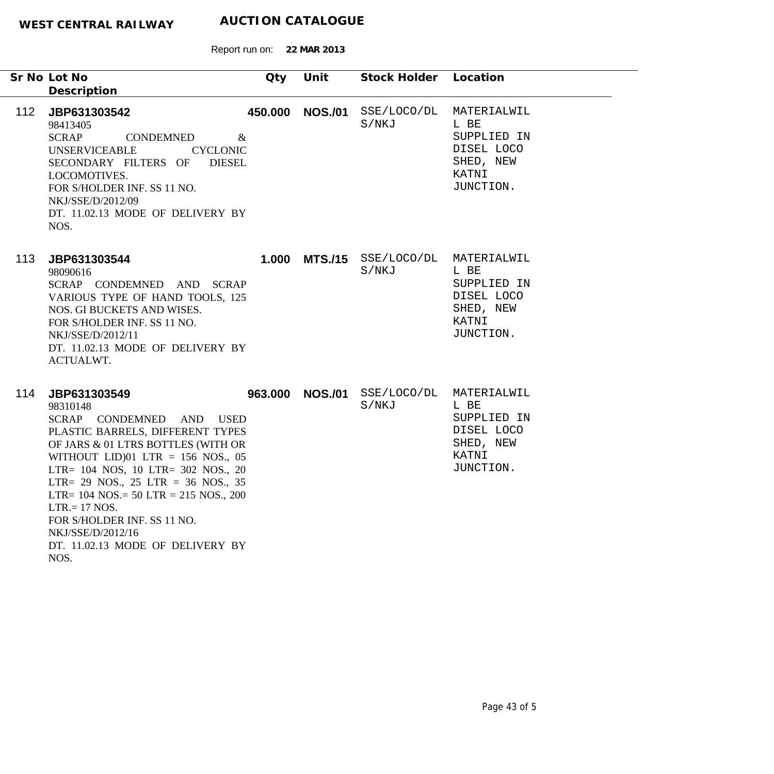|     | Sr No Lot No                                                                                                                                                                                                                                                                                                                                                                                                           | Qty             | Unit           | Stock Holder         | Location                                                                            |
|-----|------------------------------------------------------------------------------------------------------------------------------------------------------------------------------------------------------------------------------------------------------------------------------------------------------------------------------------------------------------------------------------------------------------------------|-----------------|----------------|----------------------|-------------------------------------------------------------------------------------|
|     | Description                                                                                                                                                                                                                                                                                                                                                                                                            |                 |                |                      |                                                                                     |
| 112 | JBP631303542<br>98413405<br><b>SCRAP</b><br>CONDEMNED<br><b>UNSERVICEABLE</b><br><b>CYCLONIC</b><br>SECONDARY FILTERS OF<br><b>DIESEL</b><br>LOCOMOTIVES.<br>FOR S/HOLDER INF. SS 11 NO.<br>NKJ/SSE/D/2012/09<br>DT. 11.02.13 MODE OF DELIVERY BY<br>NOS.                                                                                                                                                              | 450.000<br>$\&$ | <b>NOS./01</b> | SSE/LOCO/DL<br>S/NKJ | MATERIALWIL<br>L BE<br>SUPPLIED IN<br>DISEL LOCO<br>SHED, NEW<br>KATNI<br>JUNCTION. |
| 113 | JBP631303544<br>98090616<br>SCRAP CONDEMNED AND SCRAP<br>VARIOUS TYPE OF HAND TOOLS, 125<br>NOS. GI BUCKETS AND WISES.<br>FOR S/HOLDER INF. SS 11 NO.<br>NKJ/SSE/D/2012/11<br>DT. 11.02.13 MODE OF DELIVERY BY<br>ACTUALWT.                                                                                                                                                                                            | 1.000           | <b>MTS./15</b> | SSE/LOCO/DL<br>S/NKJ | MATERIALWIL<br>L BE<br>SUPPLIED IN<br>DISEL LOCO<br>SHED, NEW<br>KATNI<br>JUNCTION. |
| 114 | JBP631303549<br>98310148<br>SCRAP CONDEMNED<br>AND USED<br>PLASTIC BARRELS, DIFFERENT TYPES<br>OF JARS & 01 LTRS BOTTLES (WITH OR<br>WITHOUT LID)01 LTR = 156 NOS., 05<br>LTR= 104 NOS, 10 LTR= 302 NOS., 20<br>LTR= 29 NOS., 25 LTR = 36 NOS., 35<br>LTR= $104$ NOS.= $50$ LTR = $215$ NOS., $200$<br>$LTR = 17 NOS.$<br>FOR S/HOLDER INF. SS 11 NO.<br>NKJ/SSE/D/2012/16<br>DT. 11.02.13 MODE OF DELIVERY BY<br>NOS. | 963.000         | <b>NOS./01</b> | SSE/LOCO/DL<br>S/NKJ | MATERIALWIL<br>L BE<br>SUPPLIED IN<br>DISEL LOCO<br>SHED, NEW<br>KATNI<br>JUNCTION. |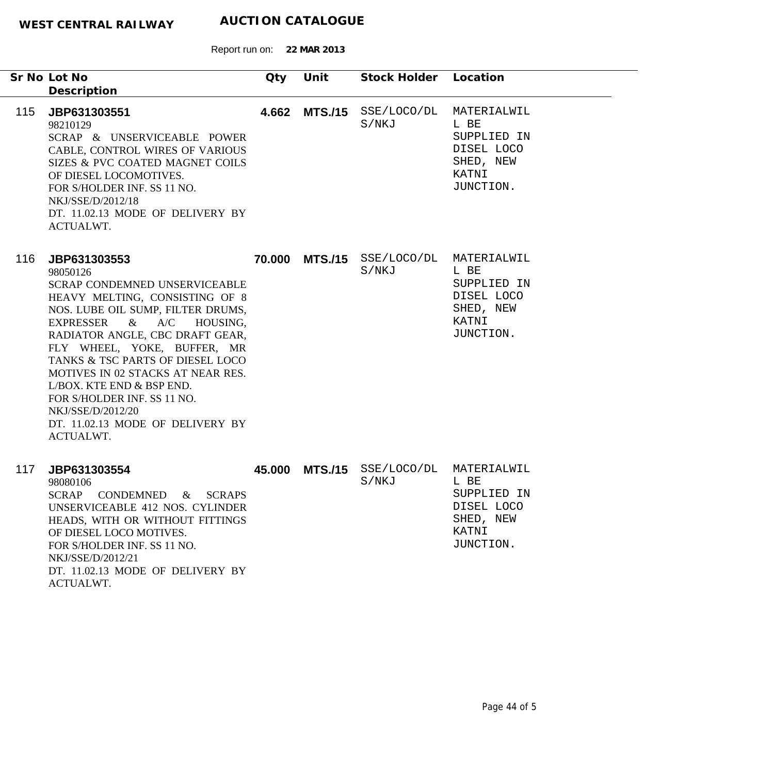|     | Sr No Lot No<br>Description                                                                                                                                                                                                                                                                                                                                                                                                                                         | Qty | Unit           | Stock Holder Location            |                                                                                     |
|-----|---------------------------------------------------------------------------------------------------------------------------------------------------------------------------------------------------------------------------------------------------------------------------------------------------------------------------------------------------------------------------------------------------------------------------------------------------------------------|-----|----------------|----------------------------------|-------------------------------------------------------------------------------------|
| 115 | JBP631303551<br>98210129<br>SCRAP & UNSERVICEABLE POWER<br>CABLE, CONTROL WIRES OF VARIOUS<br>SIZES & PVC COATED MAGNET COILS<br>OF DIESEL LOCOMOTIVES.<br>FOR S/HOLDER INF. SS 11 NO.<br>NKJ/SSE/D/2012/18<br>DT. 11.02.13 MODE OF DELIVERY BY<br>ACTUALWT.                                                                                                                                                                                                        |     | 4.662 MTS./15  | SSE/LOCO/DL<br>S/NKJ             | MATERIALWIL<br>L BE<br>SUPPLIED IN<br>DISEL LOCO<br>SHED, NEW<br>KATNI<br>JUNCTION. |
| 116 | JBP631303553<br>98050126<br><b>SCRAP CONDEMNED UNSERVICEABLE</b><br>HEAVY MELTING, CONSISTING OF 8<br>NOS. LUBE OIL SUMP, FILTER DRUMS,<br>A/C<br><b>EXPRESSER</b><br>$\&$<br>HOUSING,<br>RADIATOR ANGLE, CBC DRAFT GEAR,<br>FLY WHEEL, YOKE, BUFFER, MR<br>TANKS & TSC PARTS OF DIESEL LOCO<br>MOTIVES IN 02 STACKS AT NEAR RES.<br>L/BOX. KTE END & BSP END.<br>FOR S/HOLDER INF. SS 11 NO.<br>NKJ/SSE/D/2012/20<br>DT. 11.02.13 MODE OF DELIVERY BY<br>ACTUALWT. |     | 70.000 MTS./15 | SSE/LOCO/DL MATERIALWIL<br>S/NKJ | L BE<br>SUPPLIED IN<br>DISEL LOCO<br>SHED, NEW<br>KATNI<br>JUNCTION.                |
| 117 | JBP631303554<br>98080106<br><b>SCRAP</b><br>CONDEMNED<br>& SCRAPS<br>UNSERVICEABLE 412 NOS. CYLINDER<br>HEADS, WITH OR WITHOUT FITTINGS<br>OF DIESEL LOCO MOTIVES.<br>FOR S/HOLDER INF. SS 11 NO.<br>NKJ/SSE/D/2012/21<br>DT. 11.02.13 MODE OF DELIVERY BY<br><b>ACTUALWT.</b>                                                                                                                                                                                      |     | 45.000 MTS./15 | SSE/LOCO/DL<br>S/NKJ             | MATERIALWIL<br>L BE<br>SUPPLIED IN<br>DISEL LOCO<br>SHED, NEW<br>KATNI<br>JUNCTION. |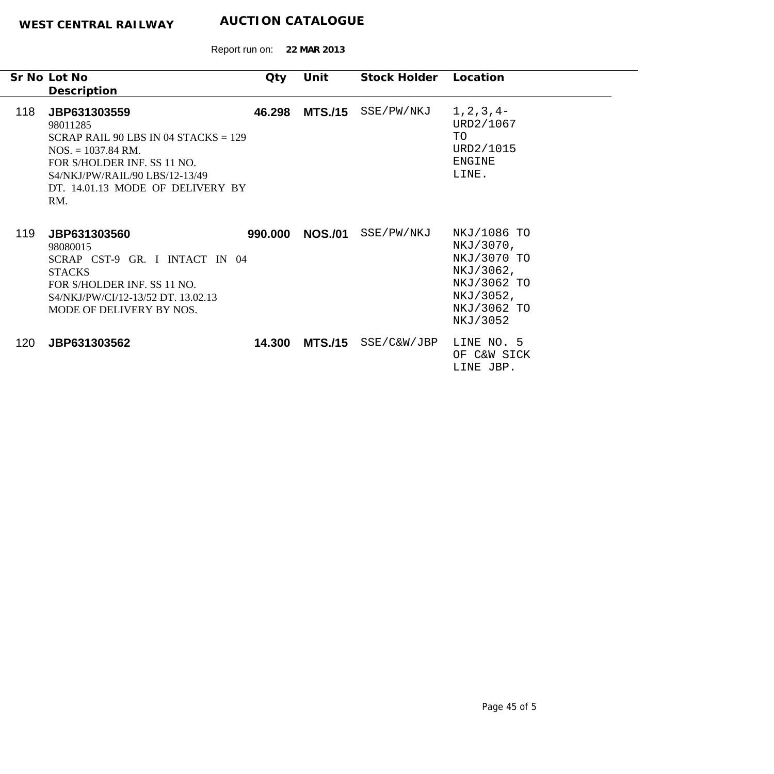|     | Sr No Lot No                                                                                                                                                                                                   | Qty     | Unit           | Stock Holder | Location                                                                                                    |
|-----|----------------------------------------------------------------------------------------------------------------------------------------------------------------------------------------------------------------|---------|----------------|--------------|-------------------------------------------------------------------------------------------------------------|
|     | Description                                                                                                                                                                                                    |         |                |              |                                                                                                             |
| 118 | JBP631303559<br>98011285<br>SCRAP RAIL 90 LBS IN 04 STACKS = $129$<br>$NOS. = 1037.84 \text{ RM}.$<br>FOR S/HOLDER INF. SS 11 NO.<br>S4/NKJ/PW/RAIL/90 LBS/12-13/49<br>DT. 14.01.13 MODE OF DELIVERY BY<br>RM. | 46.298  | <b>MTS./15</b> | SSE/PW/NKJ   | $1, 2, 3, 4-$<br>URD2/1067<br>TO<br>URD2/1015<br><b>ENGINE</b><br>LINE.                                     |
| 119 | JBP631303560<br>98080015<br>SCRAP CST-9 GR. I INTACT IN 04<br><b>STACKS</b><br>FOR S/HOLDER INF. SS 11 NO.<br>S4/NKJ/PW/CI/12-13/52 DT. 13.02.13<br>MODE OF DELIVERY BY NOS.                                   | 990.000 | <b>NOS./01</b> | SSE/PW/NKJ   | NKJ/1086 TO<br>NKJ/3070,<br>NKJ/3070 TO<br>NKJ/3062,<br>NKJ/3062 TO<br>NKJ/3052,<br>NKJ/3062 TO<br>NKJ/3052 |
| 120 | JBP631303562                                                                                                                                                                                                   | 14.300  | MTS./15        | SSE/C&W/JBP  | LINE NO. 5<br>OF C&W SICK<br>LINE JBP.                                                                      |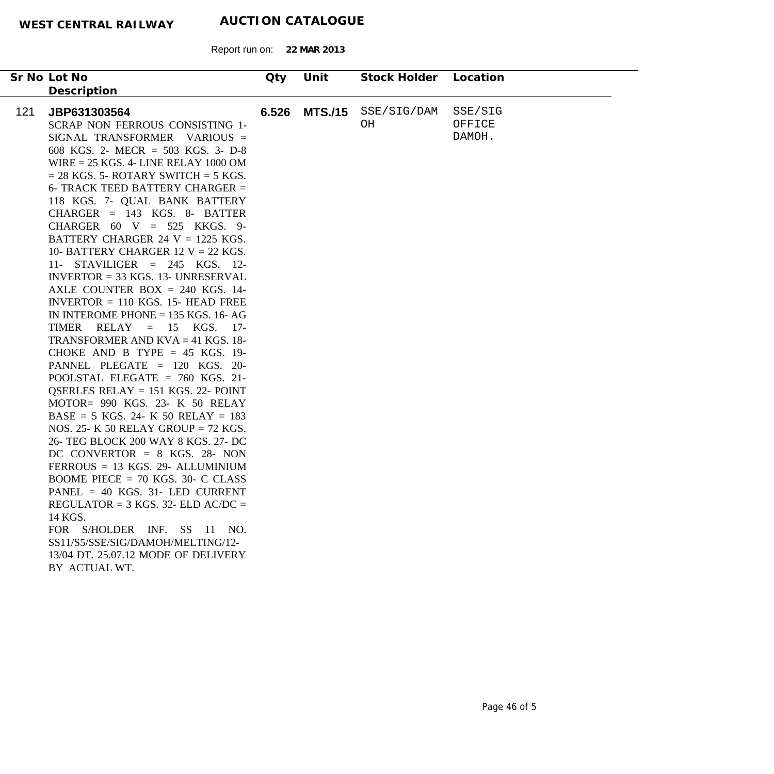| Sr No Lot No                                                                                                                                                                                                                                                                                                                                                                                                                                                                                                                                                                                                                                                                                                                                                                                                                                                                                                                                                                                                                                                                                                                                                                                                                                                                                                                                                              | Qty   | Unit           | Stock Holder      | Location                    |
|---------------------------------------------------------------------------------------------------------------------------------------------------------------------------------------------------------------------------------------------------------------------------------------------------------------------------------------------------------------------------------------------------------------------------------------------------------------------------------------------------------------------------------------------------------------------------------------------------------------------------------------------------------------------------------------------------------------------------------------------------------------------------------------------------------------------------------------------------------------------------------------------------------------------------------------------------------------------------------------------------------------------------------------------------------------------------------------------------------------------------------------------------------------------------------------------------------------------------------------------------------------------------------------------------------------------------------------------------------------------------|-------|----------------|-------------------|-----------------------------|
| Description                                                                                                                                                                                                                                                                                                                                                                                                                                                                                                                                                                                                                                                                                                                                                                                                                                                                                                                                                                                                                                                                                                                                                                                                                                                                                                                                                               |       |                |                   |                             |
| 121<br>JBP631303564<br>SCRAP NON FERROUS CONSISTING 1-<br>SIGNAL TRANSFORMER VARIOUS =<br>608 KGS. 2- MECR = 503 KGS. 3- D-8<br>WIRE $= 25$ KGS. 4- LINE RELAY 1000 OM<br>$= 28$ KGS. 5- ROTARY SWITCH $= 5$ KGS.<br>6- TRACK TEED BATTERY CHARGER =<br>118 KGS. 7- QUAL BANK BATTERY<br>$CHARGER = 143 KGS. 8- BATTER$<br>CHARGER $60 \text{ V} = 525 \text{ KKGS}$ . 9-<br>BATTERY CHARGER 24 $V = 1225$ KGS.<br>10- BATTERY CHARGER 12 V = 22 KGS.<br>11- STAVILIGER = $245$ KGS. 12-<br>$INVERTOR = 33 KGS.$ 13- UNRESERVAL<br>AXLE COUNTER BOX $= 240$ KGS. 14-<br>INVERTOR $= 110$ KGS. 15- HEAD FREE<br>IN INTEROME PHONE $= 135$ KGS. 16-AG<br>TIMER RELAY = $15$ KGS. 17-<br>TRANSFORMER AND $KVA = 41$ KGS. 18-<br>CHOKE AND B TYPE = $45$ KGS. 19-<br>PANNEL PLEGATE = 120 KGS. 20-<br>POOLSTAL ELEGATE = $760$ KGS. 21-<br>QSERLES RELAY = $151$ KGS. 22- POINT<br>MOTOR= 990 KGS. 23- K 50 RELAY<br>$BASE = 5 KGS$ . 24- K 50 RELAY = 183<br>NOS. 25- K 50 RELAY GROUP = 72 KGS.<br>26- TEG BLOCK 200 WAY 8 KGS. 27- DC<br>DC CONVERTOR = $8$ KGS. 28- NON<br>$FERROUS = 13 KGS$ . 29- ALLUMINIUM<br>BOOME PIECE = $70$ KGS. 30- C CLASS<br>PANEL = $40$ KGS. 31- LED CURRENT<br>REGULATOR = $3$ KGS. 32- ELD AC/DC =<br>14 KGS.<br>FOR S/HOLDER INF. SS 11 NO.<br>SS11/S5/SSE/SIG/DAMOH/MELTING/12-<br>13/04 DT. 25.07.12 MODE OF DELIVERY<br>BY ACTUAL WT. | 6.526 | <b>MTS./15</b> | SSE/SIG/DAM<br>OН | SSE/SIG<br>OFFICE<br>DAMOH. |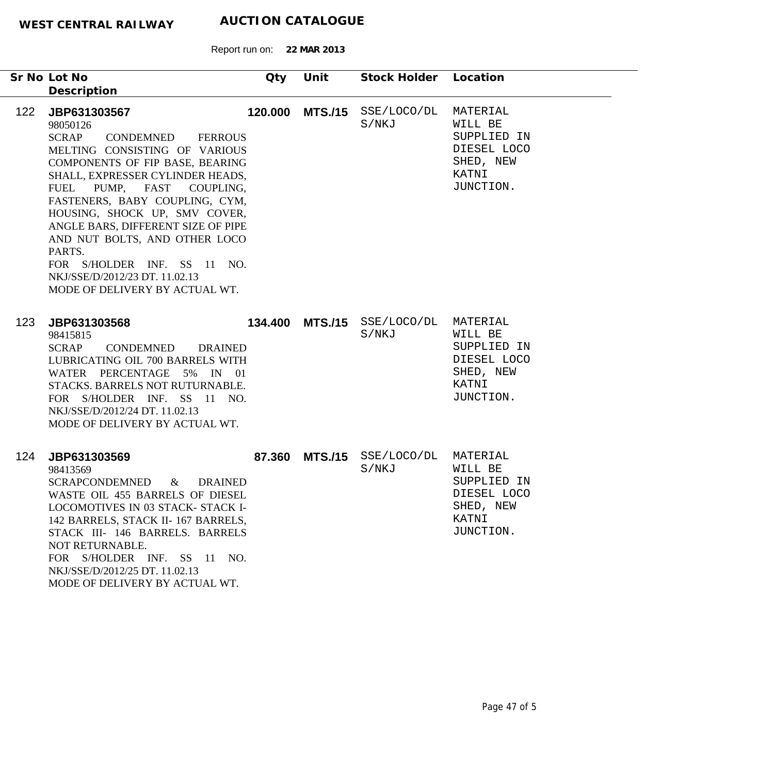Report run on: **22 MAR 2013**

| Sr No Lot No<br>Description                                                                                                                                                                                                                                                                                                                                                                                                                                         | Qty | Unit | Stock Holder Location                         |                                                                          |
|---------------------------------------------------------------------------------------------------------------------------------------------------------------------------------------------------------------------------------------------------------------------------------------------------------------------------------------------------------------------------------------------------------------------------------------------------------------------|-----|------|-----------------------------------------------|--------------------------------------------------------------------------|
| 122<br>JBP631303567<br>98050126<br>SCRAP<br><b>FERROUS</b><br>CONDEMNED<br>MELTING CONSISTING OF VARIOUS<br>COMPONENTS OF FIP BASE, BEARING<br>SHALL, EXPRESSER CYLINDER HEADS,<br>FUEL PUMP, FAST COUPLING,<br>FASTENERS, BABY COUPLING, CYM,<br>HOUSING, SHOCK UP, SMV COVER,<br>ANGLE BARS, DIFFERENT SIZE OF PIPE<br>AND NUT BOLTS, AND OTHER LOCO<br>PARTS.<br>FOR S/HOLDER INF. SS 11 NO.<br>NKJ/SSE/D/2012/23 DT. 11.02.13<br>MODE OF DELIVERY BY ACTUAL WT. |     |      | 120.000 MTS./15 SSE/LOCO/DL MATERIAL<br>S/NKJ | WILL BE<br>SUPPLIED IN<br>DIESEL LOCO<br>SHED, NEW<br>KATNI<br>JUNCTION. |
| 123<br>JBP631303568<br>98415815<br>SCRAP<br>CONDEMNED<br><b>DRAINED</b><br>LUBRICATING OIL 700 BARRELS WITH<br>WATER PERCENTAGE 5% IN 01<br>STACKS. BARRELS NOT RUTURNABLE.<br>FOR S/HOLDER INF. SS 11 NO.<br>NKJ/SSE/D/2012/24 DT. 11.02.13<br>MODE OF DELIVERY BY ACTUAL WT.                                                                                                                                                                                      |     |      | 134.400 MTS./15 SSE/LOCO/DL MATERIAL<br>S/NKJ | WILL BE<br>SUPPLIED IN<br>DIESEL LOCO<br>SHED, NEW<br>KATNI<br>JUNCTION. |
| JBP631303569<br>124<br>98413569<br>SCRAPCONDEMNED<br><b>DRAINED</b><br>$\&$<br>WASTE OIL 455 BARRELS OF DIESEL<br>LOCOMOTIVES IN 03 STACK- STACK I-<br>142 BARRELS, STACK II-167 BARRELS,<br>STACK III- 146 BARRELS. BARRELS<br>NOT RETURNABLE.<br>FOR S/HOLDER INF. SS 11 NO.<br>NKJ/SSE/D/2012/25 DT. 11.02.13<br>MODE OF DELIVERY BY ACTUAL WT.                                                                                                                  |     |      | 87.360 MTS./15 SSE/LOCO/DL MATERIAL<br>S/NKJ  | WILL BE<br>SUPPLIED IN<br>DIESEL LOCO<br>SHED, NEW<br>KATNI<br>JUNCTION. |

÷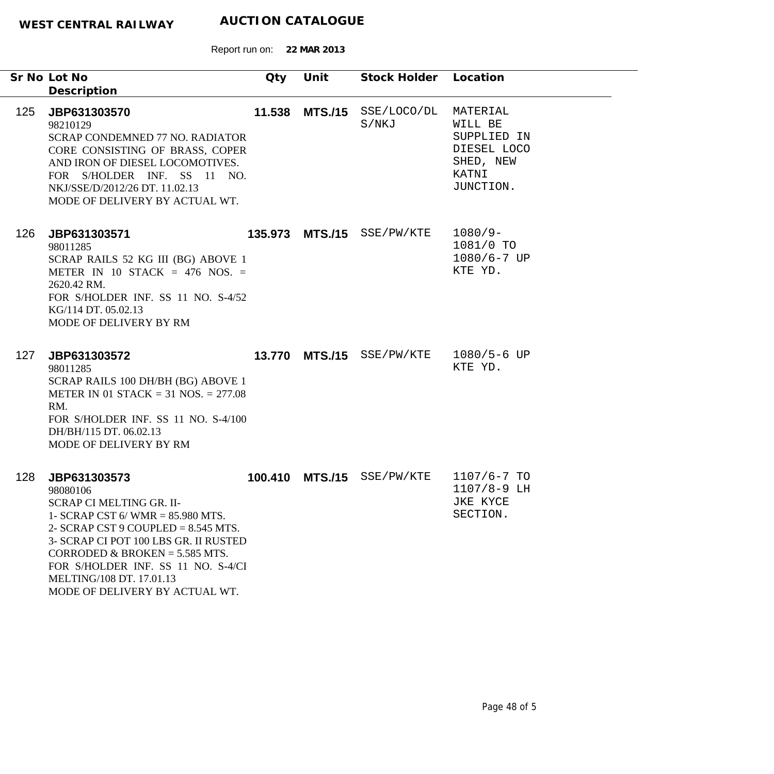|     | Sr No Lot No<br>Description                                                                                                                                                                                                                                                                                                 | Qty    | Unit            | Stock Holder Location |                                                                                      |
|-----|-----------------------------------------------------------------------------------------------------------------------------------------------------------------------------------------------------------------------------------------------------------------------------------------------------------------------------|--------|-----------------|-----------------------|--------------------------------------------------------------------------------------|
| 125 | JBP631303570<br>98210129<br><b>SCRAP CONDEMNED 77 NO. RADIATOR</b><br>CORE CONSISTING OF BRASS, COPER<br>AND IRON OF DIESEL LOCOMOTIVES.<br>FOR S/HOLDER INF. SS 11 NO.<br>NKJ/SSE/D/2012/26 DT. 11.02.13<br>MODE OF DELIVERY BY ACTUAL WT.                                                                                 | 11.538 | <b>MTS./15</b>  | SSE/LOCO/DL<br>S/NKJ  | MATERIAL<br>WILL BE<br>SUPPLIED IN<br>DIESEL LOCO<br>SHED, NEW<br>KATNI<br>JUNCTION. |
| 126 | JBP631303571<br>98011285<br>SCRAP RAILS 52 KG III (BG) ABOVE 1<br>METER IN 10 STACK = 476 NOS. =<br>2620.42 RM.<br>FOR S/HOLDER INF. SS 11 NO. S-4/52<br>KG/114 DT. 05.02.13<br>MODE OF DELIVERY BY RM                                                                                                                      |        | 135.973 MTS./15 | SSE/PW/KTE            | $1080/9-$<br>1081/0 TO<br>$1080/6 - 7$ UP<br>KTE YD.                                 |
| 127 | JBP631303572<br>98011285<br>SCRAP RAILS 100 DH/BH (BG) ABOVE 1<br>METER IN 01 STACK = 31 NOS. = $277.08$<br>RM.<br>FOR S/HOLDER INF. SS 11 NO. S-4/100<br>DH/BH/115 DT. 06.02.13<br>MODE OF DELIVERY BY RM                                                                                                                  |        | 13.770 MTS./15  | SSE/PW/KTE            | $1080/5 - 6$ UP<br>KTE YD.                                                           |
| 128 | JBP631303573<br>98080106<br><b>SCRAP CI MELTING GR. II-</b><br>1- SCRAP CST 6/WMR = $85.980$ MTS.<br>2- SCRAP CST 9 COUPLED = $8.545$ MTS.<br>3- SCRAP CI POT 100 LBS GR. II RUSTED<br>CORRODED & BROKEN = $5.585$ MTS.<br>FOR S/HOLDER INF. SS 11 NO. S-4/CI<br>MELTING/108 DT. 17.01.13<br>MODE OF DELIVERY BY ACTUAL WT. |        | 100.410 MTS./15 | SSE/PW/KTE            | $1107/6 - 7$ TO<br>$1107/8 - 9$ LH<br>JKE KYCE<br>SECTION.                           |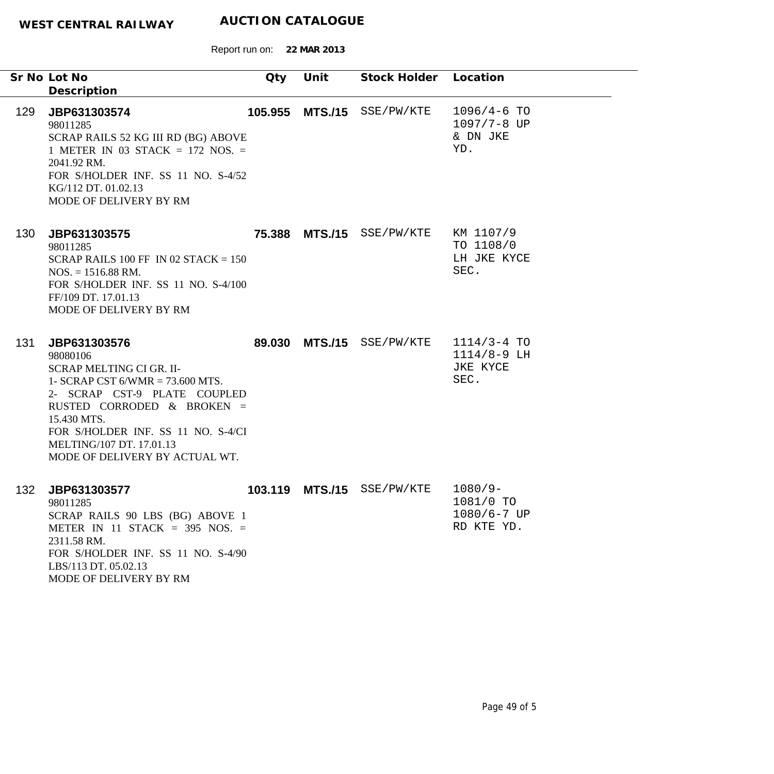|     | Sr No Lot No<br>Description                                                                                                                                                                                                                                                  | Qty     | Unit           | Stock Holder Location     |                                                     |
|-----|------------------------------------------------------------------------------------------------------------------------------------------------------------------------------------------------------------------------------------------------------------------------------|---------|----------------|---------------------------|-----------------------------------------------------|
| 129 | JBP631303574<br>98011285<br>SCRAP RAILS 52 KG III RD (BG) ABOVE<br>1 METER IN 03 STACK = 172 NOS. =<br>2041.92 RM.<br>FOR S/HOLDER INF. SS 11 NO. S-4/52<br>KG/112 DT. 01.02.13<br>MODE OF DELIVERY BY RM                                                                    | 105.955 |                | MTS./15 SSE/PW/KTE        | $1096/4-6$ TO<br>1097/7-8 UP<br>& DN JKE<br>YD.     |
| 130 | JBP631303575<br>98011285<br>SCRAP RAILS 100 FF IN 02 STACK = $150$<br>$NOS. = 1516.88 \text{ RM}.$<br>FOR S/HOLDER INF. SS 11 NO. S-4/100<br>FF/109 DT. 17.01.13<br>MODE OF DELIVERY BY RM                                                                                   |         |                | 75.388 MTS./15 SSE/PW/KTE | KM 1107/9<br>TO 1108/0<br>LH JKE KYCE<br>SEC.       |
| 131 | JBP631303576<br>98080106<br>SCRAP MELTING CI GR. II-<br>1- SCRAP CST $6/WMR = 73.600 MTS$ .<br>2- SCRAP CST-9 PLATE COUPLED<br>RUSTED CORRODED & BROKEN =<br>15.430 MTS.<br>FOR S/HOLDER INF. SS 11 NO. S-4/CI<br>MELTING/107 DT. 17.01.13<br>MODE OF DELIVERY BY ACTUAL WT. | 89.030  | <b>MTS./15</b> | SSE/PW/KTE                | $1114/3 - 4$ TO<br>1114/8-9 LH<br>JKE KYCE<br>SEC.  |
| 132 | JBP631303577<br>98011285<br>SCRAP RAILS 90 LBS (BG) ABOVE 1<br>METER IN 11 STACK = $395$ NOS. =<br>2311.58 RM.<br>FOR S/HOLDER INF. SS 11 NO. S-4/90<br>LBS/113 DT. 05.02.13<br>MODE OF DELIVERY BY RM                                                                       | 103.119 | <b>MTS./15</b> | SSE/PW/KTE                | $1080/9-$<br>1081/0 TO<br>1080/6-7 UP<br>RD KTE YD. |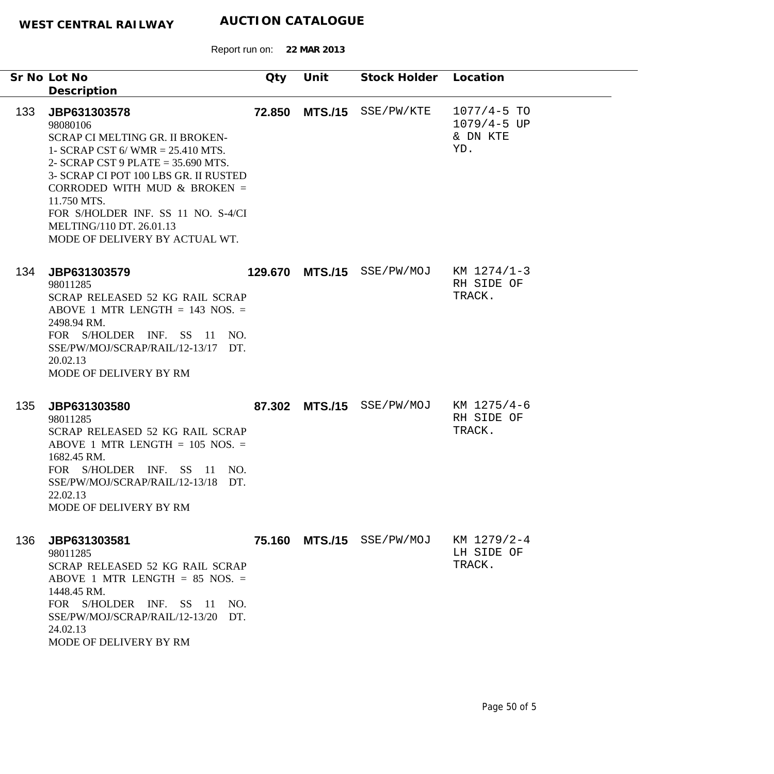|     | Sr No Lot No                                                                                                                                                                                                                                                                                                                             | Qty    | Unit            | Stock Holder              | Location                                              |
|-----|------------------------------------------------------------------------------------------------------------------------------------------------------------------------------------------------------------------------------------------------------------------------------------------------------------------------------------------|--------|-----------------|---------------------------|-------------------------------------------------------|
|     | Description                                                                                                                                                                                                                                                                                                                              |        |                 |                           |                                                       |
| 133 | JBP631303578<br>98080106<br>SCRAP CI MELTING GR. II BROKEN-<br>1- SCRAP CST 6/ WMR = $25.410$ MTS.<br>2- SCRAP CST 9 PLATE = $35.690$ MTS.<br>3- SCRAP CI POT 100 LBS GR. II RUSTED<br>CORRODED WITH MUD $&$ BROKEN =<br>11.750 MTS.<br>FOR S/HOLDER INF. SS 11 NO. S-4/CI<br>MELTING/110 DT. 26.01.13<br>MODE OF DELIVERY BY ACTUAL WT. | 72.850 | <b>MTS./15</b>  | SSE/PW/KTE                | $1077/4 - 5$ TO<br>$1079/4 - 5 UP$<br>& DN KTE<br>YD. |
| 134 | JBP631303579<br>98011285<br>SCRAP RELEASED 52 KG RAIL SCRAP<br>ABOVE 1 MTR LENGTH $= 143$ NOS. $=$<br>2498.94 RM.<br>FOR S/HOLDER INF. SS 11<br>NO.<br>SSE/PW/MOJ/SCRAP/RAIL/12-13/17 DT.<br>20.02.13<br>MODE OF DELIVERY BY RM                                                                                                          |        | 129.670 MTS./15 | SSE/PW/MOJ                | KM 1274/1-3<br>RH SIDE OF<br>TRACK.                   |
| 135 | JBP631303580<br>98011285<br>SCRAP RELEASED 52 KG RAIL SCRAP<br>ABOVE 1 MTR LENGTH $= 105$ NOS. $=$<br>1682.45 RM.<br>FOR S/HOLDER INF. SS 11 NO.<br>SSE/PW/MOJ/SCRAP/RAIL/12-13/18 DT.<br>22.02.13<br>MODE OF DELIVERY BY RM                                                                                                             |        | 87.302 MTS./15  | SSE/PW/MOJ                | KM 1275/4-6<br>RH SIDE OF<br>TRACK.                   |
| 136 | JBP631303581<br>98011285<br>SCRAP RELEASED 52 KG RAIL SCRAP<br>ABOVE 1 MTR LENGTH $= 85$ NOS. $=$<br>1448.45 RM.<br>FOR S/HOLDER INF. SS 11<br>NO.<br>SSE/PW/MOJ/SCRAP/RAIL/12-13/20 DT.<br>24.02.13<br>MODE OF DELIVERY BY RM                                                                                                           |        |                 | 75.160 MTS./15 SSE/PW/MOJ | KM 1279/2-4<br>LH SIDE OF<br>TRACK.                   |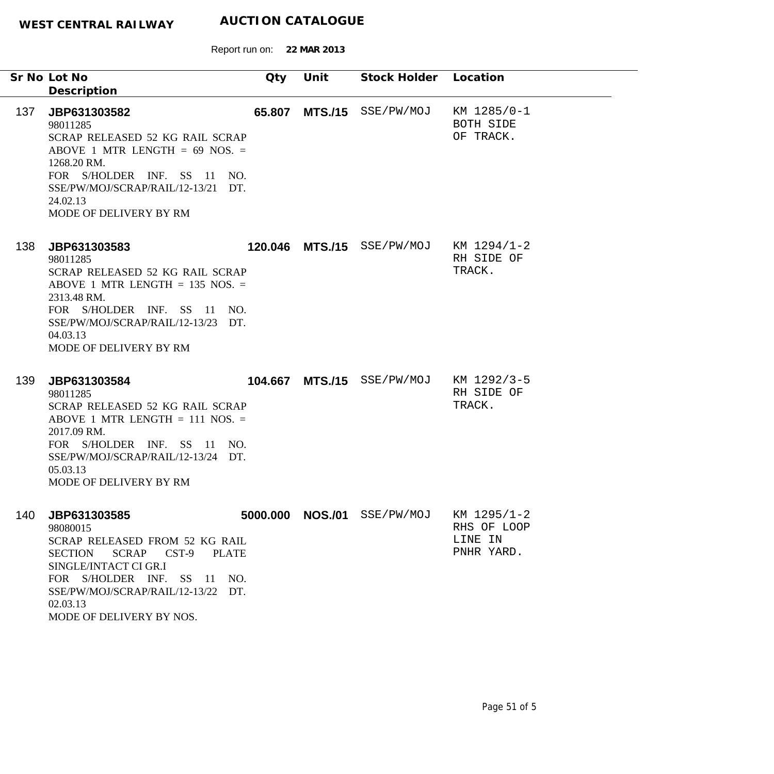Report run on: **22 MAR 2013**

|     | Sr No Lot No<br>Description                                                                                                                                                                                                                                 | Qty     | Unit           | Stock Holder                | Location                                            |
|-----|-------------------------------------------------------------------------------------------------------------------------------------------------------------------------------------------------------------------------------------------------------------|---------|----------------|-----------------------------|-----------------------------------------------------|
| 137 | JBP631303582<br>98011285<br>SCRAP RELEASED 52 KG RAIL SCRAP<br>ABOVE 1 MTR LENGTH = $69$ NOS. =<br>1268.20 RM.<br>FOR S/HOLDER INF. SS 11 NO.<br>SSE/PW/MOJ/SCRAP/RAIL/12-13/21 DT.<br>24.02.13<br>MODE OF DELIVERY BY RM                                   | 65.807  | <b>MTS./15</b> | SSE/PW/MOJ                  | KM 1285/0-1<br>BOTH SIDE<br>OF TRACK.               |
| 138 | JBP631303583<br>98011285<br>SCRAP RELEASED 52 KG RAIL SCRAP<br>ABOVE 1 MTR LENGTH $= 135$ NOS. $=$<br>2313.48 RM.<br>FOR S/HOLDER INF. SS 11 NO.<br>SSE/PW/MOJ/SCRAP/RAIL/12-13/23 DT.<br>04.03.13<br>MODE OF DELIVERY BY RM                                |         |                | 120.046 MTS./15 SSE/PW/MOJ  | KM 1294/1-2<br>RH SIDE OF<br>TRACK.                 |
| 139 | JBP631303584<br>98011285<br>SCRAP RELEASED 52 KG RAIL SCRAP<br>ABOVE 1 MTR LENGTH $= 111$ NOS. $=$<br>2017.09 RM.<br>FOR S/HOLDER INF. SS 11 NO.<br>SSE/PW/MOJ/SCRAP/RAIL/12-13/24 DT.<br>05.03.13<br>MODE OF DELIVERY BY RM                                | 104.667 |                | MTS./15 SSE/PW/MOJ          | KM 1292/3-5<br>RH SIDE OF<br>TRACK.                 |
| 140 | JBP631303585<br>98080015<br>SCRAP RELEASED FROM 52 KG RAIL<br><b>SCRAP</b><br>CST-9<br><b>SECTION</b><br><b>PLATE</b><br>SINGLE/INTACT CI GR.I<br>FOR S/HOLDER INF. SS 11 NO.<br>SSE/PW/MOJ/SCRAP/RAIL/12-13/22 DT.<br>02.03.13<br>MODE OF DELIVERY BY NOS. |         |                | 5000.000 NOS./01 SSE/PW/MOJ | KM 1295/1-2<br>RHS OF LOOP<br>LINE IN<br>PNHR YARD. |

 $\overline{\phantom{0}}$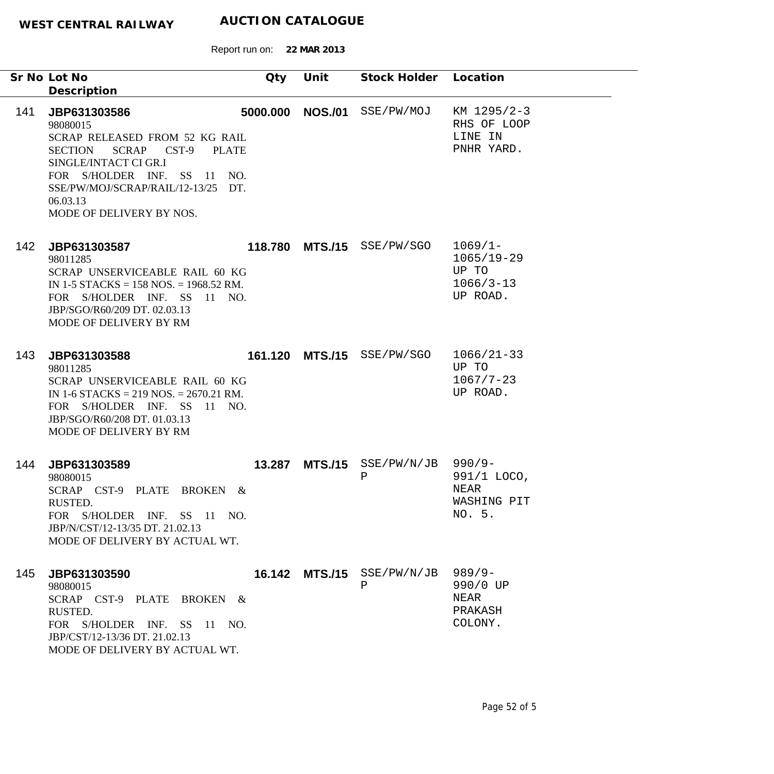Report run on: **22 MAR 2013**

|     | Sr No Lot No                                                                                                                                                                                                                                                  | Qty    | Unit             | Stock Holder Location      |                                                                    |
|-----|---------------------------------------------------------------------------------------------------------------------------------------------------------------------------------------------------------------------------------------------------------------|--------|------------------|----------------------------|--------------------------------------------------------------------|
|     | Description                                                                                                                                                                                                                                                   |        |                  |                            |                                                                    |
| 141 | JBP631303586<br>98080015<br>SCRAP RELEASED FROM 52 KG RAIL<br><b>SCRAP</b><br><b>SECTION</b><br>$CST-9$<br><b>PLATE</b><br>SINGLE/INTACT CI GR.I<br>FOR S/HOLDER INF. SS 11 NO.<br>SSE/PW/MOJ/SCRAP/RAIL/12-13/25 DT.<br>06.03.13<br>MODE OF DELIVERY BY NOS. |        | 5000.000 NOS./01 | SSE/PW/MOJ                 | KM 1295/2-3<br>RHS OF LOOP<br>LINE IN<br>PNHR YARD.                |
| 142 | JBP631303587<br>98011285<br>SCRAP UNSERVICEABLE RAIL 60 KG<br>IN 1-5 STACKS = $158$ NOS, = $1968.52$ RM.<br>FOR S/HOLDER INF. SS 11 NO.<br>JBP/SGO/R60/209 DT. 02.03.13<br>MODE OF DELIVERY BY RM                                                             |        |                  | 118.780 MTS./15 SSE/PW/SGO | $1069/1 -$<br>$1065/19 - 29$<br>UP TO<br>$1066/3 - 13$<br>UP ROAD. |
| 143 | JBP631303588<br>98011285<br>SCRAP UNSERVICEABLE RAIL 60 KG<br>IN 1-6 STACKS = 219 NOS. = $2670.21$ RM.<br>FOR S/HOLDER INF. SS<br>11 NO.<br>JBP/SGO/R60/208 DT. 01.03.13<br>MODE OF DELIVERY BY RM                                                            |        | 161.120 MTS./15  | SSE/PW/SGO                 | $1066/21-33$<br>UP TO<br>$1067/7 - 23$<br>UP ROAD.                 |
| 144 | JBP631303589<br>98080015<br>SCRAP CST-9 PLATE BROKEN<br>$\&$<br><b>RUSTED.</b><br>FOR S/HOLDER INF. SS 11 NO.<br>JBP/N/CST/12-13/35 DT. 21.02.13<br>MODE OF DELIVERY BY ACTUAL WT.                                                                            | 13.287 | <b>MTS./15</b>   | SSE/PW/N/JB<br>Ρ           | $990/9 -$<br>991/1 LOCO,<br><b>NEAR</b><br>WASHING PIT<br>NO. 5.   |
| 145 | JBP631303590<br>98080015<br>SCRAP CST-9 PLATE BROKEN &<br>RUSTED.<br>FOR S/HOLDER INF. SS 11 NO.<br>JBP/CST/12-13/36 DT. 21.02.13<br>MODE OF DELIVERY BY ACTUAL WT.                                                                                           |        | 16.142 MTS./15   | SSE/PW/N/JB<br>Ρ           | $989/9 -$<br>990/0 UP<br>NEAR<br>PRAKASH<br>COLONY.                |

-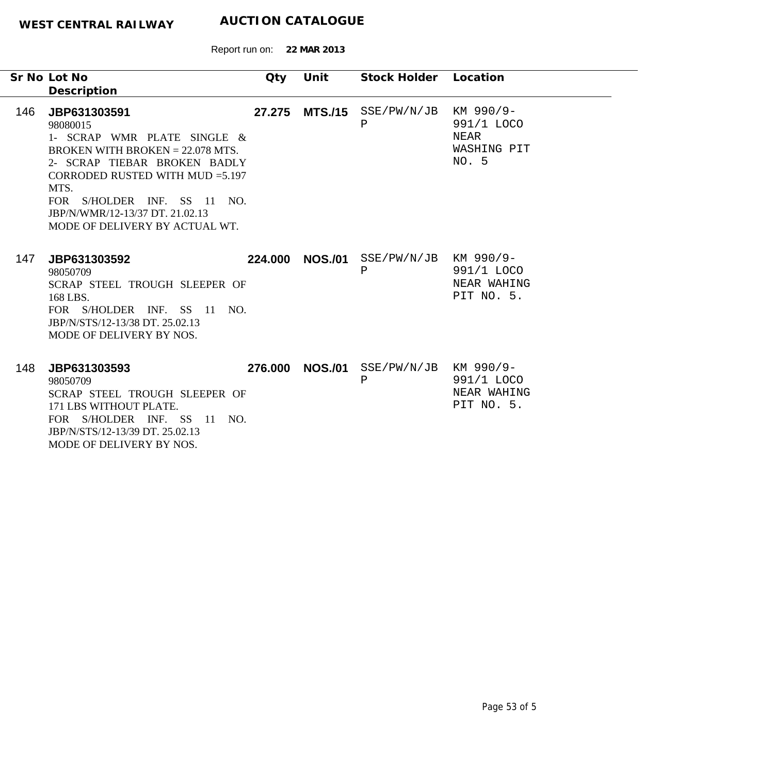|     | Sr No Lot No<br>Description                                                                                                                                                                                                                                                    | Qty     | Unit           | Stock Holder Location                 |                                                         |
|-----|--------------------------------------------------------------------------------------------------------------------------------------------------------------------------------------------------------------------------------------------------------------------------------|---------|----------------|---------------------------------------|---------------------------------------------------------|
| 146 | JBP631303591<br>98080015<br>1- SCRAP WMR PLATE SINGLE &<br>BROKEN WITH BROKEN $= 22.078$ MTS.<br>2- SCRAP TIEBAR BROKEN BADLY<br>CORRODED RUSTED WITH MUD $=5.197$<br>MTS.<br>FOR S/HOLDER INF. SS 11 NO.<br>JBP/N/WMR/12-13/37 DT, 21.02.13<br>MODE OF DELIVERY BY ACTUAL WT. | 27.275  | <b>MTS./15</b> | SSE/PW/N/JB<br>Ρ                      | KM 990/9-<br>991/1 LOCO<br>NEAR<br>WASHING PIT<br>NO. 5 |
| 147 | JBP631303592<br>98050709<br>SCRAP STEEL TROUGH SLEEPER OF<br>168 LBS.<br>FOR S/HOLDER INF. SS 11 NO.<br>JBP/N/STS/12-13/38 DT. 25.02.13<br>MODE OF DELIVERY BY NOS.                                                                                                            | 224.000 | <b>NOS./01</b> | SSE/PW/N/JB KM 990/9-<br>$\, {\bf P}$ | 991/1 LOCO<br>NEAR WAHING<br>PIT NO. 5.                 |
| 148 | JBP631303593<br>98050709<br>SCRAP STEEL TROUGH SLEEPER OF<br>171 LBS WITHOUT PLATE.<br>FOR S/HOLDER INF. SS 11<br>NO.<br>JBP/N/STS/12-13/39 DT. 25.02.13<br>MODE OF DELIVERY BY NOS.                                                                                           | 276.000 | <b>NOS./01</b> | $SSE/PW/N/JB$ KM 990/9-<br>Ρ          | 991/1 LOCO<br>NEAR WAHING<br>PIT NO. 5.                 |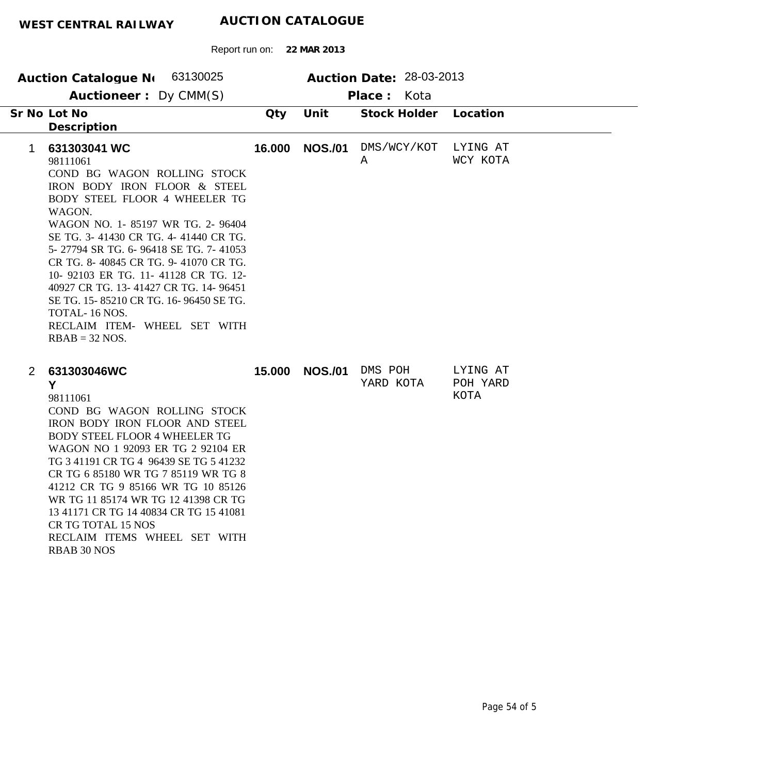| Auction Catalogue N 63130025<br>Auctioneer: Dy CMM(S)                                                                                                                                                                                                                                                                                                                                                                                                                                                         |        |                | Auction Date: 28-03-2013<br>Place: Kota |                              |
|---------------------------------------------------------------------------------------------------------------------------------------------------------------------------------------------------------------------------------------------------------------------------------------------------------------------------------------------------------------------------------------------------------------------------------------------------------------------------------------------------------------|--------|----------------|-----------------------------------------|------------------------------|
| Sr No Lot No<br>Description                                                                                                                                                                                                                                                                                                                                                                                                                                                                                   | Qty    | Unit           | <b>Stock Holder</b>                     | Location                     |
| 631303041 WC<br>$\mathbf 1$<br>98111061<br>COND BG WAGON ROLLING STOCK<br>IRON BODY IRON FLOOR & STEEL<br>BODY STEEL FLOOR 4 WHEELER TG<br>WAGON.<br>WAGON NO. 1-85197 WR TG. 2-96404<br>SE TG. 3-41430 CR TG. 4-41440 CR TG.<br>5-27794 SR TG. 6-96418 SE TG. 7-41053<br>CR TG. 8-40845 CR TG. 9-41070 CR TG.<br>10-92103 ER TG. 11-41128 CR TG. 12-<br>40927 CR TG. 13-41427 CR TG. 14-96451<br>SE TG. 15-85210 CR TG. 16-96450 SE TG.<br>TOTAL-16 NOS.<br>RECLAIM ITEM- WHEEL SET WITH<br>$RBAB = 32 NOS.$ | 16.000 | <b>NOS./01</b> | DMS/WCY/KOT<br>Α                        | LYING AT<br>WCY KOTA         |
| 631303046WC<br>$\overline{2}$<br>Y<br>98111061<br>COND BG WAGON ROLLING STOCK<br>IRON BODY IRON FLOOR AND STEEL<br><b>BODY STEEL FLOOR 4 WHEELER TG</b><br>WAGON NO 1 92093 ER TG 2 92104 ER<br>TG 3 41191 CR TG 4 96439 SE TG 5 41232<br>CR TG 6 85180 WR TG 7 85119 WR TG 8<br>41212 CR TG 9 85166 WR TG 10 85126<br>WR TG 11 85174 WR TG 12 41398 CR TG<br>13 41171 CR TG 14 40834 CR TG 15 41081<br>CR TG TOTAL 15 NOS<br>RECLAIM ITEMS WHEEL SET WITH<br><b>RBAB 30 NOS</b>                              | 15.000 | <b>NOS./01</b> | DMS POH<br>YARD KOTA                    | LYING AT<br>POH YARD<br>KOTA |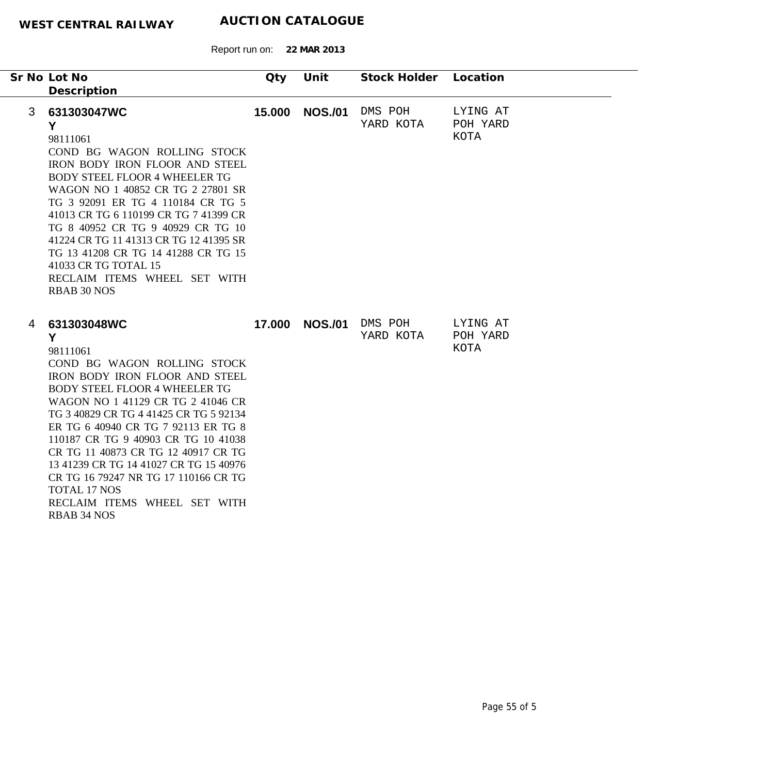|   | Sr No Lot No<br>Description                                                                                                                                                                                                                                                                                                                                                                                                                                                                              | Qty    | Unit           | Stock Holder         | Location                     |
|---|----------------------------------------------------------------------------------------------------------------------------------------------------------------------------------------------------------------------------------------------------------------------------------------------------------------------------------------------------------------------------------------------------------------------------------------------------------------------------------------------------------|--------|----------------|----------------------|------------------------------|
| 3 | 631303047WC<br>Y<br>98111061<br>COND BG WAGON ROLLING STOCK<br>IRON BODY IRON FLOOR AND STEEL<br><b>BODY STEEL FLOOR 4 WHEELER TG</b><br>WAGON NO 1 40852 CR TG 2 27801 SR<br>TG 3 92091 ER TG 4 110184 CR TG 5<br>41013 CR TG 6 110199 CR TG 7 41399 CR<br>TG 8 40952 CR TG 9 40929 CR TG 10<br>41224 CR TG 11 41313 CR TG 12 41395 SR<br>TG 13 41208 CR TG 14 41288 CR TG 15<br>41033 CR TG TOTAL 15<br>RECLAIM ITEMS WHEEL SET WITH<br><b>RBAB 30 NOS</b>                                             | 15.000 | <b>NOS./01</b> | DMS POH<br>YARD KOTA | LYING AT<br>POH YARD<br>KOTA |
| 4 | 631303048WC<br>Y<br>98111061<br>COND BG WAGON ROLLING STOCK<br>IRON BODY IRON FLOOR AND STEEL<br><b>BODY STEEL FLOOR 4 WHEELER TG</b><br>WAGON NO 1 41129 CR TG 2 41046 CR<br>TG 3 40829 CR TG 4 41425 CR TG 5 92134<br>ER TG 6 40940 CR TG 7 92113 ER TG 8<br>110187 CR TG 9 40903 CR TG 10 41038<br>CR TG 11 40873 CR TG 12 40917 CR TG<br>13 41239 CR TG 14 41027 CR TG 15 40976<br>CR TG 16 79247 NR TG 17 110166 CR TG<br><b>TOTAL 17 NOS</b><br>RECLAIM ITEMS WHEEL SET WITH<br><b>RBAB 34 NOS</b> | 17.000 | <b>NOS./01</b> | DMS POH<br>YARD KOTA | LYING AT<br>POH YARD<br>KOTA |